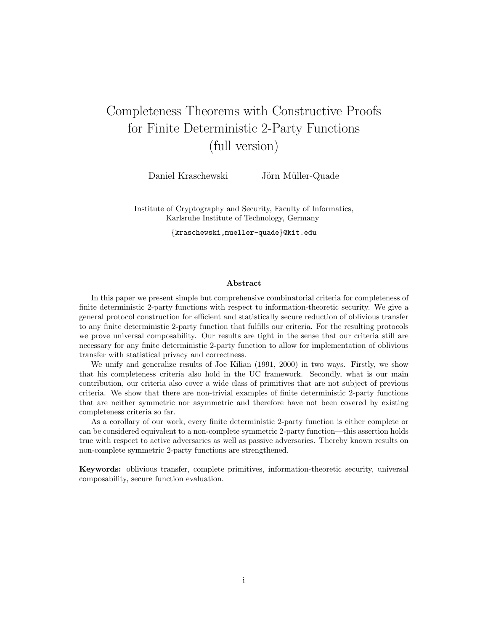# Completeness Theorems with Constructive Proofs for Finite Deterministic 2-Party Functions (full version)

Daniel Kraschewski Jörn Müller-Quade

Institute of Cryptography and Security, Faculty of Informatics, Karlsruhe Institute of Technology, Germany

{kraschewski,mueller-quade}@kit.edu

#### Abstract

In this paper we present simple but comprehensive combinatorial criteria for completeness of finite deterministic 2-party functions with respect to information-theoretic security. We give a general protocol construction for efficient and statistically secure reduction of oblivious transfer to any finite deterministic 2-party function that fulfills our criteria. For the resulting protocols we prove universal composability. Our results are tight in the sense that our criteria still are necessary for any finite deterministic 2-party function to allow for implementation of oblivious transfer with statistical privacy and correctness.

We unify and generalize results of Joe Kilian (1991, 2000) in two ways. Firstly, we show that his completeness criteria also hold in the UC framework. Secondly, what is our main contribution, our criteria also cover a wide class of primitives that are not subject of previous criteria. We show that there are non-trivial examples of finite deterministic 2-party functions that are neither symmetric nor asymmetric and therefore have not been covered by existing completeness criteria so far.

As a corollary of our work, every finite deterministic 2-party function is either complete or can be considered equivalent to a non-complete symmetric 2-party function—this assertion holds true with respect to active adversaries as well as passive adversaries. Thereby known results on non-complete symmetric 2-party functions are strengthened.

Keywords: oblivious transfer, complete primitives, information-theoretic security, universal composability, secure function evaluation.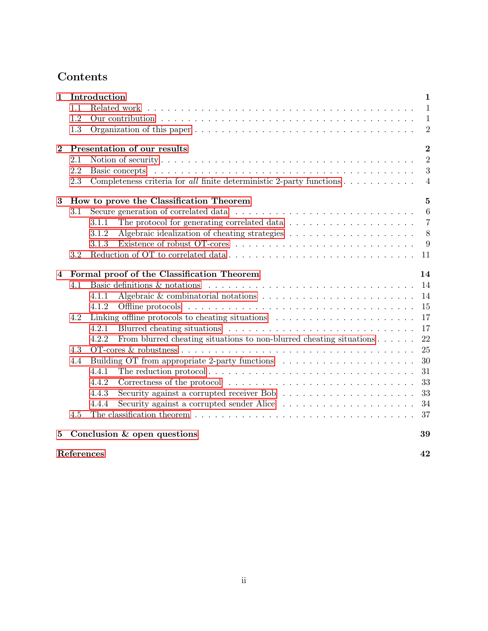# Contents

| 1                       |            | Introduction                                                                                           | $\mathbf{1}$   |
|-------------------------|------------|--------------------------------------------------------------------------------------------------------|----------------|
|                         | 1.1        | Related work                                                                                           | $\mathbf{1}$   |
|                         | 1.2        |                                                                                                        | $\mathbf{1}$   |
|                         | 1.3        |                                                                                                        | $\overline{2}$ |
| $\bf{2}$                |            | Presentation of our results                                                                            | $\overline{2}$ |
|                         | 2.1        |                                                                                                        | $\overline{2}$ |
|                         | 2.2        | Basic concepts                                                                                         | 3              |
|                         | 2.3        | Completeness criteria for all finite deterministic 2-party functions                                   | $\overline{4}$ |
| $\bf{3}$                |            | How to prove the Classification Theorem                                                                | $\mathbf{5}$   |
|                         | 3.1        |                                                                                                        | 6              |
|                         |            | The protocol for generating correlated data $\ldots \ldots \ldots \ldots \ldots \ldots$<br>3.1.1       | $\overline{7}$ |
|                         |            | 3.1.2                                                                                                  | 8              |
|                         |            | 3.1.3                                                                                                  | 9              |
|                         | 3.2        |                                                                                                        | 11             |
| $\overline{\mathbf{4}}$ |            | Formal proof of the Classification Theorem                                                             | 14             |
|                         | 4.1        |                                                                                                        | 14             |
|                         |            | Algebraic & combinatorial notations $\ldots \ldots \ldots \ldots \ldots \ldots \ldots \ldots$<br>4.1.1 | 14             |
|                         |            | 4.1.2                                                                                                  | 15             |
|                         | 4.2        |                                                                                                        | 17             |
|                         |            | 4.2.1                                                                                                  | 17             |
|                         |            | From blurred cheating situations to non-blurred cheating situations $\dots \dots$<br>4.2.2             | 22             |
|                         | 4.3        |                                                                                                        | 25             |
|                         | 4.4        |                                                                                                        | 30             |
|                         |            | 4.4.1                                                                                                  | 31             |
|                         |            | 4.4.2                                                                                                  | 33             |
|                         |            | 4.4.3                                                                                                  | 33             |
|                         |            | 4.4.4                                                                                                  | 34             |
|                         | 4.5        |                                                                                                        | 37             |
| $\bf{5}$                |            | Conclusion & open questions                                                                            | 39             |
|                         | References |                                                                                                        | 42             |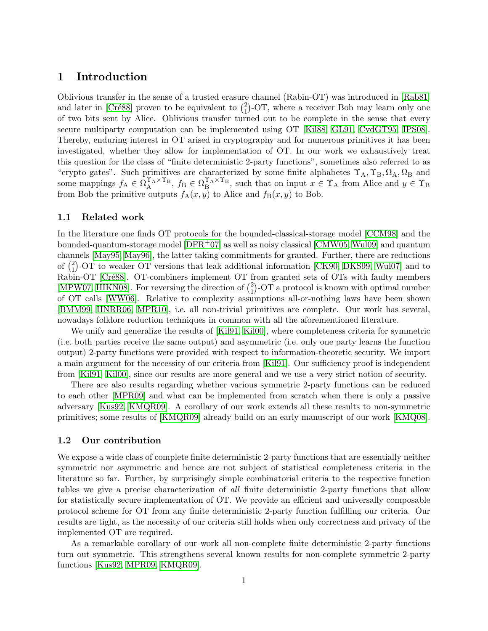# <span id="page-2-0"></span>1 Introduction

Oblivious transfer in the sense of a trusted erasure channel (Rabin-OT) was introduced in [\[Rab81\]](#page-43-0) and later in [Cré88] proven to be equivalent to  $\binom{2}{1}$  $_{1}^{2}$ )-OT, where a receiver Bob may learn only one of two bits sent by Alice. Oblivious transfer turned out to be complete in the sense that every secure multiparty computation can be implemented using OT [\[Kil88,](#page-42-0) [GL91,](#page-42-1) [CvdGT95,](#page-42-2) [IPS08\]](#page-42-3). Thereby, enduring interest in OT arised in cryptography and for numerous primitives it has been investigated, whether they allow for implementation of OT. In our work we exhaustively treat this question for the class of "finite deterministic 2-party functions", sometimes also referred to as "crypto gates". Such primitives are characterized by some finite alphabetes  $\Upsilon_A$ ,  $\Upsilon_B$ ,  $\Omega_A$ ,  $\Omega_B$  and some mappings  $f_A \in \Omega_A^{\Upsilon_A \times \Upsilon_B}$ ,  $f_B \in \Omega_B^{\Upsilon_A \times \Upsilon_B}$ , such that on input  $x \in \Upsilon_A$  from Alice and  $y \in \Upsilon_B$ from Bob the primitive outputs  $f_A(x, y)$  to Alice and  $f_B(x, y)$  to Bob.

## <span id="page-2-1"></span>1.1 Related work

In the literature one finds OT protocols for the bounded-classical-storage model [\[CCM98\]](#page-41-2) and the bounded-quantum-storage model  $[DFR+07]$  as well as noisy classical  $[CMW05, Wu09]$  and quantum channels [\[May95,](#page-43-2) [May96\]](#page-43-3), the latter taking commitments for granted. Further, there are reductions of  $\binom{2}{1}$  $_{1}^{2}$ )-OT to weaker OT versions that leak additional information [\[CK90,](#page-41-4) [DKS99,](#page-42-5) [Wul07\]](#page-43-4) and to Rabin-OT [Cré88]. OT-combiners implement OT from granted sets of OTs with faulty members [\[MPW07,](#page-43-5) [HIKN08\]](#page-42-6). For reversing the direction of  $\binom{2}{1}$  $_{1}^{2}$ )-OT a protocol is known with optimal number of OT calls [\[WW06\]](#page-43-6). Relative to complexity assumptions all-or-nothing laws have been shown [\[BMM99,](#page-41-5) [HNRR06,](#page-42-7) [MPR10\]](#page-43-7), i.e. all non-trivial primitives are complete. Our work has several, nowadays folklore reduction techniques in common with all the aforementioned literature.

We unify and generalize the results of [\[Kil91,](#page-42-8) [Kil00\]](#page-42-9), where completeness criteria for symmetric (i.e. both parties receive the same output) and asymmetric (i.e. only one party learns the function output) 2-party functions were provided with respect to information-theoretic security. We import a main argument for the necessity of our criteria from [\[Kil91\]](#page-42-8). Our sufficiency proof is independent from [\[Kil91,](#page-42-8) [Kil00\]](#page-42-9), since our results are more general and we use a very strict notion of security.

There are also results regarding whether various symmetric 2-party functions can be reduced to each other [\[MPR09\]](#page-43-8) and what can be implemented from scratch when there is only a passive adversary [\[Kus92,](#page-43-9) [KMQR09\]](#page-43-10). A corollary of our work extends all these results to non-symmetric primitives; some results of [\[KMQR09\]](#page-43-10) already build on an early manuscript of our work [\[KMQ08\]](#page-42-10).

## <span id="page-2-2"></span>1.2 Our contribution

We expose a wide class of complete finite deterministic 2-party functions that are essentially neither symmetric nor asymmetric and hence are not subject of statistical completeness criteria in the literature so far. Further, by surprisingly simple combinatorial criteria to the respective function tables we give a precise characterization of all finite deterministic 2-party functions that allow for statistically secure implementation of OT. We provide an efficient and universally composable protocol scheme for OT from any finite deterministic 2-party function fulfilling our criteria. Our results are tight, as the necessity of our criteria still holds when only correctness and privacy of the implemented OT are required.

As a remarkable corollary of our work all non-complete finite deterministic 2-party functions turn out symmetric. This strengthens several known results for non-complete symmetric 2-party functions [\[Kus92,](#page-43-9) [MPR09,](#page-43-8) [KMQR09\]](#page-43-10).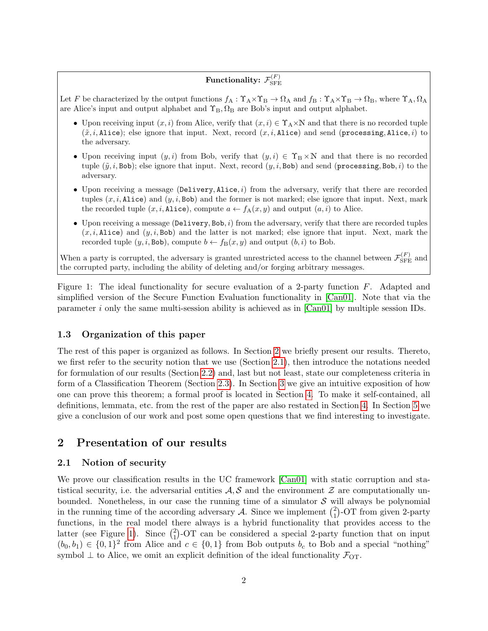#### Functionality:  $\mathcal{F}_{\text{\tiny SFF}}^{(F)}$ SFE

<span id="page-3-3"></span>Let F be characterized by the output functions  $f_A: \Upsilon_A \times \Upsilon_B \to \Omega_A$  and  $f_B: \Upsilon_A \times \Upsilon_B \to \Omega_B$ , where  $\Upsilon_A, \Omega_A$ are Alice's input and output alphabet and  $\Upsilon_B$ ,  $\Omega_B$  are Bob's input and output alphabet.

- Upon receiving input  $(x, i)$  from Alice, verify that  $(x, i) \in \Upsilon_A \times \mathbb{N}$  and that there is no recorded tuple  $(\tilde{x}, i, \text{Alice})$ ; else ignore that input. Next, record  $(x, i, \text{Alice})$  and send (processing, Alice, i) to the adversary.
- Upon receiving input  $(y, i)$  from Bob, verify that  $(y, i) \in \Upsilon_B \times \mathbb{N}$  and that there is no recorded tuple  $(\tilde{y}, i, Bob)$ ; else ignore that input. Next, record  $(y, i, Bob)$  and send (processing, Bob, i) to the adversary.
- Upon receiving a message (Delivery, Alice,  $i$ ) from the adversary, verify that there are recorded tuples  $(x, i, \text{Alice})$  and  $(y, i, \text{Bob})$  and the former is not marked; else ignore that input. Next, mark the recorded tuple  $(x, i, \text{Alice})$ , compute  $a \leftarrow f_{A}(x, y)$  and output  $(a, i)$  to Alice.
- $\bullet$  Upon receiving a message (Delivery, Bob, i) from the adversary, verify that there are recorded tuples  $(x, i, \text{Alice})$  and  $(y, i, \text{Bob})$  and the latter is not marked; else ignore that input. Next, mark the recorded tuple  $(y, i, \text{Bob})$ , compute  $b \leftarrow f_B(x, y)$  and output  $(b, i)$  to Bob.

When a party is corrupted, the adversary is granted unrestricted access to the channel between  $\mathcal{F}_{\rm SFE}^{(F)}$  and the corrupted party, including the ability of deleting and/or forging arbitrary messages.

Figure 1: The ideal functionality for secure evaluation of a 2-party function F. Adapted and simplified version of the Secure Function Evaluation functionality in [\[Can01\]](#page-41-6). Note that via the parameter i only the same multi-session ability is achieved as in  $[Can01]$  by multiple session IDs.

# <span id="page-3-0"></span>1.3 Organization of this paper

The rest of this paper is organized as follows. In Section [2](#page-3-1) we briefly present our results. Thereto, we first refer to the security notion that we use (Section [2.1\)](#page-3-2), then introduce the notations needed for formulation of our results (Section [2.2\)](#page-4-0) and, last but not least, state our completeness criteria in form of a Classification Theorem (Section [2.3\)](#page-5-0). In Section [3](#page-6-0) we give an intuitive exposition of how one can prove this theorem; a formal proof is located in Section [4.](#page-15-0) To make it self-contained, all definitions, lemmata, etc. from the rest of the paper are also restated in Section [4.](#page-15-0) In Section [5](#page-40-0) we give a conclusion of our work and post some open questions that we find interesting to investigate.

# <span id="page-3-1"></span>2 Presentation of our results

## <span id="page-3-2"></span>2.1 Notion of security

We prove our classification results in the UC framework [\[Can01\]](#page-41-6) with static corruption and statistical security, i.e. the adversarial entities  $A, S$  and the environment  $Z$  are computationally unbounded. Nonetheless, in our case the running time of a simulator  $S$  will always be polynomial in the running time of the according adversary A. Since we implement  $\binom{2}{1}$  $_{1}^{2}$ )-OT from given 2-party functions, in the real model there always is a hybrid functionality that provides access to the latter (see Figure [1\)](#page-3-3). Since  $\binom{2}{1}$  $_{1}^{2}$ )-OT can be considered a special 2-party function that on input  $(b_0, b_1) \in \{0, 1\}^2$  from Alice and  $c \in \{0, 1\}$  from Bob outputs  $b_c$  to Bob and a special "nothing" symbol  $\perp$  to Alice, we omit an explicit definition of the ideal functionality  $\mathcal{F}_{\text{OT}}$ .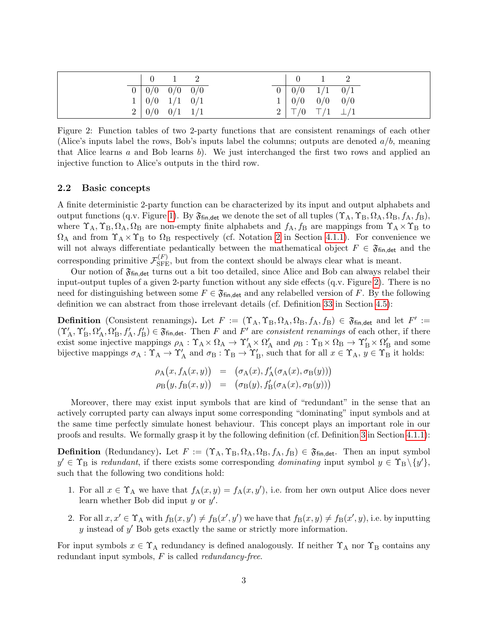<span id="page-4-1"></span>

|  | $0 \quad 1 \quad 2$                                                          |  |  | $0\qquad 1$                                           |  |
|--|------------------------------------------------------------------------------|--|--|-------------------------------------------------------|--|
|  | $\begin{array}{ c c c c c } \hline 0 & 0/0 & 0/0 & 0/0 \ \hline \end{array}$ |  |  | $\boxed{0}$ $\boxed{0/0}$ $\boxed{1/1}$ $\boxed{0/1}$ |  |
|  | 1   0/0 1/1 0/1                                                              |  |  | 1   0/0 0/0 0/0                                       |  |
|  | 2   0/0 0/1 1/1                                                              |  |  | $2 \top/0$ $\top/1$ $\bot/1$                          |  |

Figure 2: Function tables of two 2-party functions that are consistent renamings of each other (Alice's inputs label the rows, Bob's inputs label the columns; outputs are denoted  $a/b$ , meaning that Alice learns  $a$  and Bob learns  $b$ . We just interchanged the first two rows and applied an injective function to Alice's outputs in the third row.

## <span id="page-4-0"></span>2.2 Basic concepts

A finite deterministic 2-party function can be characterized by its input and output alphabets and output functions (q.v. Figure [1\)](#page-3-3). By  $\mathfrak{F}_{fin, det}$  we denote the set of all tuples  $(\Upsilon_A, \Upsilon_B, \Omega_A, \Omega_B, f_A, f_B)$ , where  $\Upsilon_A, \Upsilon_B, \Omega_A, \Omega_B$  are non-empty finite alphabets and  $f_A, f_B$  are mappings from  $\Upsilon_A \times \Upsilon_B$  to  $\Omega_A$  and from  $\Upsilon_A \times \Upsilon_B$  to  $\Omega_B$  respectively (cf. Notation [2](#page-15-3) in Section [4.1.1\)](#page-15-2). For convenience we will not always differentiate pedantically between the mathematical object  $F \in \mathfrak{F}_{fin, det}$  and the corresponding primitive  $\mathcal{F}_{\rm SFE}^{(F)}$ , but from the context should be always clear what is meant.

Our notion of  $\mathfrak{F}_{fin, det}$  turns out a bit too detailed, since Alice and Bob can always relabel their input-output tuples of a given 2-party function without any side effects (q.v. Figure [2\)](#page-4-1). There is no need for distinguishing between some  $F \in \mathfrak{F}_{fin, det}$  and any relabelled version of F. By the following definition we can abstract from those irrelevant details (cf. Definition [33](#page-38-1) in Section [4.5\)](#page-38-0):

**Definition** (Consistent renamings). Let  $F := (\Upsilon_A, \Upsilon_B, \Omega_A, \Omega_B, f_A, f_B) \in \mathfrak{F}_{fin, det}$  and let  $F' :=$  $(\Upsilon_A', \Upsilon_B', \Omega_A', \Omega_B', f_A', f_B') \in \mathfrak{F}_{fin, det}$ . Then F and F' are consistent renamings of each other, if there exist some injective mappings  $\rho_A : \Upsilon_A \times \Omega_A \to \Upsilon'_A \times \Omega'_A$  and  $\rho_B : \Upsilon_B \times \Omega_B \to \Upsilon'_B \times \Omega'_B$  and some bijective mappings  $\sigma_A : \Upsilon_A \to \Upsilon'_A$  and  $\sigma_B : \Upsilon_B \to \Upsilon'_B$ , such that for all  $x \in \Upsilon_A$ ,  $y \in \Upsilon_B$  it holds:

$$
\rho_{A}(x, f_{A}(x, y)) = (\sigma_{A}(x), f'_{A}(\sigma_{A}(x), \sigma_{B}(y)))
$$
  
\n
$$
\rho_{B}(y, f_{B}(x, y)) = (\sigma_{B}(y), f'_{B}(\sigma_{A}(x), \sigma_{B}(y)))
$$

Moreover, there may exist input symbols that are kind of "redundant" in the sense that an actively corrupted party can always input some corresponding "dominating" input symbols and at the same time perfectly simulate honest behaviour. This concept plays an important role in our proofs and results. We formally grasp it by the following definition (cf. Definition [3](#page-15-4) in Section [4.1.1\)](#page-15-2):

**Definition** (Redundancy). Let  $F := (\Upsilon_A, \Upsilon_B, \Omega_A, \Omega_B, f_A, f_B) \in \mathfrak{F}_{fin, det}$ . Then an input symbol  $y' \in \Upsilon_B$  is redundant, if there exists some corresponding dominating input symbol  $y \in \Upsilon_B \setminus \{y'\},$ such that the following two conditions hold:

- 1. For all  $x \in \Upsilon_A$  we have that  $f_A(x,y) = f_A(x,y')$ , i.e. from her own output Alice does never learn whether Bob did input  $y$  or  $y'$ .
- 2. For all  $x, x' \in \Upsilon_A$  with  $f_B(x, y') \neq f_B(x', y')$  we have that  $f_B(x, y) \neq f_B(x', y)$ , i.e. by inputting  $y$  instead of  $y'$  Bob gets exactly the same or strictly more information.

For input symbols  $x \in \Upsilon_A$  redundancy is defined analogously. If neither  $\Upsilon_A$  nor  $\Upsilon_B$  contains any redundant input symbols,  $F$  is called *redundancy-free.*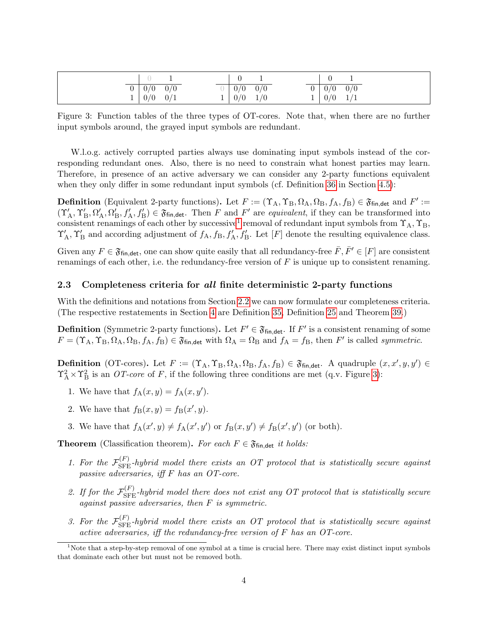<span id="page-5-2"></span>

| 0 <sub>1</sub> | 0/0 | 0/0 |  | 0/0 | 0/0     |                | $0 \mid 0/0$ | 0/0 |  |
|----------------|-----|-----|--|-----|---------|----------------|--------------|-----|--|
| $\mathbf{r}$   | 0/0 | 0/1 |  |     | 0/0 1/0 | 1 <sub>1</sub> | $ 0/0 \t1/1$ |     |  |

Figure 3: Function tables of the three types of OT-cores. Note that, when there are no further input symbols around, the grayed input symbols are redundant.

W.l.o.g. actively corrupted parties always use dominating input symbols instead of the corresponding redundant ones. Also, there is no need to constrain what honest parties may learn. Therefore, in presence of an active adversary we can consider any 2-party functions equivalent when they only differ in some redundant input symbols (cf. Definition [36](#page-38-2) in Section [4.5\)](#page-38-0):

**Definition** (Equivalent 2-party functions). Let  $F := (\Upsilon_A, \Upsilon_B, \Omega_A, \Omega_B, f_A, f_B) \in \mathfrak{F}_{fin, det}$  and  $F' :=$  $(\Upsilon_A', \Upsilon_B', \Omega_A', \Omega_B', f_A', f_B') \in \mathfrak{F}_{\text{fin},\text{det}}$ . Then F and F' are equivalent, if they can be transformed into consistent renamings of each other by successive<sup>[1](#page-5-1)</sup> removal of redundant input symbols from  $\Upsilon_A, \Upsilon_B$ ,  $\Upsilon_A', \Upsilon_B'$  and according adjustment of  $f_A, f_B, f_A', f_B'$ . Let  $[F]$  denote the resulting equivalence class.

Given any  $F \in \mathfrak{F}_{fin, det}$ , one can show quite easily that all redundancy-free  $\overline{F}, \overline{F}' \in [F]$  are consistent renamings of each other, i.e. the redundancy-free version of  $F$  is unique up to consistent renaming.

### <span id="page-5-0"></span>2.3 Completeness criteria for all finite deterministic 2-party functions

With the definitions and notations from Section [2.2](#page-4-0) we can now formulate our completeness criteria. (The respective restatements in Section [4](#page-15-0) are Definition [35,](#page-38-3) Definition [25](#page-27-0) and Theorem [39.](#page-39-0))

**Definition** (Symmetric 2-party functions). Let  $F' \in \mathfrak{F}_{fin, det}$ . If  $F'$  is a consistent renaming of some  $F = (\Upsilon_A, \Upsilon_B, \Omega_A, \Omega_B, f_A, f_B) \in \mathfrak{F}_{fin, det}$  with  $\Omega_A = \Omega_B$  and  $f_A = f_B$ , then F' is called symmetric.

**Definition** (OT-cores). Let  $F := (\Upsilon_A, \Upsilon_B, \Omega_A, \Omega_B, f_A, f_B) \in \mathfrak{F}_{fin, det}$ . A quadruple  $(x, x', y, y') \in$  $\Upsilon_A^2 \times \Upsilon_B^2$  is an *OT-core* of *F*, if the following three conditions are met (q.v. Figure [3\)](#page-5-2):

- 1. We have that  $f_A(x,y) = f_A(x,y')$ .
- 2. We have that  $f_{\text{B}}(x, y) = f_{\text{B}}(x', y)$ .
- 3. We have that  $f_A(x', y) \neq f_A(x', y')$  or  $f_B(x, y') \neq f_B(x', y')$  (or both).

**Theorem** (Classification theorem). For each  $F \in \mathfrak{F}_{fin, det}$  it holds:

- <span id="page-5-3"></span>1. For the  $\mathcal{F}_{\rm SFE}^{(F)}$ -hybrid model there exists an OT protocol that is statistically secure against passive adversaries, iff F has an OT-core.
- <span id="page-5-4"></span>2. If for the  $\mathcal{F}_{\rm SFE}^{(F)}$ -hybrid model there does not exist any OT protocol that is statistically secure against passive adversaries, then  $F$  is symmetric.
- <span id="page-5-5"></span>3. For the  $\mathcal{F}_{\rm SFE}^{(F)}$ -hybrid model there exists an OT protocol that is statistically secure against active adversaries, iff the redundancy-free version of F has an OT-core.

<span id="page-5-1"></span> $1$ Note that a step-by-step removal of one symbol at a time is crucial here. There may exist distinct input symbols that dominate each other but must not be removed both.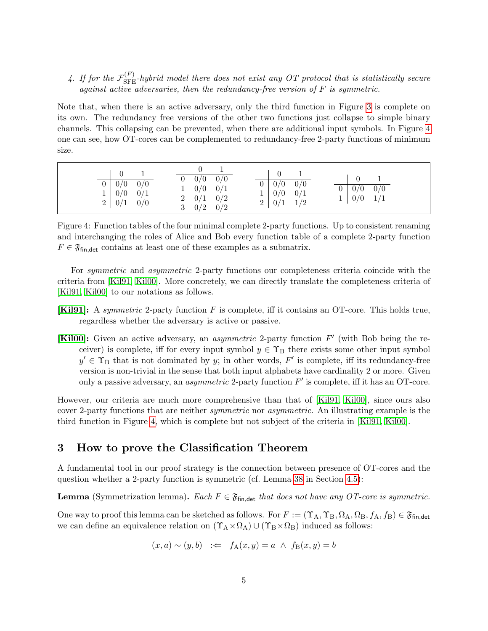<span id="page-6-2"></span>4. If for the  $\mathcal{F}_{\rm SFE}^{(F)}$ -hybrid model there does not exist any OT protocol that is statistically secure against active adversaries, then the redundancy-free version of  $F$  is symmetric.

Note that, when there is an active adversary, only the third function in Figure [3](#page-5-2) is complete on its own. The redundancy free versions of the other two functions just collapse to simple binary channels. This collapsing can be prevented, when there are additional input symbols. In Figure [4](#page-6-1) one can see, how OT-cores can be complemented to redundancy-free 2-party functions of minimum size.

<span id="page-6-1"></span>

| $0 \mid 0/0 \quad 0/0$<br>1   0/0 0/1<br>$2 \mid 0/1 \quad 0/0$ | $0 \mid 0/0 \mid 0/0$<br>$\boxed{0}$ $\boxed{0/0}$ $\boxed{0/0}$<br>1   0/0 0/1<br>1   0/0 0/1<br>2   0/1   0/2<br>$2 \mid 0/1 \mid 1/2$<br>3   0/2   0/2 | $0 \ 0/0 \ 0/0$<br>$1 \mid 0/0 \quad 1/1$ |
|-----------------------------------------------------------------|-----------------------------------------------------------------------------------------------------------------------------------------------------------|-------------------------------------------|
|-----------------------------------------------------------------|-----------------------------------------------------------------------------------------------------------------------------------------------------------|-------------------------------------------|

Figure 4: Function tables of the four minimal complete 2-party functions. Up to consistent renaming and interchanging the roles of Alice and Bob every function table of a complete 2-party function  $F \in \mathfrak{F}_{fin, det}$  contains at least one of these examples as a submatrix.

For symmetric and asymmetric 2-party functions our completeness criteria coincide with the criteria from [\[Kil91,](#page-42-8) [Kil00\]](#page-42-9). More concretely, we can directly translate the completeness criteria of [\[Kil91,](#page-42-8) [Kil00\]](#page-42-9) to our notations as follows.

- [\[Kil91\]](#page-42-8): A symmetric 2-party function F is complete, iff it contains an OT-core. This holds true, regardless whether the adversary is active or passive.
- [\[Kil00\]](#page-42-9): Given an active adversary, an *asymmetric* 2-party function  $F'$  (with Bob being the receiver) is complete, iff for every input symbol  $y \in \Upsilon_B$  there exists some other input symbol  $y' \in \Upsilon_B$  that is not dominated by y; in other words, F' is complete, iff its redundancy-free version is non-trivial in the sense that both input alphabets have cardinality 2 or more. Given only a passive adversary, an *asymmetric* 2-party function  $F'$  is complete, iff it has an OT-core.

However, our criteria are much more comprehensive than that of [\[Kil91,](#page-42-8) [Kil00\]](#page-42-9), since ours also cover 2-party functions that are neither *symmetric* nor *asymmetric*. An illustrating example is the third function in Figure [4,](#page-6-1) which is complete but not subject of the criteria in [\[Kil91,](#page-42-8) [Kil00\]](#page-42-9).

# <span id="page-6-0"></span>3 How to prove the Classification Theorem

A fundamental tool in our proof strategy is the connection between presence of OT-cores and the question whether a 2-party function is symmetric (cf. Lemma [38](#page-38-4) in Section [4.5\)](#page-38-0):

**Lemma** (Symmetrization lemma). Each  $F \in \mathfrak{F}_{fin, det}$  that does not have any OT-core is symmetric.

One way to proof this lemma can be sketched as follows. For  $F := (\Upsilon_A, \Upsilon_B, \Omega_A, \Omega_B, f_A, f_B) \in \mathfrak{F}_{fin, det}$ we can define an equivalence relation on  $(\Upsilon_A \times \Omega_A) \cup (\Upsilon_B \times \Omega_B)$  induced as follows:

$$
(x, a) \sim (y, b) \iff f_A(x, y) = a \land f_B(x, y) = b
$$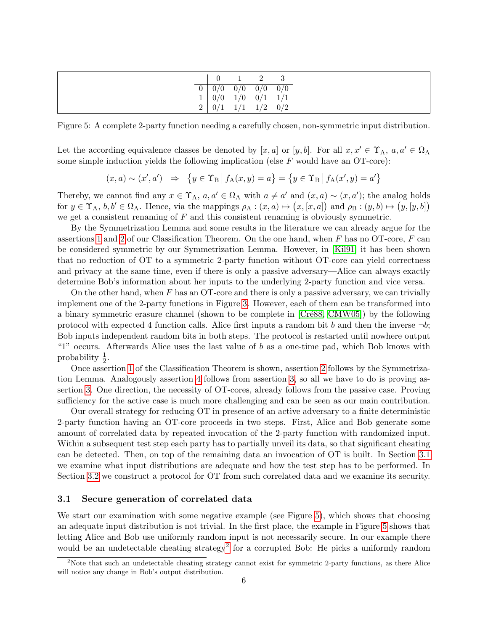<span id="page-7-1"></span>

|             |                                                                                | $0 \quad 1 \quad 2 \quad 3$ |  |
|-------------|--------------------------------------------------------------------------------|-----------------------------|--|
| $\boxed{0}$ | $\begin{array}{ c c c c c } \hline 0/0 & 0/0 & 0/0 & 0/0 \ \hline \end{array}$ |                             |  |
|             | $\begin{array}{ c c c c c } \hline 0/0 & 1/0 & 0/1 & 1/1 \ \hline \end{array}$ |                             |  |
| 2           | $ 0/1 \t1/1 \t1/2 \t0/2$                                                       |                             |  |

Figure 5: A complete 2-party function needing a carefully chosen, non-symmetric input distribution.

Let the according equivalence classes be denoted by  $[x, a]$  or  $[y, b]$ . For all  $x, x' \in \Upsilon_A$ ,  $a, a' \in \Omega_A$ some simple induction yields the following implication (else  $F$  would have an OT-core):

$$
(x, a) \sim (x', a') \Rightarrow \{y \in \Upsilon_B | f_A(x, y) = a\} = \{y \in \Upsilon_B | f_A(x', y) = a'\}
$$

Thereby, we cannot find any  $x \in \Upsilon_A$ ,  $a, a' \in \Omega_A$  with  $a \neq a'$  and  $(x, a) \sim (x, a')$ ; the analog holds for  $y \in \Upsilon_A$ ,  $b, b' \in \Omega_A$ . Hence, via the mappings  $\rho_A : (x, a) \mapsto (x, [x, a])$  and  $\rho_B : (y, b) \mapsto (y, [y, b])$ we get a consistent renaming of  $F$  and this consistent renaming is obviously symmetric.

By the Symmetrization Lemma and some results in the literature we can already argue for the assertions [1](#page-5-3) and [2](#page-5-4) of our Classification Theorem. On the one hand, when  $F$  has no OT-core,  $F$  can be considered symmetric by our Symmetrization Lemma. However, in [\[Kil91\]](#page-42-8) it has been shown that no reduction of OT to a symmetric 2-party function without OT-core can yield correctness and privacy at the same time, even if there is only a passive adversary—Alice can always exactly determine Bob's information about her inputs to the underlying 2-party function and vice versa.

On the other hand, when  $F$  has an OT-core and there is only a passive adversary, we can trivially implement one of the 2-party functions in Figure [3.](#page-5-2) However, each of them can be transformed into a binary symmetric erasure channel (shown to be complete in [Cré88, [CMW05\]](#page-41-3)) by the following protocol with expected 4 function calls. Alice first inputs a random bit b and then the inverse  $\neg b$ ; Bob inputs independent random bits in both steps. The protocol is restarted until nowhere output "1" occurs. Afterwards Alice uses the last value of b as a one-time pad, which Bob knows with probability  $\frac{1}{2}$ .

Once assertion [1](#page-5-3) of the Classification Theorem is shown, assertion [2](#page-5-4) follows by the Symmetrization Lemma. Analogously assertion [4](#page-6-2) follows from assertion [3,](#page-5-5) so all we have to do is proving assertion [3.](#page-5-5) One direction, the necessity of OT-cores, already follows from the passive case. Proving sufficiency for the active case is much more challenging and can be seen as our main contribution.

Our overall strategy for reducing OT in presence of an active adversary to a finite deterministic 2-party function having an OT-core proceeds in two steps. First, Alice and Bob generate some amount of correlated data by repeated invocation of the 2-party function with randomized input. Within a subsequent test step each party has to partially unveil its data, so that significant cheating can be detected. Then, on top of the remaining data an invocation of OT is built. In Section [3.1](#page-7-0) we examine what input distributions are adequate and how the test step has to be performed. In Section [3.2](#page-12-0) we construct a protocol for OT from such correlated data and we examine its security.

## <span id="page-7-0"></span>3.1 Secure generation of correlated data

We start our examination with some negative example (see Figure [5\)](#page-7-1), which shows that choosing an adequate input distribution is not trivial. In the first place, the example in Figure [5](#page-7-1) shows that letting Alice and Bob use uniformly random input is not necessarily secure. In our example there would be an undetectable cheating strategy<sup>[2](#page-7-2)</sup> for a corrupted Bob: He picks a uniformly random

<span id="page-7-2"></span><sup>&</sup>lt;sup>2</sup>Note that such an undetectable cheating strategy cannot exist for symmetric 2-party functions, as there Alice will notice any change in Bob's output distribution.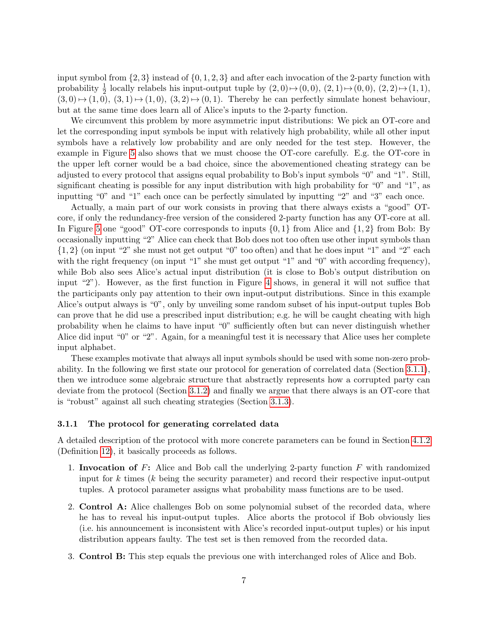input symbol from  $\{2,3\}$  instead of  $\{0,1,2,3\}$  and after each invocation of the 2-party function with probability  $\frac{1}{2}$  locally relabels his input-output tuple by  $(2,0) \mapsto (0,0)$ ,  $(2,1) \mapsto (0,0)$ ,  $(2,2) \mapsto (1,1)$ ,  $(3,0) \mapsto (1, 0), (3, 1) \mapsto (1, 0), (3, 2) \mapsto (0, 1)$ . Thereby he can perfectly simulate honest behaviour, but at the same time does learn all of Alice's inputs to the 2-party function.

We circumvent this problem by more asymmetric input distributions: We pick an OT-core and let the corresponding input symbols be input with relatively high probability, while all other input symbols have a relatively low probability and are only needed for the test step. However, the example in Figure [5](#page-7-1) also shows that we must choose the OT-core carefully. E.g. the OT-core in the upper left corner would be a bad choice, since the abovementioned cheating strategy can be adjusted to every protocol that assigns equal probability to Bob's input symbols "0" and "1". Still, significant cheating is possible for any input distribution with high probability for "0" and "1", as inputting "0" and "1" each once can be perfectly simulated by inputting "2" and "3" each once.

Actually, a main part of our work consists in proving that there always exists a "good" OTcore, if only the redundancy-free version of the considered 2-party function has any OT-core at all. In Figure [5](#page-7-1) one "good" OT-core corresponds to inputs  $\{0, 1\}$  from Alice and  $\{1, 2\}$  from Bob: By occasionally inputting "2" Alice can check that Bob does not too often use other input symbols than  $\{1, 2\}$  (on input "2" she must not get output "0" too often) and that he does input "1" and "2" each with the right frequency (on input "1" she must get output "1" and "0" with according frequency), while Bob also sees Alice's actual input distribution (it is close to Bob's output distribution on input "2"). However, as the first function in Figure [4](#page-6-1) shows, in general it will not suffice that the participants only pay attention to their own input-output distributions. Since in this example Alice's output always is "0", only by unveiling some random subset of his input-output tuples Bob can prove that he did use a prescribed input distribution; e.g. he will be caught cheating with high probability when he claims to have input "0" sufficiently often but can never distinguish whether Alice did input "0" or "2". Again, for a meaningful test it is necessary that Alice uses her complete input alphabet.

These examples motivate that always all input symbols should be used with some non-zero probability. In the following we first state our protocol for generation of correlated data (Section [3.1.1\)](#page-8-0), then we introduce some algebraic structure that abstractly represents how a corrupted party can deviate from the protocol (Section [3.1.2\)](#page-9-0) and finally we argue that there always is an OT-core that is "robust" against all such cheating strategies (Section [3.1.3\)](#page-10-0).

#### <span id="page-8-0"></span>3.1.1 The protocol for generating correlated data

A detailed description of the protocol with more concrete parameters can be found in Section [4.1.2](#page-16-0) (Definition [12\)](#page-17-0), it basically proceeds as follows.

- 1. Invocation of F: Alice and Bob call the underlying 2-party function  $F$  with randomized input for k times ( $k$  being the security parameter) and record their respective input-output tuples. A protocol parameter assigns what probability mass functions are to be used.
- 2. Control A: Alice challenges Bob on some polynomial subset of the recorded data, where he has to reveal his input-output tuples. Alice aborts the protocol if Bob obviously lies (i.e. his announcement is inconsistent with Alice's recorded input-output tuples) or his input distribution appears faulty. The test set is then removed from the recorded data.
- 3. Control B: This step equals the previous one with interchanged roles of Alice and Bob.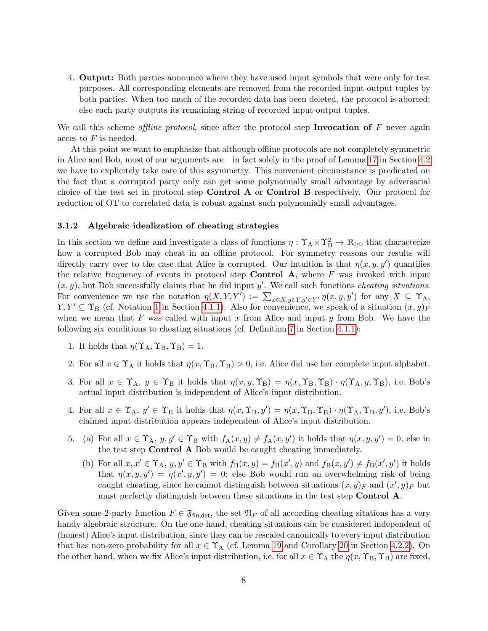4. Output: Both parties announce where they have used input symbols that were only for test purposes. All corresponding elements are removed from the recorded input-output tuples by both parties. When too much of the recorded data has been deleted, the protocol is aborted; else each party outputs its remaining string of recorded input-output tuples.

We call this scheme *offline protocol*, since after the protocol step **Invocation of**  $F$  never again acces to F is needed.

At this point we want to emphasize that although offline protocols are not completely symmetric in Alice and Bob, most of our arguments are—in fact solely in the proof of Lemma [17](#page-20-0) in Section [4.2](#page-18-0) we have to explicitely take care of this asymmetry. This convenient circumstance is predicated on the fact that a corrupted party only can get some polynomially small advantage by adversarial choice of the test set in protocol step Control A or Control B respectively. Our protocol for reduction of OT to correlated data is robust against such polynomially small advantages.

#### <span id="page-9-0"></span>3.1.2 Algebraic idealization of cheating strategies

In this section we define and investigate a class of functions  $\eta: \Upsilon_A \times \Upsilon_B^2 \to \mathbb{R}_{\geq 0}$  that characterize how a corrupted Bob may cheat in an offline protocol. For symmetry reasons our results will directly carry over to the case that Alice is corrupted. Our intuition is that  $\eta(x, y, y')$  quantifies the relative frequency of events in protocol step **Control A**, where  $F$  was invoked with input  $(x, y)$ , but Bob successfully claims that he did input y'. We call such functions *cheating situations*. For convenience we use the notation  $\eta(X, Y, Y') := \sum_{x \in X, y \in Y, y' \in Y'} \eta(x, y, y')$  for any  $X \subseteq \Upsilon_A$ ,  $Y, Y' \subseteq \Upsilon_B$  (cf. Notation [1](#page-15-5) in Section [4.1.1\)](#page-15-2). Also for convenience, we speak of a situation  $(x, y)_F$ when we mean that F was called with input x from Alice and input y from Bob. We have the following six conditions to cheating situations (cf. Definition [7](#page-16-1) in Section [4.1.1\)](#page-15-2):

- 1. It holds that  $\eta(\Upsilon_A, \Upsilon_B, \Upsilon_B) = 1$ .
- 2. For all  $x \in \Upsilon_A$  it holds that  $\eta(x, \Upsilon_B, \Upsilon_B) > 0$ , i.e. Alice did use her complete input alphabet.
- <span id="page-9-3"></span>3. For all  $x \in \Upsilon_A$ ,  $y \in \Upsilon_B$  it holds that  $\eta(x, y, \Upsilon_B) = \eta(x, \Upsilon_B, \Upsilon_B) \cdot \eta(\Upsilon_A, y, \Upsilon_B)$ , i.e. Bob's actual input distribution is independent of Alice's input distribution.
- <span id="page-9-4"></span>4. For all  $x \in \Upsilon_A$ ,  $y' \in \Upsilon_B$  it holds that  $\eta(x, \Upsilon_B, y') = \eta(x, \Upsilon_B, \Upsilon_B) \cdot \eta(\Upsilon_A, \Upsilon_B, y')$ , i.e. Bob's claimed input distribution appears independent of Alice's input distribution.
- <span id="page-9-2"></span><span id="page-9-1"></span>5. (a) For all  $x \in \Upsilon_A$ ,  $y, y' \in \Upsilon_B$  with  $f_A(x, y) \neq f_A(x, y')$  it holds that  $\eta(x, y, y') = 0$ ; else in the test step Control A Bob would be caught cheating immediately.
	- (b) For all  $x, x' \in \Upsilon_A$ ,  $y, y' \in \Upsilon_B$  with  $f_B(x, y) = f_B(x', y)$  and  $f_B(x, y') \neq f_B(x', y')$  it holds that  $\eta(x, y, y') = \eta(x', y, y') = 0$ ; else Bob would run an overwhelming risk of being caught cheating, since he cannot distinguish between situations  $(x, y)_F$  and  $(x', y)_F$  but must perfectly distinguish between these situations in the test step Control A.

Given some 2-party function  $F \in \mathfrak{F}_{fin, det}$ , the set  $\mathfrak{N}_F$  of all according cheating sitations has a very handy algebraic structure. On the one hand, cheating situations can be considered independent of (honest) Alice's input distribution, since they can be rescaled canonically to every input distribution that has non-zero probability for all  $x \in \Upsilon_A$  (cf. Lemma [19](#page-23-1) and Corollary [20](#page-23-2) in Section [4.2.2\)](#page-23-0). On the other hand, when we fix Alice's input distribution, i.e. for all  $x \in \Upsilon_A$  the  $\eta(x, \Upsilon_B, \Upsilon_B)$  are fixed,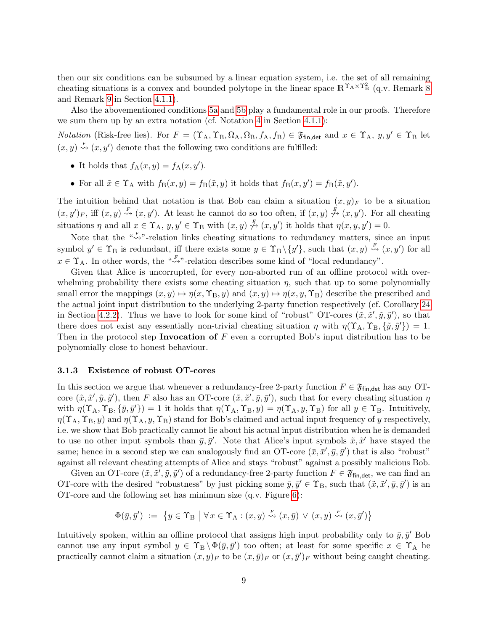then our six conditions can be subsumed by a linear equation system, i.e. the set of all remaining cheating situations is a convex and bounded polytope in the linear space  $\mathbb{R}^{\Upsilon_A \times \Upsilon_B^2}$  (q.v. Remark [8](#page-16-2)) and Remark [9](#page-16-3) in Section [4.1.1\)](#page-15-2).

Also the abovementioned conditions [5a](#page-9-1) and [5b](#page-9-2) play a fundamental role in our proofs. Therefore we sum them up by an extra notation (cf. Notation [4](#page-15-6) in Section [4.1.1\)](#page-15-2):

*Notation* (Risk-free lies). For  $F = (\Upsilon_A, \Upsilon_B, \Omega_A, \Omega_B, f_A, f_B) \in \mathfrak{F}_{fin, det}$  and  $x \in \Upsilon_A$ ,  $y, y' \in \Upsilon_B$  let  $(x, y) \stackrel{F}{\rightsquigarrow} (x, y')$  denote that the following two conditions are fulfilled:

- It holds that  $f_A(x, y) = f_A(x, y')$ .
- For all  $\tilde{x} \in \Upsilon_A$  with  $f_B(x, y) = f_B(\tilde{x}, y)$  it holds that  $f_B(x, y') = f_B(\tilde{x}, y')$ .

The intuition behind that notation is that Bob can claim a situation  $(x, y)_F$  to be a situation  $(x, y')_F$ , iff  $(x, y) \stackrel{F}{\rightsquigarrow} (x, y')$ . At least he cannot do so too often, if  $(x, y) \stackrel{F}{\not\rightsquigarrow} (x, y')$ . For all cheating situations  $\eta$  and all  $x \in \Upsilon_A$ ,  $y, y' \in \Upsilon_B$  with  $(x, y) \stackrel{F}{\n\rightarrow} (x, y')$  it holds that  $\eta(x, y, y') = 0$ .

Note that the " $\overset{F}{\rightsquigarrow}$ "-relation links cheating situations to redundancy matters, since an input symbol  $y' \in \Upsilon_B$  is redundant, iff there exists some  $y \in \Upsilon_B \setminus \{y'\}$ , such that  $(x, y) \stackrel{F}{\rightsquigarrow} (x, y')$  for all  $x \in \Upsilon_A$ . In other words, the " $\leadsto$ "-relation describes some kind of "local redundancy".

Given that Alice is uncorrupted, for every non-aborted run of an offline protocol with overwhelming probability there exists some cheating situation  $\eta$ , such that up to some polynomially small error the mappings  $(x, y) \mapsto \eta(x, \Upsilon_B, y)$  and  $(x, y) \mapsto \eta(x, y, \Upsilon_B)$  describe the prescribed and the actual joint input distribution to the underlying 2-party function respectively (cf. Corollary [24](#page-26-1) in Section [4.2.2\)](#page-23-0). Thus we have to look for some kind of "robust" OT-cores  $(\tilde{x}, \tilde{x}', \tilde{y}, \tilde{y}')$ , so that there does not exist any essentially non-trivial cheating situation  $\eta$  with  $\eta(\Upsilon_A, \Upsilon_B, \{\tilde{y}, \tilde{y}'\}) = 1$ . Then in the protocol step Invocation of  $F$  even a corrupted Bob's input distribution has to be polynomially close to honest behaviour.

#### <span id="page-10-0"></span>3.1.3 Existence of robust OT-cores

In this section we argue that whenever a redundancy-free 2-party function  $F \in \mathfrak{F}_{fin, det}$  has any OTcore  $(\tilde{x}, \tilde{x}', \tilde{y}, \tilde{y}')$ , then F also has an OT-core  $(\tilde{x}, \tilde{x}', \tilde{y}, \tilde{y}')$ , such that for every cheating situation  $\eta$ with  $\eta(\Upsilon_A, \Upsilon_B, \{\bar{y}, \bar{y}'\}) = 1$  it holds that  $\eta(\Upsilon_A, \Upsilon_B, y) = \eta(\Upsilon_A, y, \Upsilon_B)$  for all  $y \in \Upsilon_B$ . Intuitively,  $\eta(\Upsilon_A, \Upsilon_B, y)$  and  $\eta(\Upsilon_A, y, \Upsilon_B)$  stand for Bob's claimed and actual input frequency of y respectively, i.e. we show that Bob practically cannot lie about his actual input distribution when he is demanded to use no other input symbols than  $\bar{y}, \bar{y}'$ . Note that Alice's input symbols  $\tilde{x}, \tilde{x}'$  have stayed the same; hence in a second step we can analogously find an OT-core  $(\bar{x}, \bar{x}', \bar{y}, \bar{y}')$  that is also "robust" against all relevant cheating attempts of Alice and stays "robust" against a possibly malicious Bob.

Given an OT-core  $(\tilde{x}, \tilde{x}', \tilde{y}, \tilde{y}')$  of a redundancy-free 2-party function  $F \in \mathfrak{F}_{fin, det}$ , we can find an OT-core with the desired "robustness" by just picking some  $\bar{y}, \bar{y}' \in \Upsilon_B$ , such that  $(\tilde{x}, \tilde{x}', \bar{y}, \bar{y}')$  is an OT-core and the following set has minimum size (q.v. Figure [6\)](#page-11-0):

$$
\Phi(\bar{y}, \bar{y}') := \{ y \in \Upsilon_B \mid \forall x \in \Upsilon_A : (x, y) \stackrel{F}{\leadsto} (x, \bar{y}) \lor (x, y) \stackrel{F}{\leadsto} (x, \bar{y}') \}
$$

Intuitively spoken, within an offline protocol that assigns high input probability only to  $\bar{y}, \bar{y}'$  Bob cannot use any input symbol  $y \in \Upsilon_B \setminus \Phi(\bar{y}, \bar{y}')$  too often; at least for some specific  $x \in \Upsilon_A$  he practically cannot claim a situation  $(x, y)_F$  to be  $(x, \bar{y})_F$  or  $(x, \bar{y}')_F$  without being caught cheating.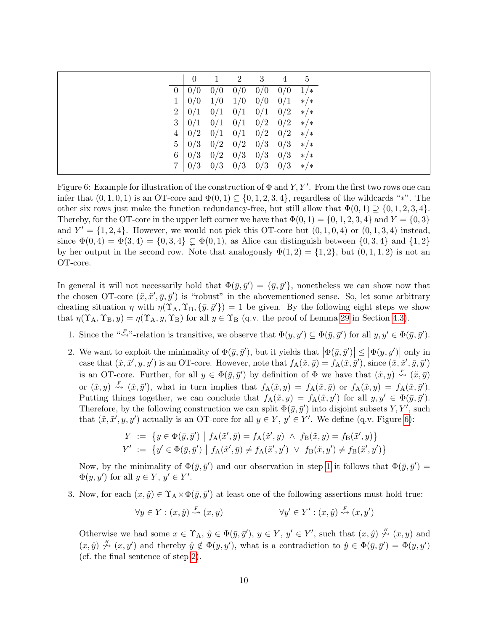<span id="page-11-0"></span>

|                | $\overline{0}$ | 1   | $\overline{2}$ | 3   | 4   | 5             |
|----------------|----------------|-----|----------------|-----|-----|---------------|
| $\overline{0}$ | 0/0            | 0/0 | 0/0            | 0/0 | 0/0 | $1/*$         |
| $\mathbf{1}$   | 0/0            | 1/0 | 1/0            | 0/0 | 0/1 | $\frac{*}{*}$ |
| $\overline{2}$ | 0/1            | 0/1 | 0/1            | 0/1 | 0/2 | $\ast/\ast$   |
| 3 <sup>2</sup> | 0/1            | 0/1 | 0/1            | 0/2 | 0/2 | $\frac{*}{*}$ |
| $\overline{4}$ | 0/2            | 0/1 | 0/1            | 0/2 | 0/2 | $\frac{*}{*}$ |
| 5 <sub>1</sub> | 0/3            | 0/2 | 0/2            | 0/3 | 0/3 | $\frac{*}{*}$ |
| 6              | 0/3            | 0/2 | 0/3            | 0/3 | 0/3 | $\frac{*}{*}$ |
|                | 0/3            | 0/3 | 0/3            | 0/3 | 0/3 | $\frac{*}{*}$ |

Figure 6: Example for illustration of the construction of  $\Phi$  and Y, Y'. From the first two rows one can infer that  $(0, 1, 0, 1)$  is an OT-core and  $\Phi(0, 1) \subseteq \{0, 1, 2, 3, 4\}$ , regardless of the wildcards "\*". The other six rows just make the function redundancy-free, but still allow that  $\Phi(0,1) \supseteq \{0,1,2,3,4\}.$ Thereby, for the OT-core in the upper left corner we have that  $\Phi(0,1) = \{0,1,2,3,4\}$  and  $Y = \{0,3\}$ and  $Y' = \{1, 2, 4\}$ . However, we would not pick this OT-core but  $(0, 1, 0, 4)$  or  $(0, 1, 3, 4)$  instead, since  $\Phi(0,4) = \Phi(3,4) = \{0,3,4\} \subset \Phi(0,1)$ , as Alice can distinguish between  $\{0,3,4\}$  and  $\{1,2\}$ by her output in the second row. Note that analogously  $\Phi(1,2) = \{1,2\}$ , but  $(0,1,1,2)$  is not an OT-core.

In general it will not necessarily hold that  $\Phi(\bar{y}, \bar{y}') = {\bar{y}, \bar{y}'},$  nonetheless we can show now that the chosen OT-core  $(\tilde{x}, \tilde{x}', \bar{y}, \bar{y}')$  is "robust" in the abovementioned sense. So, let some arbitrary cheating situation  $\eta$  with  $\eta(\Upsilon_A, \Upsilon_B, \{\bar{y}, \bar{y}'\}) = 1$  be given. By the following eight steps we show that  $\eta(\Upsilon_A, \Upsilon_B, y) = \eta(\Upsilon_A, y, \Upsilon_B)$  for all  $y \in \Upsilon_B$  (q.v. the proof of Lemma [29](#page-27-1) in Section [4.3\)](#page-26-0).

- <span id="page-11-1"></span>1. Since the " $\stackrel{\kappa_F}{\leadsto}$ "-relation is transitive, we observe that  $\Phi(y, y') \subseteq \Phi(\bar{y}, \bar{y}')$  for all  $y, y' \in \Phi(\bar{y}, \bar{y}')$ .
- <span id="page-11-2"></span>2. We want to exploit the minimality of  $\Phi(\bar{y}, \bar{y}')$ , but it yields that  $|\Phi(\bar{y}, \bar{y}')| \leq |\Phi(y, y')|$  only in case that  $(\tilde{x}, \tilde{x}', y, y')$  is an OT-core. However, note that  $f_A(\tilde{x}, \bar{y}) = f_A(\tilde{x}, \bar{y}')$ , since  $(\tilde{x}, \tilde{x}', \bar{y}, \bar{y}')$ is an OT-core. Further, for all  $y \in \Phi(\bar{y}, \bar{y}')$  by definition of  $\Phi$  we have that  $(\tilde{x}, y) \stackrel{F}{\rightsquigarrow} (\tilde{x}, \bar{y})$ or  $(\tilde{x}, y) \stackrel{F}{\rightsquigarrow} (\tilde{x}, \bar{y}')$ , what in turn implies that  $f_A(\tilde{x}, y) = f_A(\tilde{x}, \bar{y})$  or  $f_A(\tilde{x}, y) = f_A(\tilde{x}, \bar{y}')$ . Putting things together, we can conclude that  $f_A(\tilde{x}, y) = f_A(\tilde{x}, y')$  for all  $y, y' \in \Phi(\bar{y}, \bar{y}')$ . Therefore, by the following construction we can split  $\Phi(\bar{y}, \bar{y}')$  into disjoint subsets Y, Y', such that  $(\tilde{x}, \tilde{x}', y, y')$  actually is an OT-core for all  $y \in Y$ ,  $y' \in Y'$ . We define (q.v. Figure [6\)](#page-11-0):

$$
Y := \{ y \in \Phi(\bar{y}, \bar{y}') \mid f_A(\tilde{x}', \bar{y}) = f_A(\tilde{x}', y) \land f_B(\tilde{x}, y) = f_B(\tilde{x}', y) \}
$$
  

$$
Y' := \{ y' \in \Phi(\bar{y}, \bar{y}') \mid f_A(\tilde{x}', \bar{y}) \neq f_A(\tilde{x}', y') \lor f_B(\tilde{x}, y') \neq f_B(\tilde{x}', y') \}
$$

Now, by the minimality of  $\Phi(\bar{y}, \bar{y}')$  and our observation in step [1](#page-11-1) it follows that  $\Phi(\bar{y}, \bar{y}')$  $\Phi(y, y')$  for all  $y \in Y, y' \in Y'$ .

<span id="page-11-3"></span>3. Now, for each  $(x, \hat{y}) \in \Upsilon_A \times \Phi(\bar{y}, \bar{y}')$  at least one of the following assertions must hold true:

$$
\forall y \in Y : (x, \hat{y}) \stackrel{F}{\leadsto} (x, y) \qquad \forall y' \in Y' : (x, \hat{y}) \stackrel{F}{\leadsto} (x, y')
$$

Otherwise we had some  $x \in \Upsilon_A$ ,  $\hat{y} \in \Phi(\bar{y}, \bar{y}')$ ,  $y \in Y$ ,  $y' \in Y'$ , such that  $(x, \hat{y}) \stackrel{\mathcal{F}}{\rightarrow} (x, y)$  and  $(x, \hat{y}) \stackrel{F}{\n\rightarrow} (x, y')$  and thereby  $\hat{y} \notin \Phi(y, y')$ , what is a contradiction to  $\hat{y} \in \Phi(\bar{y}, \bar{y}') = \Phi(y, y')$ (cf. the final sentence of step [2\)](#page-11-2).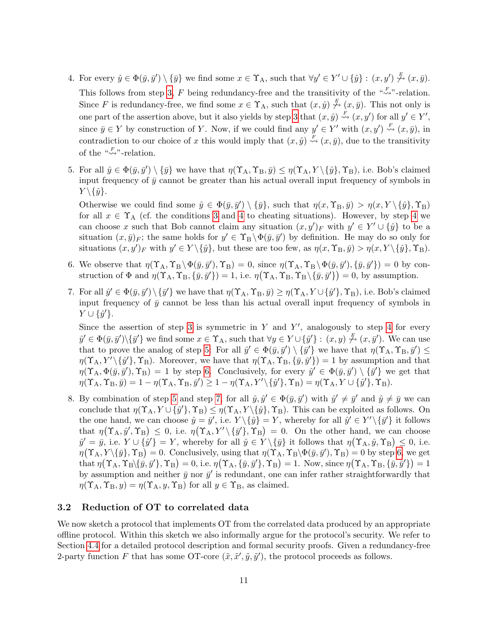- <span id="page-12-1"></span>4. For every  $\hat{y} \in \Phi(\bar{y}, \bar{y}') \setminus {\bar{y}}$  we find some  $x \in \Upsilon_A$ , such that  $\forall y' \in Y' \cup {\hat{y}} : (x, y') \stackrel{F}{\leadsto} (x, \bar{y})$ . This follows from step [3,](#page-11-3) F being redundancy-free and the transitivity of the " $\stackrel{F}{\leadsto}$ "-relation. Since F is redundancy-free, we find some  $x \in \Upsilon_A$ , such that  $(x, \hat{y}) \notin (x, \bar{y})$ . This not only is one part of the assertion above, but it also yields by step [3](#page-11-3) that  $(x, \hat{y}) \stackrel{F}{\rightsquigarrow} (x, y')$  for all  $y' \in Y'$ , since  $\bar{y} \in Y$  by construction of Y. Now, if we could find any  $y' \in Y'$  with  $(x, y') \stackrel{F}{\rightsquigarrow} (x, \bar{y})$ , in contradiction to our choice of x this would imply that  $(x, \hat{y}) \stackrel{F}{\rightsquigarrow} (x, \bar{y})$ , due to the transitivity of the  $\sqrt[a]{\underset{\sim}{\sim}}$ "-relation.
- <span id="page-12-2"></span>5. For all  $\hat{y} \in \Phi(\bar{y}, \bar{y}') \setminus {\{\bar{y}\}}$  we have that  $\eta(\Upsilon_A, \Upsilon_B, \bar{y}) \leq \eta(\Upsilon_A, Y \setminus {\{\hat{y}\}}, \Upsilon_B)$ , i.e. Bob's claimed input frequency of  $\bar{y}$  cannot be greater than his actual overall input frequency of symbols in  $Y \setminus {\hat{y}}.$

Otherwise we could find some  $\hat{y} \in \Phi(\bar{y}, \bar{y}') \setminus {\bar{y}}$ , such that  $\eta(x, \Upsilon_B, \bar{y}) > \eta(x, Y \setminus {\hat{y}}, \Upsilon_B)$ for all  $x \in \Upsilon_A$  (cf. the conditions [3](#page-9-3) and [4](#page-12-1) to cheating situations). However, by step 4 we can choose x such that Bob cannot claim any situation  $(x, y')_F$  with  $y' \in Y' \cup \{\hat{y}\}\)$  to be a situation  $(x,\bar{y})_F$ ; the same holds for  $y' \in \Upsilon_B \setminus \Phi(\bar{y},\bar{y}')$  by definition. He may do so only for situations  $(x, y')_F$  with  $y' \in Y \setminus {\hat{y}}$ , but these are too few, as  $\eta(x, \Upsilon_B, \bar{y}) > \eta(x, Y \setminus {\hat{y}}$ ,  $\Upsilon_B)$ .

- <span id="page-12-3"></span>6. We observe that  $\eta(\Upsilon_A, \Upsilon_B \setminus \Phi(\bar{y}, \bar{y}'), \Upsilon_B) = 0$ , since  $\eta(\Upsilon_A, \Upsilon_B \setminus \Phi(\bar{y}, \bar{y}'), \{\bar{y}, \bar{y}'\}) = 0$  by construction of  $\Phi$  and  $\eta(\Upsilon_A, \Upsilon_B, {\bar{y}}, {\bar{y}}') = 1$ , i.e.  $\eta(\Upsilon_A, \Upsilon_B, \Upsilon_B \setminus {\bar{y}}, {\bar{y}}') = 0$ , by assumption.
- <span id="page-12-4"></span>7. For all  $\hat{y}' \in \Phi(\bar{y}, \bar{y}') \setminus {\{\bar{y}'\}}$  we have that  $\eta(\Upsilon_A, \Upsilon_B, \bar{y}) \geq \eta(\Upsilon_A, Y \cup {\{\hat{y}'\}}, \Upsilon_B)$ , i.e. Bob's claimed input frequency of  $\bar{y}$  cannot be less than his actual overall input frequency of symbols in  $Y \cup {\hat{y}}'.$

Since the assertion of step [3](#page-11-3) is symmetric in  $Y$  and  $Y'$ , analogously to step [4](#page-12-1) for every  $\hat{y}' \in \Phi(\bar{y}, \bar{y}')\setminus{\{\bar{y}'\}}$  we find some  $x \in \Upsilon_A$ , such that  $\forall y \in Y \cup \{\hat{y}'\} : (x, y) \stackrel{F}{\not\sim} (x, \bar{y}')$ . We can use that to prove the analog of step [5:](#page-12-2) For all  $\hat{y}' \in \Phi(\bar{y}, \bar{y}') \setminus {\{\bar{y}'\}}$  we have that  $\eta(\Upsilon_A, \Upsilon_B, \bar{y}') \leq$  $\eta(\Upsilon_A, Y' \setminus {\hat{y}}', \Upsilon_B)$ . Moreover, we have that  $\eta(\Upsilon_A, \Upsilon_B, {\hat{y}}, {\hat{y}}') = 1$  by assumption and that  $\eta(\Upsilon_A, \Phi(\bar{y}, \bar{y}'), \Upsilon_B) = 1$  by step [6.](#page-12-3) Conclusively, for every  $\hat{y}' \in \Phi(\bar{y}, \bar{y}') \setminus {\{\bar{y}'\}}$  we get that  $\eta(\Upsilon_A, \Upsilon_B, \bar{y}) = 1 - \eta(\Upsilon_A, \Upsilon_B, \bar{y}') \ge 1 - \eta(\Upsilon_A, Y' \setminus {\{\hat{y}'\}}, \Upsilon_B) = \eta(\Upsilon_A, Y \cup {\{\hat{y}'\}}, \Upsilon_B).$ 

8. By combination of step [5](#page-12-2) and step [7,](#page-12-4) for all  $\hat{y}, \hat{y}' \in \Phi(\bar{y}, \bar{y}')$  with  $\hat{y}' \neq \bar{y}'$  and  $\hat{y} \neq \bar{y}$  we can conclude that  $\eta(\Upsilon_A, Y \cup \{\hat{y}\}, \Upsilon_B) \leq \eta(\Upsilon_A, Y \setminus \{\hat{y}\}, \Upsilon_B)$ . This can be exploited as follows. On the one hand, we can choose  $\hat{y} = \bar{y}'$ , i.e.  $Y \setminus {\hat{y}} = Y$ , whereby for all  $\hat{y}' \in Y' \setminus {\{\bar{y}'\}}$  it follows that  $\eta(\Upsilon_A, \hat{y}', \Upsilon_B) \leq 0$ , i.e.  $\eta(\Upsilon_A, Y' \setminus {\{\overline{y}'\}}, \Upsilon_B) = 0$ . On the other hand, we can choose  $\hat{y}' = \bar{y}$ , i.e.  $Y \cup {\hat{y}'} = Y$ , whereby for all  $\hat{y} \in Y \setminus {\bar{y}}$  it follows that  $\eta(\Upsilon_A, \hat{y}, \Upsilon_B) \leq 0$ , i.e.  $\eta(\Upsilon_A, Y \setminus {\{\overline{y}\}}, \Upsilon_B) = 0.$  Conclusively, using that  $\eta(\Upsilon_A, \Upsilon_B \setminus {\Phi(\overline{y}, \overline{y}')} , \Upsilon_B) = 0$  by step [6,](#page-12-3) we get that  $\eta(\Upsilon_A, \Upsilon_B \setminus {\overline{y}}, {\overline{y}}), \Upsilon_B) = 0$ , i.e.  $\eta(\Upsilon_A, {\overline{y}}, {\overline{y}}', \Upsilon_B) = 1$ . Now, since  $\eta(\Upsilon_A, \Upsilon_B, {\overline{y}}, {\overline{y}}') = 1$ by assumption and neither  $\bar{y}$  nor  $\bar{y}'$  is redundant, one can infer rather straightforwardly that  $\eta(\Upsilon_A, \Upsilon_B, y) = \eta(\Upsilon_A, y, \Upsilon_B)$  for all  $y \in \Upsilon_B$ , as claimed.

## <span id="page-12-0"></span>3.2 Reduction of OT to correlated data

We now sketch a protocol that implements OT from the correlated data produced by an appropriate offline protocol. Within this sketch we also informally argue for the protocol's security. We refer to Section [4.4](#page-31-0) for a detailed protocol description and formal security proofs. Given a redundancy-free 2-party function F that has some OT-core  $(\tilde{x}, \tilde{x}', \tilde{y}, \tilde{y}')$ , the protocol proceeds as follows.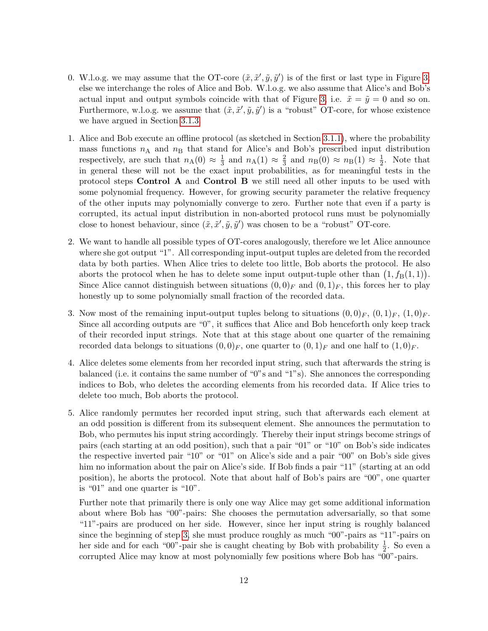- 0. W.l.o.g. we may assume that the OT-core  $(\tilde{x}, \tilde{x}', \tilde{y}, \tilde{y}')$  is of the first or last type in Figure [3;](#page-5-2) else we interchange the roles of Alice and Bob. W.l.o.g. we also assume that Alice's and Bob's actual input and output symbols coincide with that of Figure [3,](#page-5-2) i.e.  $\tilde{x} = \tilde{y} = 0$  and so on. Furthermore, w.l.o.g. we assume that  $(\tilde{x}, \tilde{x}', \tilde{y}, \tilde{y}')$  is a "robust" OT-core, for whose existence we have argued in Section [3.1.3.](#page-10-0)
- 1. Alice and Bob execute an offline protocol (as sketched in Section [3.1.1\)](#page-8-0), where the probability mass functions  $n_A$  and  $n_B$  that stand for Alice's and Bob's prescribed input distribution respectively, are such that  $n_A(0) \approx \frac{1}{3}$  $\frac{1}{3}$  and  $n_A(1) \approx \frac{2}{3}$  $\frac{2}{3}$  and  $n_{\text{B}}(0) \approx n_{\text{B}}(1) \approx \frac{1}{2}$  $\frac{1}{2}$ . Note that in general these will not be the exact input probabilities, as for meaningful tests in the protocol steps Control A and Control B we still need all other inputs to be used with some polynomial frequency. However, for growing security parameter the relative frequency of the other inputs may polynomially converge to zero. Further note that even if a party is corrupted, its actual input distribution in non-aborted protocol runs must be polynomially close to honest behaviour, since  $(\tilde{x}, \tilde{x}', \tilde{y}, \tilde{y}')$  was chosen to be a "robust" OT-core.
- 2. We want to handle all possible types of OT-cores analogously, therefore we let Alice announce where she got output "1". All corresponding input-output tuples are deleted from the recorded data by both parties. When Alice tries to delete too little, Bob aborts the protocol. He also aborts the protocol when he has to delete some input output-tuple other than  $(1, f_B(1, 1))$ . Since Alice cannot distinguish between situations  $(0,0)_F$  and  $(0,1)_F$ , this forces her to play honestly up to some polynomially small fraction of the recorded data.
- <span id="page-13-0"></span>3. Now most of the remaining input-output tuples belong to situations  $(0,0)_F$ ,  $(0,1)_F$ ,  $(1,0)_F$ . Since all according outputs are "0", it suffices that Alice and Bob henceforth only keep track of their recorded input strings. Note that at this stage about one quarter of the remaining recorded data belongs to situations  $(0,0)<sub>F</sub>$ , one quarter to  $(0,1)<sub>F</sub>$  and one half to  $(1,0)<sub>F</sub>$ .
- 4. Alice deletes some elements from her recorded input string, such that afterwards the string is balanced (i.e. it contains the same number of "0"s and "1"s). She annonces the corresponding indices to Bob, who deletes the according elements from his recorded data. If Alice tries to delete too much, Bob aborts the protocol.
- 5. Alice randomly permutes her recorded input string, such that afterwards each element at an odd possition is different from its subsequent element. She announces the permutation to Bob, who permutes his input string accordingly. Thereby their input strings become strings of pairs (each starting at an odd position), such that a pair "01" or "10" on Bob's side indicates the respective inverted pair "10" or "01" on Alice's side and a pair "00" on Bob's side gives him no information about the pair on Alice's side. If Bob finds a pair "11" (starting at an odd position), he aborts the protocol. Note that about half of Bob's pairs are "00", one quarter is "01" and one quarter is "10".

Further note that primarily there is only one way Alice may get some additional information about where Bob has "00"-pairs: She chooses the permutation adversarially, so that some "11"-pairs are produced on her side. However, since her input string is roughly balanced since the beginning of step [3,](#page-13-0) she must produce roughly as much "00"-pairs as "11"-pairs on her side and for each "00"-pair she is caught cheating by Bob with probability  $\frac{1}{2}$ . So even a corrupted Alice may know at most polynomially few positions where Bob has "00"-pairs.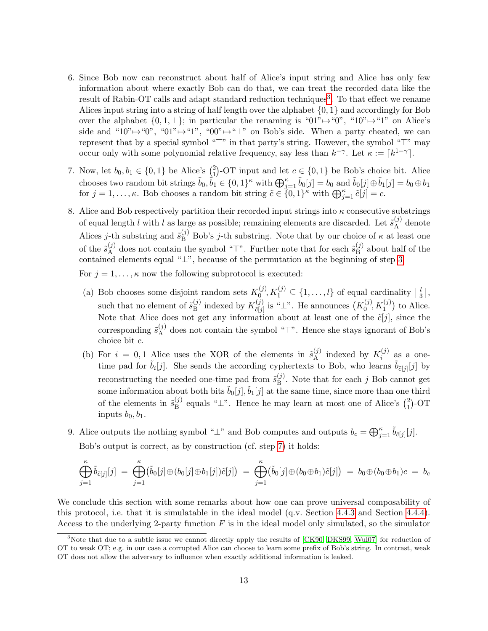- 6. Since Bob now can reconstruct about half of Alice's input string and Alice has only few information about where exactly Bob can do that, we can treat the recorded data like the result of Rabin-OT calls and adapt standard reduction techniques<sup>[3](#page-14-0)</sup>. To that effect we rename Alices input string into a string of half length over the alphabet  $\{0, 1\}$  and accordingly for Bob over the alphabet  $\{0, 1, \perp\}$ ; in particular the renaming is " $01$ " $\rightarrow$ " $0$ ", " $10$ " $\rightarrow$ " $1$ " on Alice's side and "10" $\mapsto$ "0", "01" $\mapsto$ "1", "00" $\mapsto$ " $\perp$ " on Bob's side. When a party cheated, we can represent that by a special symbol " $\top$ " in that party's string. However, the symbol " $\top$ " may occur only with some polynomial relative frequency, say less than  $k^{-\gamma}$ . Let  $\kappa := \lceil k^{1-\gamma} \rceil$ .
- <span id="page-14-1"></span>7. Now, let  $b_0, b_1 \in \{0, 1\}$  be Alice's  $\binom{2}{1}$ <sup>2</sup><sub>1</sub>)-OT input and let  $c \in \{0,1\}$  be Bob's choice bit. Alice chooses two random bit strings  $\tilde{b}_0, \tilde{b}_1 \in \{0, 1\}^\kappa$  with  $\bigoplus_{j=1}^\kappa \tilde{b}_0[j] = b_0$  and  $\tilde{b}_0[j] \oplus \tilde{b}_1[j] = b_0 \oplus b_1$ for  $j = 1, \ldots, \kappa$ . Bob chooses a random bit string  $\tilde{c} \in \{0, 1\}^{\kappa}$  with  $\bigoplus_{j=1}^{\kappa} \tilde{c}[j] = c$ .
- 8. Alice and Bob respectively partition their recorded input strings into  $\kappa$  consecutive substrings of equal length l with l as large as possible; remaining elements are discarded. Let  $\tilde{s}_{A}^{(j)}$  $A^{(j)}$  denote Alices j-th substring and  $\tilde{s}_{B}^{(j)}$  Bob's j-th substring. Note that by our choice of  $\kappa$  at least one of the  $\tilde{s}_{\rm A}^{(j)}$  $_A^{(j)}$  does not contain the symbol "<sup>T</sup>". Further note that for each  $\tilde{s}_{B}^{(j)}$  $B^{(J)}$  about half of the contained elements equal "⊥", because of the permutation at the beginning of step [3.](#page-13-0)

For  $j = 1, \ldots, \kappa$  now the following subprotocol is executed:

- (a) Bob chooses some disjoint random sets  $K_0^{(j)}$  $\mathcal{L}_0^{(j)}, K_1^{(j)} \subseteq \{1, \ldots, l\}$  of equal cardinality  $\lceil \frac{l}{3} \rceil$  $\frac{l}{3}$ , such that no element of  $\tilde{s}_{\rm B}^{(j)}$  $\mathcal{L}_{\text{B}}^{(j)}$  indexed by  $K_{\tilde{c}[j]}^{(j)}$  $\tilde{c}_{[j]}^{(j)}$  is "⊥". He announces  $\left(K_0^{(j)}\right)$  $\binom{(j)}{0}$ ,  $K_1^{(j)}$ ) to Alice. Note that Alice does not get any information about at least one of the  $\tilde{c}[j]$ , since the corresponding  $\tilde{s}_{\rm A}^{(j)}$  $_A^{(j)}$  does not contain the symbol " $T$ ". Hence she stays ignorant of Bob's choice bit c.
- <span id="page-14-2"></span>(b) For  $i = 0, 1$  Alice uses the XOR of the elements in  $\tilde{s}_{A}^{(j)}$  $\mathcal{L}_{\mathbf{A}}^{(j)}$  indexed by  $K_i^{(j)}$  $i^{(J)}$  as a onetime pad for  $\tilde{b}_i[j]$ . She sends the according cyphertexts to Bob, who learns  $\tilde{b}_{\tilde{c}[j]}[j]$  by reconstructing the needed one-time pad from  $\tilde{s}_{\rm B}^{(j)}$  $_{\text{B}}^{(j)}$ . Note that for each j Bob cannot get some information about both bits  $\tilde{b}_0[j], \tilde{b}_1[j]$  at the same time, since more than one third of the elements in  $\tilde{s}_{\rm B}^{(j)}$  $\mathbf{B}_{\text{B}}^{(j)}$  equals " $\perp$ ". Hence he may learn at most one of Alice's  $\binom{2}{1}$  $_{1}^{2})$ -OT inputs  $b_0, b_1$ .
- 9. Alice outputs the nothing symbol " $\perp$ " and Bob computes and outputs  $b_c = \bigoplus_{j=1}^{\kappa} \tilde{b}_{\tilde{c}[j]}[j].$ Bob's output is correct, as by construction (cf. step [7\)](#page-14-1) it holds:

$$
\bigoplus_{j=1}^{\kappa} \tilde{b}_{\tilde{c}[j]}[j] \ = \ \bigoplus_{j=1}^{\kappa} \bigl( \tilde{b}_0[j] \oplus (b_0[j] \oplus b_1[j]) \tilde{c}[j] \bigr) \ = \ \bigoplus_{j=1}^{\kappa} \bigl( \tilde{b}_0[j] \oplus (b_0 \oplus b_1) \tilde{c}[j] \bigr) \ = \ b_0 \oplus (b_0 \oplus b_1) c \ = \ b_c
$$

We conclude this section with some remarks about how one can prove universal composability of this protocol, i.e. that it is simulatable in the ideal model (q.v. Section [4.4.3](#page-34-1) and Section [4.4.4\)](#page-35-0). Access to the underlying 2-party function  $F$  is in the ideal model only simulated, so the simulator

<span id="page-14-0"></span><sup>&</sup>lt;sup>3</sup>Note that due to a subtle issue we cannot directly apply the results of [\[CK90,](#page-41-4) [DKS99,](#page-42-5) [Wul07\]](#page-43-4) for reduction of OT to weak OT; e.g. in our case a corrupted Alice can choose to learn some prefix of Bob's string. In contrast, weak OT does not allow the adversary to influence when exactly additional information is leaked.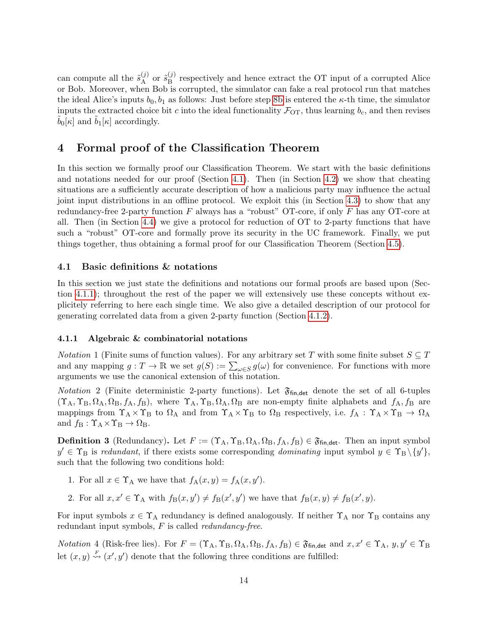can compute all the  $\tilde{s}_{A}^{(j)}$  $_{\rm A}^{(j)}$  or  $\tilde{s}_{\rm B}^{(j)}$  $B$ <sup> $(y)$ </sup> respectively and hence extract the OT input of a corrupted Alice or Bob. Moreover, when Bob is corrupted, the simulator can fake a real protocol run that matches the ideal Alice's inputs  $b_0$ ,  $b_1$  as follows: Just before step [8b](#page-14-2) is entered the  $\kappa$ -th time, the simulator inputs the extracted choice bit c into the ideal functionality  $\mathcal{F}_{OT}$ , thus learning  $b_c$ , and then revises  $b_0[\kappa]$  and  $b_1[\kappa]$  accordingly.

# <span id="page-15-0"></span>4 Formal proof of the Classification Theorem

In this section we formally proof our Classification Theorem. We start with the basic definitions and notations needed for our proof (Section [4.1\)](#page-15-1). Then (in Section [4.2\)](#page-18-0) we show that cheating situations are a sufficiently accurate description of how a malicious party may influence the actual joint input distributions in an offline protocol. We exploit this (in Section [4.3\)](#page-26-0) to show that any redundancy-free 2-party function  $F$  always has a "robust" OT-core, if only  $F$  has any OT-core at all. Then (in Section [4.4\)](#page-31-0) we give a protocol for reduction of OT to 2-party functions that have such a "robust" OT-core and formally prove its security in the UC framework. Finally, we put things together, thus obtaining a formal proof for our Classification Theorem (Section [4.5\)](#page-38-0).

### <span id="page-15-1"></span>4.1 Basic definitions & notations

In this section we just state the definitions and notations our formal proofs are based upon (Section [4.1.1\)](#page-15-2); throughout the rest of the paper we will extensively use these concepts without explicitely referring to here each single time. We also give a detailed description of our protocol for generating correlated data from a given 2-party function (Section [4.1.2\)](#page-16-0).

#### <span id="page-15-2"></span>4.1.1 Algebraic & combinatorial notations

<span id="page-15-5"></span>*Notation* 1 (Finite sums of function values). For any arbitrary set T with some finite subset  $S \subseteq T$ and any mapping  $g: T \to \mathbb{R}$  we set  $g(S) := \sum_{\omega \in S} g(\omega)$  for convenience. For functions with more arguments we use the canonical extension of this notation.

<span id="page-15-3"></span>*Notation* 2 (Finite deterministic 2-party functions). Let  $\mathfrak{F}_{fin, det}$  denote the set of all 6-tuples  $(\Upsilon_A, \Upsilon_B, \Omega_A, \Omega_B, f_A, f_B)$ , where  $\Upsilon_A, \Upsilon_B, \Omega_A, \Omega_B$  are non-empty finite alphabets and  $f_A, f_B$  are mappings from  $\Upsilon_A \times \Upsilon_B$  to  $\Omega_A$  and from  $\Upsilon_A \times \Upsilon_B$  to  $\Omega_B$  respectively, i.e.  $f_A : \Upsilon_A \times \Upsilon_B \to \Omega_A$ and  $f_{\rm B} : \Upsilon_{\rm A} \times \Upsilon_{\rm B} \to \Omega_{\rm B}$ .

<span id="page-15-4"></span>**Definition 3** (Redundancy). Let  $F := (\Upsilon_A, \Upsilon_B, \Omega_A, \Omega_B, f_A, f_B) \in \mathfrak{F}_{fin, det}$ . Then an input symbol  $y' \in \Upsilon_B$  is redundant, if there exists some corresponding dominating input symbol  $y \in \Upsilon_B \setminus \{y'\},$ such that the following two conditions hold:

- 1. For all  $x \in \Upsilon_A$  we have that  $f_A(x, y) = f_A(x, y')$ .
- 2. For all  $x, x' \in \Upsilon_A$  with  $f_B(x, y') \neq f_B(x', y')$  we have that  $f_B(x, y) \neq f_B(x', y)$ .

For input symbols  $x \in \Upsilon_A$  redundancy is defined analogously. If neither  $\Upsilon_A$  nor  $\Upsilon_B$  contains any redundant input symbols,  $F$  is called *redundancy-free.* 

<span id="page-15-6"></span>*Notation* 4 (Risk-free lies). For  $F = (\Upsilon_A, \Upsilon_B, \Omega_A, \Omega_B, f_A, f_B) \in \mathfrak{F}_{fin, det}$  and  $x, x' \in \Upsilon_A$ ,  $y, y' \in \Upsilon_B$ let  $(x, y) \stackrel{F}{\rightsquigarrow} (x', y')$  denote that the following three conditions are fulfilled: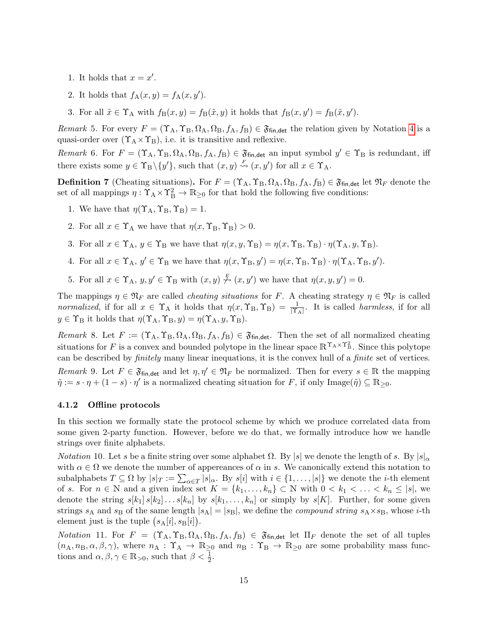- 1. It holds that  $x = x'$ .
- <span id="page-16-8"></span>2. It holds that  $f_A(x, y) = f_A(x, y')$ .
- 3. For all  $\tilde{x} \in \Upsilon_A$  with  $f_B(x, y) = f_B(\tilde{x}, y)$  it holds that  $f_B(x, y') = f_B(\tilde{x}, y')$ .

<span id="page-16-7"></span>Remark 5. For every  $F = (\Upsilon_A, \Upsilon_B, \Omega_A, \Omega_B, f_A, f_B) \in \mathfrak{F}_{fin, det}$  the relation given by Notation [4](#page-15-6) is a quasi-order over  $(\Upsilon_A \times \Upsilon_B)$ , i.e. it is transitive and reflexive.

<span id="page-16-9"></span>Remark 6. For  $F = (\Upsilon_A, \Upsilon_B, \Omega_A, \Omega_B, f_A, f_B) \in \mathfrak{F}_{fin, det}$  an input symbol  $y' \in \Upsilon_B$  is redundant, iff there exists some  $y \in \Upsilon_B \setminus \{y'\}$ , such that  $(x, y) \stackrel{F}{\rightsquigarrow} (x, y')$  for all  $x \in \Upsilon_A$ .

<span id="page-16-1"></span>**Definition 7** (Cheating situations). For  $F = (\Upsilon_A, \Upsilon_B, \Omega_A, \Omega_B, f_A, f_B) \in \mathfrak{F}_{fin, det}$  let  $\mathfrak{N}_F$  denote the set of all mappings  $\eta: \Upsilon_A \times \Upsilon_B^2 \to \mathbb{R}_{\geq 0}$  for that hold the following five conditions:

- 1. We have that  $\eta(\Upsilon_A, \Upsilon_B, \Upsilon_B) = 1$ .
- 2. For all  $x \in \Upsilon_A$  we have that  $\eta(x, \Upsilon_B, \Upsilon_B) > 0$ .
- <span id="page-16-5"></span>3. For all  $x \in \Upsilon_A$ ,  $y \in \Upsilon_B$  we have that  $\eta(x, y, \Upsilon_B) = \eta(x, \Upsilon_B, \Upsilon_B) \cdot \eta(\Upsilon_A, y, \Upsilon_B)$ .
- <span id="page-16-6"></span>4. For all  $x \in \Upsilon_A$ ,  $y' \in \Upsilon_B$  we have that  $\eta(x, \Upsilon_B, y') = \eta(x, \Upsilon_B, \Upsilon_B) \cdot \eta(\Upsilon_A, \Upsilon_B, y')$ .
- <span id="page-16-10"></span>5. For all  $x \in \Upsilon_A$ ,  $y, y' \in \Upsilon_B$  with  $(x, y) \stackrel{F}{\n\rightarrow} (x, y')$  we have that  $\eta(x, y, y') = 0$ .

The mappings  $\eta \in \mathfrak{N}_F$  are called *cheating situations* for F. A cheating strategy  $\eta \in \mathfrak{N}_F$  is called normalized, if for all  $x \in \Upsilon_A$  it holds that  $\eta(x, \Upsilon_B, \Upsilon_B) = \frac{1}{|\Upsilon_A|}$ . It is called harmless, if for all  $y \in \Upsilon_B$  it holds that  $\eta(\Upsilon_A, \Upsilon_B, y) = \eta(\Upsilon_A, y, \Upsilon_B)$ .

<span id="page-16-3"></span><span id="page-16-2"></span>Remark 8. Let  $F := (\Upsilon_A, \Upsilon_B, \Omega_A, \Omega_B, f_A, f_B) \in \mathfrak{F}_{fin, det}$ . Then the set of all normalized cheating situations for F is a convex and bounded polytope in the linear space  $\mathbb{R}^{\Upsilon_A \times \Upsilon_B^2}$ . Since this polytope can be described by finitely many linear inequations, it is the convex hull of a finite set of vertices. Remark 9. Let  $F \in \mathfrak{F}_{fin, det}$  and let  $\eta, \eta' \in \mathfrak{N}_F$  be normalized. Then for every  $s \in \mathbb{R}$  the mapping  $\tilde{\eta} := s \cdot \eta + (1 - s) \cdot \eta'$  is a normalized cheating situation for F, if only Image $(\tilde{\eta}) \subseteq \mathbb{R}_{\geq 0}$ .

#### <span id="page-16-0"></span>4.1.2 Offline protocols

In this section we formally state the protocol scheme by which we produce correlated data from some given 2-party function. However, before we do that, we formally introduce how we handle strings over finite alphabets.

*Notation* 10. Let s be a finite string over some alphabet Ω. By |s| we denote the length of s. By  $|s|_{\alpha}$ with  $\alpha \in \Omega$  we denote the number of appereances of  $\alpha$  in s. We canonically extend this notation to subalphabets  $T \subseteq \Omega$  by  $|s|_T := \sum_{\alpha \in T} |s|_\alpha$ . By  $s[i]$  with  $i \in \{1, \ldots, |s|\}$  we denote the *i*-th element of s. For  $n \in \mathbb{N}$  and a given index set  $K = \{k_1, \ldots, k_n\} \subset \mathbb{N}$  with  $0 < k_1 < \ldots < k_n \leq |s|$ , we denote the string  $s[k_1] s[k_2] \ldots s[k_n]$  by  $s[k_1, \ldots, k_n]$  or simply by  $s[K]$ . Further, for some given strings  $s_A$  and  $s_B$  of the same length  $|s_A| = |s_B|$ , we define the *compound string*  $s_A \times s_B$ , whose *i*-th element just is the tuple  $(s_A[i], s_B[i])$ .

<span id="page-16-4"></span>Notation 11. For  $F = (\Upsilon_A, \Upsilon_B, \Omega_A, \Omega_B, f_A, f_B) \in \mathfrak{F}_{fin, det}$  let  $\Pi_F$  denote the set of all tuples  $(n_A, n_B, \alpha, \beta, \gamma)$ , where  $n_A : \Upsilon_A \to \mathbb{R}_{\geq 0}$  and  $n_B : \Upsilon_B \to \mathbb{R}_{\geq 0}$  are some probability mass functions and  $\alpha, \beta, \gamma \in \mathbb{R}_{>0}$ , such that  $\beta < \frac{1}{2}$ .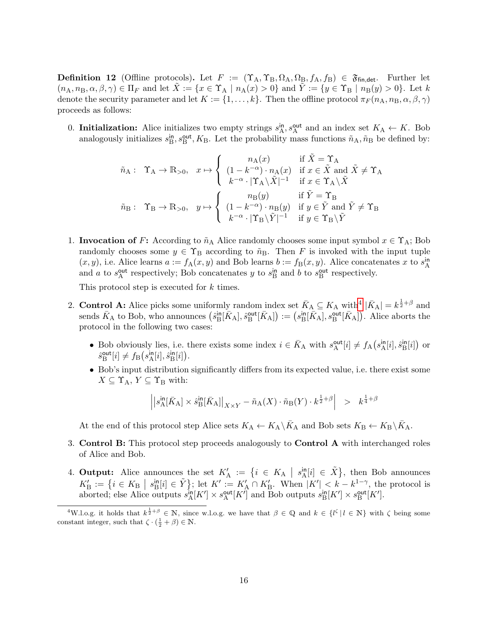<span id="page-17-0"></span>**Definition 12** (Offline protocols). Let  $F := (\Upsilon_A, \Upsilon_B, \Omega_A, \Omega_B, f_A, f_B) \in \mathfrak{F}_{fin, det}$ . Further let  $(n_A, n_B, \alpha, \beta, \gamma) \in \Pi_F$  and let  $X := \{x \in \Upsilon_A \mid n_A(x) > 0\}$  and  $Y := \{y \in \Upsilon_B \mid n_B(y) > 0\}$ . Let k denote the security parameter and let  $K := \{1, \ldots, k\}$ . Then the offline protocol  $\pi_F(n_A, n_B, \alpha, \beta, \gamma)$ proceeds as follows:

0. **Initialization:** Alice initializes two empty strings  $s_A^{\text{in}}$ ,  $s_A^{\text{out}}$  and an index set  $K_A \leftarrow K$ . Bob analogously initializes  $s_B^{\text{in}}, s_B^{\text{out}}, K_B$ . Let the probability mass functions  $\tilde{n}_A, \tilde{n}_B$  be defined by:

$$
\tilde{n}_{\mathrm{A}}: \quad \Upsilon_{\mathrm{A}} \rightarrow \mathbb{R}_{>0}, \quad x \mapsto \left\{ \begin{array}{cl} n_{\mathrm{A}}(x) & \text{if} \ \tilde{X} = \Upsilon_{\mathrm{A}} \\ (1 - k^{-\alpha}) \cdot n_{\mathrm{A}}(x) & \text{if} \ x \in \tilde{X} \ \text{and} \ \tilde{X} \neq \Upsilon_{\mathrm{A}} \\ k^{-\alpha} \cdot |\Upsilon_{\mathrm{A}} \backslash \tilde{X}|^{-1} & \text{if} \ x \in \Upsilon_{\mathrm{A}} \backslash \tilde{X} \\ \tilde{n}_{\mathrm{B}}: \quad \Upsilon_{\mathrm{B}} \rightarrow \mathbb{R}_{>0}, \quad y \mapsto \left\{ \begin{array}{cl} n_{\mathrm{B}}(y) & \text{if} \ \tilde{Y} = \Upsilon_{\mathrm{B}} \\ (1 - k^{-\alpha}) \cdot n_{\mathrm{B}}(y) & \text{if} \ y \in \tilde{Y} \ \text{and} \ \tilde{Y} \neq \Upsilon_{\mathrm{B}} \\ k^{-\alpha} \cdot |\Upsilon_{\mathrm{B}} \backslash \tilde{Y}|^{-1} & \text{if} \ y \in \Upsilon_{\mathrm{B}} \backslash \tilde{Y} \end{array} \right.
$$

1. **Invocation of F:** According to  $\tilde{n}_A$  Alice randomly chooses some input symbol  $x \in \Upsilon_A$ ; Bob randomly chooses some  $y \in \Upsilon_B$  according to  $\tilde{n}_B$ . Then F is invoked with the input tuple  $(x, y)$ , i.e. Alice learns  $a := f_A(x, y)$  and Bob learns  $b := f_B(x, y)$ . Alice concatenates x to  $s_A^{in}$ and a to  $s_A^{\text{out}}$  respectively; Bob concatenates y to  $s_B^{\text{in}}$  and b to  $s_B^{\text{out}}$  respectively.

This protocol step is executed for k times.

- 2. Control A: Alice picks some uniformly random index set  $\bar{K}_A \subseteq K_A$  with<sup>[4](#page-17-1)</sup>  $|\bar{K}_A| = k^{\frac{1}{2}+\beta}$  and sends  $\bar{K}_{\text{A}}$  to Bob, who announces  $(\hat{s}_{\text{B}}^{\text{in}}[\bar{K}_{\text{A}}], \hat{s}_{\text{B}}^{\text{out}}[\bar{K}_{\text{A}}]) := (s_{\text{B}}^{\text{in}}[\bar{K}_{\text{A}}], s_{\text{B}}^{\text{out}}[\bar{K}_{\text{A}}])$ . Alice aborts the protocol in the following two cases:
	- Bob obviously lies, i.e. there exists some index  $i \in \bar{K}_{A}$  with  $s_A^{\text{out}}[i] \neq f_A(s_A^{\text{in}}[i], \hat{s}_B^{\text{in}}[i])$  or  $\hat{s}_{\mathrm{B}}^{\text{out}}[i] \neq f_{\mathrm{B}}(s_{\mathrm{A}}^{\text{in}}[i], \hat{s}_{\mathrm{B}}^{\text{in}}[i]).$
	- Bob's input distribution significantly differs from its expected value, i.e. there exist some  $X \subseteq \Upsilon_A$ ,  $Y \subseteq \Upsilon_B$  with:

$$
\left| \left| s^{\text{in}}_A[\bar{K}_A] \times \hat{s}^{\text{in}}_B[\bar{K}_A] \right|_{X \times Y} - \tilde{n}_A(X) \cdot \tilde{n}_B(Y) \cdot k^{\frac{1}{2} + \beta} \right| \ > \ k^{\frac{1}{4} + \beta}
$$

At the end of this protocol step Alice sets  $K_A \leftarrow K_A \setminus \bar{K}_A$  and Bob sets  $K_B \leftarrow K_B \setminus \bar{K}_A$ .

- 3. Control B: This protocol step proceeds analogously to Control A with interchanged roles of Alice and Bob.
- 4. Output: Alice announces the set  $K'_A := \{i \in K_A \mid s_A^{in}[i] \in \tilde{X}\}\$ , then Bob announces  $K_{\rm B}^{\prime} := \left\{ i \in K_{\rm B} \mid s_{\rm B}^{\rm in}[i] \in \tilde{Y} \right\};$  let  $K^{\prime} := K_{\rm A}^{\prime} \cap K_{\rm B}^{\prime}$ . When  $|K^{\prime}| < k - k^{1-\gamma}$ , the protocol is aborted; else Alice outputs  $s_A^{\text{in}}[K'] \times s_A^{\text{out}}[K']$  and Bob outputs  $s_B^{\text{in}}[K'] \times s_B^{\text{out}}[K']$ .

<span id="page-17-1"></span><sup>&</sup>lt;sup>4</sup>W.l.o.g. it holds that  $k^{\frac{1}{2}+\beta} \in \mathbb{N}$ , since w.l.o.g. we have that  $\beta \in \mathbb{Q}$  and  $k \in \{l^{\zeta} | l \in \mathbb{N}\}\$  with  $\zeta$  being some constant integer, such that  $\zeta \cdot (\frac{1}{2} + \beta) \in \mathbb{N}$ .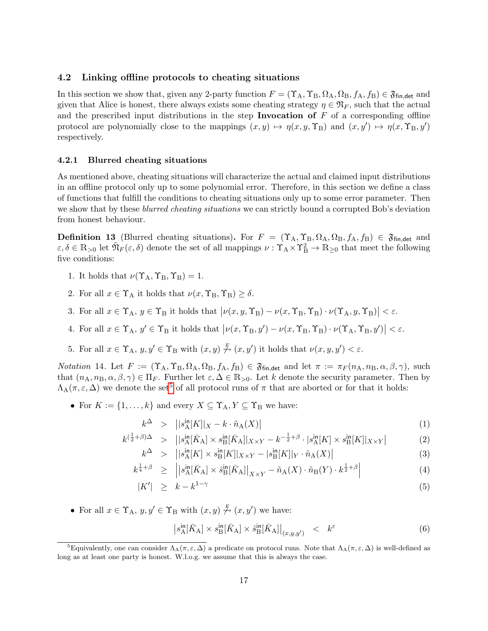### <span id="page-18-0"></span>4.2 Linking offline protocols to cheating situations

In this section we show that, given any 2-party function  $F = (\Upsilon_A, \Upsilon_B, \Omega_A, \Omega_B, f_A, f_B) \in \mathfrak{F}_{fin, det}$  and given that Alice is honest, there always exists some cheating strategy  $\eta \in \mathfrak{N}_F$ , such that the actual and the prescribed input distributions in the step **Invocation of**  $F$  of a corresponding offline protocol are polynomially close to the mappings  $(x, y) \mapsto \eta(x, y, \Upsilon_B)$  and  $(x, y') \mapsto \eta(x, \Upsilon_B, y')$ respectively.

#### <span id="page-18-1"></span>4.2.1 Blurred cheating situations

As mentioned above, cheating situations will characterize the actual and claimed input distributions in an offline protocol only up to some polynomial error. Therefore, in this section we define a class of functions that fulfill the conditions to cheating situations only up to some error parameter. Then we show that by these *blurred cheating situations* we can strictly bound a corrupted Bob's deviation from honest behaviour.

<span id="page-18-6"></span>**Definition 13** (Blurred cheating situations). For  $F = (\Upsilon_A, \Upsilon_B, \Omega_A, \Omega_B, f_A, f_B) \in \mathfrak{F}_{fin, det}$  and  $\varepsilon, \delta \in \mathbb{R}_{\geq 0}$  let  $\tilde{\mathfrak{N}}_F(\varepsilon, \delta)$  denote the set of all mappings  $\nu : \Upsilon_A \times \Upsilon_B^2 \to \mathbb{R}_{\geq 0}$  that meet the following five conditions:

- 1. It holds that  $\nu(\Upsilon_A, \Upsilon_B, \Upsilon_B) = 1$ .
- 2. For all  $x \in \Upsilon_A$  it holds that  $\nu(x, \Upsilon_B, \Upsilon_B) \ge \delta$ .
- 3. For all  $x \in \Upsilon_A$ ,  $y \in \Upsilon_B$  it holds that  $|\nu(x, y, \Upsilon_B) \nu(x, \Upsilon_B, \Upsilon_B) \cdot \nu(\Upsilon_A, y, \Upsilon_B)| < \varepsilon$ .
- 4. For all  $x \in \Upsilon_A$ ,  $y' \in \Upsilon_B$  it holds that  $|\nu(x, \Upsilon_B, y') \nu(x, \Upsilon_B, \Upsilon_B) \cdot \nu(\Upsilon_A, \Upsilon_B, y')| < \varepsilon$ .
- 5. For all  $x \in \Upsilon_A$ ,  $y, y' \in \Upsilon_B$  with  $(x, y) \stackrel{F}{\n\rightarrow} (x, y')$  it holds that  $\nu(x, y, y') < \varepsilon$ .

<span id="page-18-4"></span>Notation 14. Let  $F := (\Upsilon_A, \Upsilon_B, \Omega_A, \Omega_B, f_A, f_B) \in \mathfrak{F}_{fin, det}$  and let  $\pi := \pi_F(n_A, n_B, \alpha, \beta, \gamma)$ , such that  $(n_A, n_B, \alpha, \beta, \gamma) \in \Pi_F$ . Further let  $\varepsilon, \Delta \in \mathbb{R}_{>0}$ . Let k denote the security parameter. Then by  $\Lambda_A(\pi,\varepsilon,\Delta)$  we denote the set<sup>[5](#page-18-2)</sup> of all protocol runs of  $\pi$  that are aborted or for that it holds:

• For  $K := \{1, \ldots, k\}$  and every  $X \subseteq \Upsilon_A, Y \subseteq \Upsilon_B$  we have:

<span id="page-18-3"></span>
$$
k^{\Delta} > | |s^{\text{in}}_{\mathcal{A}}[K]|_X - k \cdot \tilde{n}_{\mathcal{A}}(X) |
$$
 (1)

$$
k^{(\frac{1}{2}+\beta)\Delta} > |[s_{\mathcal{A}}^{\text{in}}[\bar{K}_{\mathcal{A}}] \times s_{\mathcal{B}}^{\text{in}}[\bar{K}_{\mathcal{A}}]|_{X \times Y} - k^{-\frac{1}{2}+\beta} \cdot |s_{\mathcal{A}}^{\text{in}}[K] \times s_{\mathcal{B}}^{\text{in}}[K]|_{X \times Y}| \tag{2}
$$

$$
k^{\Delta} > | |s_{\mathcal{A}}^{\mathsf{in}}[K] \times s_{\mathcal{B}}^{\mathsf{in}}[K]|_{X \times Y} - |s_{\mathcal{B}}^{\mathsf{in}}[K]|_{Y} \cdot \tilde{n}_{\mathcal{A}}(X)| \tag{3}
$$

$$
k^{\frac{1}{4}+\beta} \geq \left| \left| s_A^{\text{in}}[\bar{K}_A] \times \hat{s}_B^{\text{in}}[\bar{K}_A] \right|_{X \times Y} - \tilde{n}_A(X) \cdot \tilde{n}_B(Y) \cdot k^{\frac{1}{2}+\beta} \right| \tag{4}
$$

$$
|K'| \geq k - k^{1-\gamma} \tag{5}
$$

• For all  $x \in \Upsilon_A$ ,  $y, y' \in \Upsilon_B$  with  $(x, y) \stackrel{F}{\n\rightarrow} (x, y')$  we have:

<span id="page-18-5"></span>
$$
\left| s_A^{\text{in}}[\bar{K}_A] \times s_B^{\text{in}}[\bar{K}_A] \times \hat{s}_B^{\text{in}}[\bar{K}_A] \right|_{(x,y,y')} \quad < \quad k^{\varepsilon} \tag{6}
$$

<span id="page-18-2"></span><sup>&</sup>lt;sup>5</sup>Equivalently, one can consider  $\Lambda_A(\pi, \varepsilon, \Delta)$  a predicate on protocol runs. Note that  $\Lambda_A(\pi, \varepsilon, \Delta)$  is well-defined as long as at least one party is honest. W.l.o.g. we assume that this is always the case.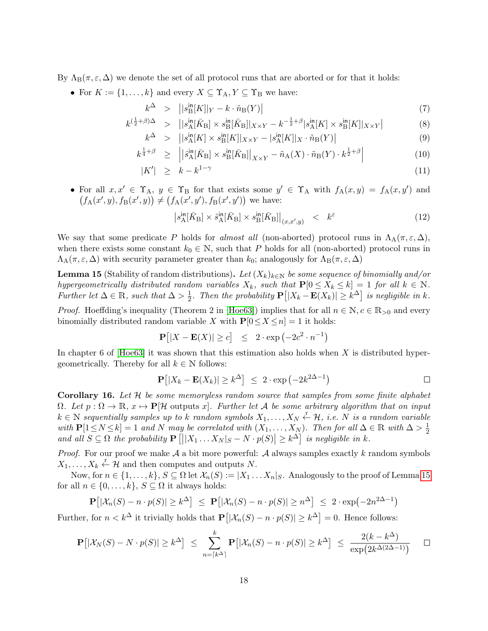By  $\Lambda_{\text{B}}(\pi,\varepsilon,\Delta)$  we denote the set of all protocol runs that are aborted or for that it holds:

• For  $K := \{1, \ldots, k\}$  and every  $X \subseteq \Upsilon_A, Y \subseteq \Upsilon_B$  we have:

<span id="page-19-2"></span>
$$
k^{\Delta} > | |s_{\text{B}}^{\text{in}}[K]|_{Y} - k \cdot \tilde{n}_{\text{B}}(Y) | \qquad (7)
$$

$$
k^{(\frac{1}{2}+\beta)\Delta} > ||s_{\mathcal{A}}^{\text{in}}(\bar{K}_{\mathcal{B}}] \times s_{\mathcal{B}}^{\text{in}}(\bar{K}_{\mathcal{B}}||_{X \times Y} - k^{-\frac{1}{2}+\beta}|s_{\mathcal{A}}^{\text{in}}[K] \times s_{\mathcal{B}}^{\text{in}}[K||_{X \times Y}]
$$
(8)

$$
k^{\Delta} > | |s^{\text{in}}_{\mathcal{A}}[K] \times s^{\text{in}}_{\mathcal{B}}[K]|_{X \times Y} - |s^{\text{in}}_{\mathcal{A}}[K]|_{X} \cdot \tilde{n}_{\mathcal{B}}(Y)| \tag{9}
$$

$$
k^{\frac{1}{4}+\beta} \geq \left| \left| \hat{s}_{\mathcal{A}}^{\mathsf{in}}[\bar{K}_{\mathcal{B}}] \times s_{\mathcal{B}}^{\mathsf{in}}[\bar{K}_{\mathcal{B}}] \right|_{X \times Y} - \tilde{n}_{\mathcal{A}}(X) \cdot \tilde{n}_{\mathcal{B}}(Y) \cdot k^{\frac{1}{2}+\beta} \right| \tag{10}
$$

$$
|K'| \geq k - k^{1-\gamma} \tag{11}
$$

• For all  $x, x' \in \Upsilon_A$ ,  $y \in \Upsilon_B$  for that exists some  $y' \in \Upsilon_A$  with  $f_A(x, y) = f_A(x, y')$  and  $(f_A(x', y), f_B(x', y)) \neq (f_A(x', y'), f_B(x', y'))$  we have:

$$
\left| s_{\rm A}^{\rm in}[\bar{K}_{\rm B}] \times \hat{s}_{\rm A}^{\rm in}[\bar{K}_{\rm B}] \times s_{\rm B}^{\rm in}[\bar{K}_{\rm B}] \right|_{(x,x',y)} \quad < \quad k^{\varepsilon} \tag{12}
$$

We say that some predicate P holds for almost all (non-aborted) protocol runs in  $\Lambda_A(\pi,\varepsilon,\Delta)$ , when there exists some constant  $k_0 \in \mathbb{N}$ , such that P holds for all (non-aborted) protocol runs in  $\Lambda_A(\pi,\varepsilon,\Delta)$  with security parameter greater than  $k_0$ ; analogously for  $\Lambda_B(\pi,\varepsilon,\Delta)$ 

<span id="page-19-0"></span>**Lemma 15** (Stability of random distributions). Let  $(X_k)_{k\in\mathbb{N}}$  be some sequence of binomially and/or hypergeometrically distributed random variables  $X_k$ , such that  $P[0 \le X_k \le k] = 1$  for all  $k \in \mathbb{N}$ . Further let  $\Delta \in \mathbb{R}$ , such that  $\Delta > \frac{1}{2}$  $\frac{1}{2}$ . Then the probability  $\mathbf{P}[|X_k - \mathbf{E}(X_k)| \geq k^{\Delta}]$  is negligible in k.

*Proof.* Hoeffding's inequality (Theorem 2 in [\[Hoe63\]](#page-42-11)) implies that for all  $n \in \mathbb{N}, c \in \mathbb{R}_{>0}$  and every binomially distributed random variable X with  $P[0 \le X \le n] = 1$  it holds:

$$
\mathbf{P}\big[|X - \mathbf{E}(X)| \ge c\big] \le 2 \cdot \exp\left(-2c^2 \cdot n^{-1}\right)
$$

In chapter 6 of  $[Hoe63]$  it was shown that this estimation also holds when X is distributed hypergeometrically. Thereby for all  $k \in \mathbb{N}$  follows:

$$
\mathbf{P}[|X_k - \mathbf{E}(X_k)| \ge k^{\Delta}] \le 2 \cdot \exp(-2k^{2\Delta - 1}) \quad \Box
$$

<span id="page-19-1"></span>**Corollary 16.** Let  $H$  be some memoryless random source that samples from some finite alphabet  $\Omega$ . Let  $p : \Omega \to \mathbb{R}, x \mapsto \mathbb{P}[\mathcal{H}$  outputs x. Further let A be some arbitrary algorithm that on input  $k \in \mathbb{N}$  sequentially samples up to k random symbols  $X_1, \ldots, X_N \overset{r}{\leftarrow} \mathcal{H}$ , i.e. N is a random variable with  $\mathbf{P}[1 \leq N \leq k] = 1$  and N may be correlated with  $(X_1, \ldots, X_N)$ . Then for all  $\Delta \in \mathbb{R}$  with  $\Delta > \frac{1}{2}$ 2 and all  $S \subseteq \Omega$  the probability  $\mathbf{P}\left[||X_1 \dots X_N|S - N \cdot p(S)|| \geq k^{\Delta} \right]$  is negligible in k.

*Proof.* For our proof we make  $A$  a bit more powerful:  $A$  always samples exactly k random symbols  $X_1, \ldots, X_k \stackrel{r}{\leftarrow} \mathcal{H}$  and then computes and outputs N.

Now, for  $n \in \{1, \ldots, k\}$ ,  $S \subseteq \Omega$  let  $\mathcal{X}_n(S) := |X_1 \ldots X_n|_S$ . Analogously to the proof of Lemma [15](#page-19-0) for all  $n \in \{0, \ldots, k\}, S \subseteq \Omega$  it always holds:

$$
\mathbf{P}\big[|\mathcal{X}_n(S) - n \cdot p(S)| \ge k^{\Delta}\big] \le \mathbf{P}\big[|\mathcal{X}_n(S) - n \cdot p(S)| \ge n^{\Delta}\big] \le 2 \cdot \exp(-2n^{2\Delta - 1})
$$

Further, for  $n < k^{\Delta}$  it trivially holds that  $\mathbf{P}[|\mathcal{X}_n(S) - n \cdot p(S)| \geq k^{\Delta}] = 0$ . Hence follows:

$$
\mathbf{P}\big[|\mathcal{X}_N(S) - N \cdot p(S)| \ge k^{\Delta}\big] \le \sum_{n=\lceil k^{\Delta} \rceil}^k \mathbf{P}\big[|\mathcal{X}_n(S) - n \cdot p(S)| \ge k^{\Delta}\big] \le \frac{2(k - k^{\Delta})}{\exp(2k^{\Delta(2\Delta - 1)})} \quad \Box
$$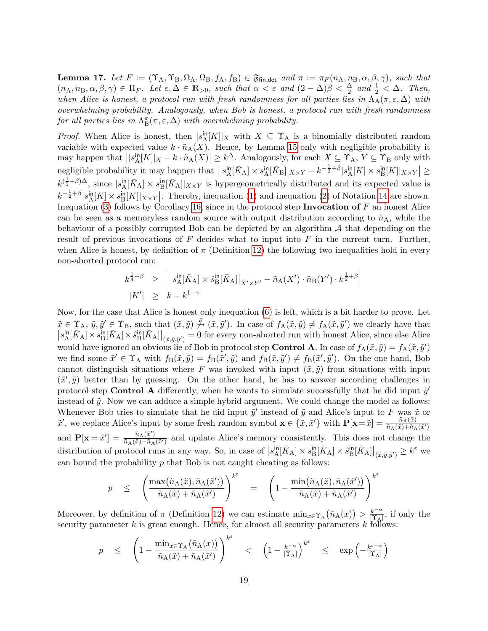<span id="page-20-0"></span>**Lemma 17.** Let  $F := (\Upsilon_A, \Upsilon_B, \Omega_A, \Omega_B, f_A, f_B) \in \mathfrak{F}_{fin, det}$  and  $\pi := \pi_F(n_A, n_B, \alpha, \beta, \gamma)$ , such that  $(n_A, n_B, \alpha, \beta, \gamma) \in \Pi_F$ . Let  $\varepsilon, \Delta \in \mathbb{R}_{>0}$ , such that  $\alpha < \varepsilon$  and  $(2 - \Delta)\beta < \frac{\Delta}{2}$  and  $\frac{1}{2} < \Delta$ . Then, when Alice is honest, a protocol run with fresh randomness for all parties lies in  $\Lambda_A(\pi,\varepsilon,\Delta)$  with overwhelming probability. Analogously, when Bob is honest, a protocol run with fresh randomness for all parties lies in  $\Lambda^{\pi}_{\text{B}}(\pi, \varepsilon, \Delta)$  with overwhelming probability.

*Proof.* When Alice is honest, then  $|s_A^{\text{in}}[K]|_X$  with  $X \subseteq \Upsilon_A$  is a binomially distributed random variable with expected value  $k \cdot \tilde{n}_{A}(X)$ . Hence, by Lemma [15](#page-19-0) only with negligible probability it may happen that  $||s_A^{\text{in}}[K]|_X - k \cdot \tilde{n}_A(X)| \geq k^{\Delta}$ . Analogously, for each  $X \subseteq \Upsilon_A$ ,  $Y \subseteq \Upsilon_B$  only with negligible probability it may happen that  $\left| |s_A^{\text{in}}[\bar{K}_A] \times s_A^{\text{in}}[\bar{K}_B] |_{X \times Y} - k^{-\frac{1}{2} + \beta} |s_A^{\text{in}}[K] \times s_B^{\text{in}}[K] |_{X \times Y} \right| \ge$  $k^{(\frac{1}{2}+\beta)\Delta}$ , since  $|s_A^{\text{in}}[\bar{K}_A] \times s_B^{\text{in}}[\bar{K}_A]|_{X \times Y}$  is hypergeometrically distributed and its expected value is  $k^{-\frac{1}{2}+\beta}|s_A^{\text{in}}[K]|\times s_B^{\text{in}}[K]|_{X\times Y}$ . Thereby, inequation [\(1\)](#page-18-3) and inequation [\(2\)](#page-18-3) of Notation [14](#page-18-4) are shown. Inequation [\(3\)](#page-18-3) follows by Corollary [16,](#page-19-1) since in the protocol step Invocation of  $F$  an honest Alice can be seen as a memoryless random source with output distribution according to  $\tilde{n}_A$ , while the behaviour of a possibly corrupted Bob can be depicted by an algorithm  $A$  that depending on the result of previous invocations of  $F$  decides what to input into  $F$  in the current turn. Further, when Alice is honest, by definition of  $\pi$  (Definition [12\)](#page-17-0) the following two inequalities hold in every non-aborted protocol run:

$$
k^{\frac{1}{4}+\beta} \geq \left| \left| s_A^{\text{in}}[\bar{K}_A] \times \hat{s}_B^{\text{in}}[\bar{K}_A] \right|_{X' \times Y'} - \tilde{n}_A(X') \cdot \tilde{n}_B(Y') \cdot k^{\frac{1}{2}+\beta} \right|
$$
  

$$
|K'| \geq k - k^{1-\gamma}
$$

Now, for the case that Alice is honest only inequation [\(6\)](#page-18-5) is left, which is a bit harder to prove. Let  $\tilde{x} \in \Upsilon_A$ ,  $\tilde{y}, \tilde{y}' \in \Upsilon_B$ , such that  $(\tilde{x}, \tilde{y}) \not\stackrel{F}{\leadsto} (\tilde{x}, \tilde{y}')$ . In case of  $f_A(\tilde{x}, \tilde{y}) \neq f_A(\tilde{x}, \tilde{y}')$  we clearly have that  $\left| s^{\text{in}}_{\text{A}}[\bar{K}_{\text{A}}] \times s^{\text{in}}_{\text{B}}[\bar{K}_{\text{A}}] \right|_{(\tilde{x},\tilde{y},\tilde{y}')} = 0$  for every non-aborted run with honest Alice, since else Alice would have ignored an obvious lie of Bob in protocol step **Control A**. In case of  $f_A(\tilde{x}, \tilde{y}) = f_A(\tilde{x}, \tilde{y}')$ we find some  $\tilde{x}' \in \Upsilon_A$  with  $f_B(\tilde{x}, \tilde{y}) = f_B(\tilde{x}', \tilde{y})$  and  $f_B(\tilde{x}, \tilde{y}') \neq f_B(\tilde{x}', \tilde{y}')$ . On the one hand, Bob cannot distinguish situations where F was invoked with input  $(\tilde{x}, \tilde{y})$  from situations with input  $(\tilde{x}', \tilde{y})$  better than by guessing. On the other hand, he has to answer according challenges in protocol step **Control A** differently, when he wants to simulate successfully that he did input  $\tilde{y}'$ instead of  $\tilde{y}$ . Now we can adduce a simple hybrid argument. We could change the model as follows: Whenever Bob tries to simulate that he did input  $\tilde{y}'$  instead of  $\tilde{y}$  and Alice's input to F was  $\tilde{x}$  or  $\tilde{x}'$ , we replace Alice's input by some fresh random symbol  $\mathbf{x} \in {\tilde{\mathbf{x}}}, \tilde{x}'\}$  with  $\mathbf{P}[\mathbf{x} = \tilde{x}] = \frac{\tilde{n}_A(\tilde{x})}{\tilde{n}_A(\tilde{x}) + \tilde{n}_A(\tilde{x}')}$ and  $\mathbf{P}[\mathbf{x} = \tilde{x}'] = \frac{\tilde{n}_{\mathrm{A}}(\tilde{x}')}{\tilde{n}_{\mathrm{A}}(\tilde{x}) + \tilde{n}_{\mathrm{A}}}$  $\frac{n_{\rm A}(x)}{n_{\rm A}(\tilde{x})+\tilde{n}_{\rm A}(\tilde{x}')}$  and update Alice's memory consistently. This does not change the distribution of protocol runs in any way. So, in case of  $|s_A^{\text{in}}[\bar{K}_A] \times s_B^{\text{in}}[\bar{K}_A] \times \hat{s}_B^{\text{in}}[\bar{K}_A]|_{(\tilde{x},\tilde{y},\tilde{y}')} \geq k^{\varepsilon}$  we can bound the probability  $p$  that Bob is not caught cheating as follows:

$$
p \leq \left( \frac{\max(\tilde{n}_{\mathcal{A}}(\tilde{x}), \tilde{n}_{\mathcal{A}}(\tilde{x}'))}{\tilde{n}_{\mathcal{A}}(\tilde{x}) + \tilde{n}_{\mathcal{A}}(\tilde{x}')} \right)^{k^{\varepsilon}} = \left( 1 - \frac{\min(\tilde{n}_{\mathcal{A}}(\tilde{x}), \tilde{n}_{\mathcal{A}}(\tilde{x}'))}{\tilde{n}_{\mathcal{A}}(\tilde{x}) + \tilde{n}_{\mathcal{A}}(\tilde{x}')} \right)^{k^{\varepsilon}}
$$

Moreover, by definition of  $\pi$  (Definition [12\)](#page-17-0) we can estimate  $\min_{x \in \Upsilon_A} (\tilde{n}_A(x)) > \frac{k^{-\alpha}}{\Upsilon_A}$  $\frac{k^{-\alpha}}{|\Upsilon_A|}$ , if only the security parameter k is great enough. Hence, for almost all security parameters  $k$  follows:

$$
p \leq \left(1 - \frac{\min_{x \in \Upsilon_A} (\tilde{n}_A(x))}{\tilde{n}_A(\tilde{x}) + \tilde{n}_A(\tilde{x}')} \right)^{k^{\varepsilon}} < \left(1 - \frac{k^{-\alpha}}{|\Upsilon_A|}\right)^{k^{\varepsilon}} \leq \exp\left(-\frac{k^{\varepsilon - \alpha}}{|\Upsilon_A|}\right)
$$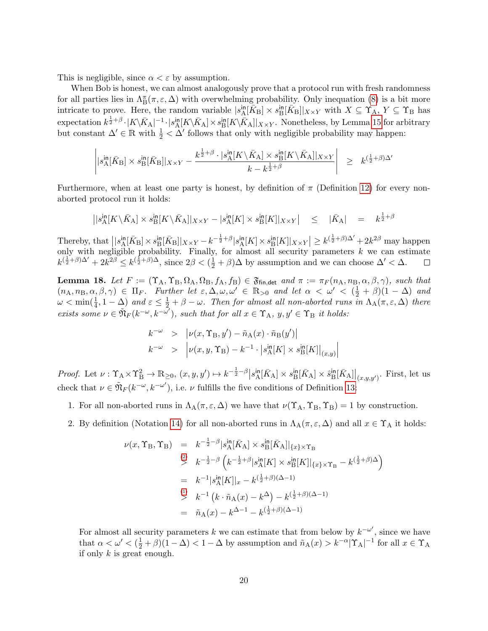This is negligible, since  $\alpha < \varepsilon$  by assumption.

When Bob is honest, we can almost analogously prove that a protocol run with fresh randomness for all parties lies in  $\Lambda^{\pi}_{B}(\pi,\varepsilon,\Delta)$  with overwhelming probability. Only inequation [\(8\)](#page-19-2) is a bit more intricate to prove. Here, the random variable  $|s_A^{\text{in}}[\bar{K}_B] \times s_B^{\text{in}}[\bar{K}_B]|_{X \times Y}$  with  $X \subseteq \Upsilon_A$ ,  $Y \subseteq \Upsilon_B$  has  $\text{expectation } k^{\frac{1}{2}+\beta} \cdot |K\backslash \bar{K}_{A}|^{-1} \cdot |s^{\text{in}}_{A}[K\backslash \bar{K}_{A}] \times s^{\text{in}}_{B}[K\backslash \bar{K}_{A}]|_{X\times Y}$ . Nonetheless, by Lemma [15](#page-19-0) for arbitrary but constant  $\Delta' \in \mathbb{R}$  with  $\frac{1}{2} < \Delta'$  follows that only with negligible probability may happen:

$$
\left| |s^{\text{in}}_{\text{A}}[\bar{K}_{\text{B}}] \times s^{\text{in}}_{\text{B}}[\bar{K}_{\text{B}}]|_{X \times Y} - \frac{k^{\frac{1}{2} + \beta} \cdot |s^{\text{in}}_{\text{A}}[K \setminus \bar{K}_{\text{A}}] \times s^{\text{in}}_{\text{B}}[K \setminus \bar{K}_{\text{A}}]|_{X \times Y}}{k - k^{\frac{1}{2} + \beta}} \right| \geq k^{(\frac{1}{2} + \beta)\Delta'}
$$

Furthermore, when at least one party is honest, by definition of  $\pi$  (Definition [12\)](#page-17-0) for every nonaborted protocol run it holds:

$$
||s_{\mathcal{A}}^{\mathsf{in}}[K \setminus \bar{K}_{\mathcal{A}}] \times s_{\mathcal{B}}^{\mathsf{in}}[K \setminus \bar{K}_{\mathcal{A}}]||_{X \times Y} - |s_{\mathcal{A}}^{\mathsf{in}}[K] \times s_{\mathcal{B}}^{\mathsf{in}}[K]||_{X \times Y} \Big| \leq ||\bar{K}_{\mathcal{A}}|| = k^{\frac{1}{2} + \beta}
$$

Thereby, that  $\left| \left| s_A^{\text{in}}[\bar{K}_B] \times s_B^{\text{in}}[\bar{K}_B] \right|_{X \times Y} - k^{-\frac{1}{2} + \beta} |s_A^{\text{in}}[K] \times s_B^{\text{in}}[K] \right|_{X \times Y} \right| \geq k^{(\frac{1}{2} + \beta)\Delta'} + 2k^{2\beta}$  may happen only with negligible probability. Finally, for almost all security parameters  $k$  we can estimate  $k^{(\frac{1}{2}+\beta)\Delta'}+2k^{2\beta}\leq k^{(\frac{1}{2}+\beta)\Delta}$ , since  $2\beta<(\frac{1}{2}+\beta)\Delta$  by assumption and we can choose  $\Delta'<\Delta$ .

<span id="page-21-0"></span>**Lemma 18.** Let  $F := (\Upsilon_A, \Upsilon_B, \Omega_A, \Omega_B, f_A, f_B) \in \mathfrak{F}_{fin, det}$  and  $\pi := \pi_F(n_A, n_B, \alpha, \beta, \gamma)$ , such that  $(n_A, n_B, \alpha, \beta, \gamma) \in \Pi_F$ . Further let  $\varepsilon, \Delta, \omega, \omega' \in \mathbb{R}_{>0}$  and let  $\alpha < \omega' < (\frac{1}{2} + \beta)(1 - \Delta)$  and  $\omega < \min(\frac{1}{4}, 1-\Delta)$  and  $\varepsilon \leq \frac{1}{2} + \beta - \omega$ . Then for almost all non-aborted runs in  $\Lambda_A(\pi, \varepsilon, \Delta)$  there exists some  $\nu \in \tilde{\mathfrak{N}}_F(k^{-\omega}, k^{-\omega'})$ , such that for all  $x \in \Upsilon_A$ ,  $y, y' \in \Upsilon_B$  it holds:

$$
k^{-\omega} > |\nu(x, \Upsilon_B, y') - \tilde{n}_A(x) \cdot \tilde{n}_B(y')|
$$
  
\n
$$
k^{-\omega} > |\nu(x, y, \Upsilon_B) - k^{-1} \cdot |s_A^{\text{in}}[K] \times s_B^{\text{in}}[K]|_{(x, y)}|
$$

Proof. Let  $\nu: \Upsilon_A \times \Upsilon_B^2 \to \mathbb{R}_{\geq 0}$ ,  $(x, y, y') \mapsto k^{-\frac{1}{2}-\beta} \left| s_A^{in}[\bar{K}_A] \times s_B^{in}[\bar{K}_A] \times \hat{s}_B^{in}[\bar{K}_A] \right|_{(x, y, y')}$ . First, let us check that  $\nu \in \tilde{\mathfrak{N}}_F(k^{-\omega}, k^{-\omega'})$ , i.e.  $\nu$  fulfills the five conditions of Definition [13:](#page-18-6)

- 1. For all non-aborted runs in  $\Lambda_A(\pi,\varepsilon,\Delta)$  we have that  $\nu(\Upsilon_A, \Upsilon_B, \Upsilon_B) = 1$  by construction.
- 2. By definition (Notation [14\)](#page-18-4) for all non-aborted runs in  $\Lambda_A(\pi,\varepsilon,\Delta)$  and all  $x \in \Upsilon_A$  it holds:

$$
\nu(x, \Upsilon_B, \Upsilon_B) = k^{-\frac{1}{2} - \beta} |s_A^{\text{in}}[\bar{K}_A] \times s_B^{\text{in}}[\bar{K}_A]|_{\{x\} \times \Upsilon_B}
$$
  
\n
$$
\stackrel{(2)}{>} k^{-\frac{1}{2} - \beta} \left( k^{-\frac{1}{2} + \beta} |s_A^{\text{in}}[K] \times s_B^{\text{in}}[K]|_{\{x\} \times \Upsilon_B} - k^{(\frac{1}{2} + \beta)\Delta} \right)
$$
  
\n
$$
= k^{-1} |s_A^{\text{in}}[K]|_x - k^{(\frac{1}{2} + \beta)(\Delta - 1)}
$$
  
\n
$$
\stackrel{(1)}{>} k^{-1} (k \cdot \tilde{n}_A(x) - k^\Delta) - k^{(\frac{1}{2} + \beta)(\Delta - 1)}
$$
  
\n
$$
= \tilde{n}_A(x) - k^{\Delta - 1} - k^{(\frac{1}{2} + \beta)(\Delta - 1)}
$$

For almost all security parameters k we can estimate that from below by  $k^{-\omega'}$ , since we have that  $\alpha < \omega' < (\frac{1}{2} + \beta)(1 - \Delta) < 1 - \Delta$  by assumption and  $\tilde{n}_{A}(x) > k^{-\alpha}|\Upsilon_{A}|^{-1}$  for all  $x \in \Upsilon_{A}$ if only  $k$  is great enough.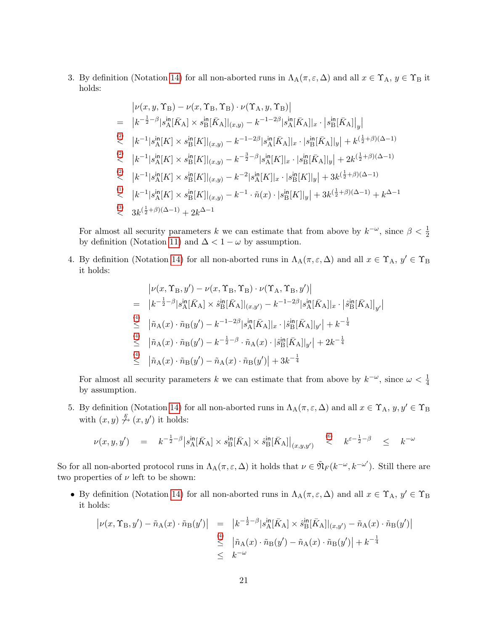3. By definition (Notation [14\)](#page-18-4) for all non-aborted runs in  $\Lambda_A(\pi,\varepsilon,\Delta)$  and all  $x \in \Upsilon_A$ ,  $y \in \Upsilon_B$  it holds:

$$
\begin{array}{lll} & \left|\nu(x,y,\Upsilon_{\rm B})-\nu(x,\Upsilon_{\rm B},\Upsilon_{\rm B})\cdot\nu(\Upsilon_{\rm A},y,\Upsilon_{\rm B})\right| \\ \\ = & \left|k^{-\frac{1}{2}-\beta}|s^{\rm in}_{\rm A}[\bar{K}_{\rm A}] \times s^{\rm in}_{\rm B}[\bar{K}_{\rm A}]|_{(x,y)} - k^{-1-2\beta}|s^{\rm in}_{\rm A}[\bar{K}_{\rm A}]|_{x}\cdot\left|s^{\rm in}_{\rm B}[\bar{K}_{\rm A}]|_{y}\right|\right.\\ & \left. \quad \ \ \, \langle k^{-1}|s^{\rm in}_{\rm A}[K] \times s^{\rm in}_{\rm B}[K]|_{(x,y)} - k^{-1-2\beta}|s^{\rm in}_{\rm A}[\bar{K}_{\rm A}]|_{x}\cdot|s^{\rm in}_{\rm B}[\bar{K}_{\rm A}]|_{y}\right| + k^{(\frac{1}{2}+\beta)(\Delta-1)}\\ & \left|k^{-1}|s^{\rm in}_{\rm A}[K] \times s^{\rm in}_{\rm B}[K]|_{(x,y)} - k^{-\frac{3}{2}-\beta}|s^{\rm in}_{\rm A}[K]|_{x}\cdot|s^{\rm in}_{\rm B}[\bar{K}_{\rm A}]|_{y}\right| + 2k^{(\frac{1}{2}+\beta)(\Delta-1)}\\ & \left|k^{-1}|s^{\rm in}_{\rm A}[K] \times s^{\rm in}_{\rm B}[K]|_{(x,y)} - k^{-2}|s^{\rm in}_{\rm A}[K]|_{x}\cdot|s^{\rm in}_{\rm B}[K]|_{y}\right| + 3k^{(\frac{1}{2}+\beta)(\Delta-1)}\\ & \left|k^{-1}|s^{\rm in}_{\rm A}[K] \times s^{\rm in}_{\rm B}[K]|_{(x,y)} - k^{-1}\cdot\tilde{n}(x)\cdot|s^{\rm in}_{\rm B}[K]|_{y}\right| + 3k^{(\frac{1}{2}+\beta)(\Delta-1)} + k^{\Delta-1}\\ & \left|3\right| \cdot 3k^{(\frac{1}{2}+\beta)(\Delta-1)} + 2k^{\Delta-1} \end{array}
$$

For almost all security parameters k we can estimate that from above by  $k^{-\omega}$ , since  $\beta < \frac{1}{2}$ by definition (Notation [11\)](#page-16-4) and  $\Delta < 1 - \omega$  by assumption.

4. By definition (Notation [14\)](#page-18-4) for all non-aborted runs in  $\Lambda_A(\pi,\varepsilon,\Delta)$  and all  $x \in \Upsilon_A$ ,  $y' \in \Upsilon_B$ it holds:

$$
\begin{split}\n&\left|\nu(x,\Upsilon_{\rm B},y')-\nu(x,\Upsilon_{\rm B},\Upsilon_{\rm B})\cdot\nu(\Upsilon_{\rm A},\Upsilon_{\rm B},y')\right| \\
&= |k^{-\frac{1}{2}-\beta}|s_{\rm A}^{\rm in}[\bar{K}_{\rm A}] \times \hat{s}_{\rm B}^{\rm in}[\bar{K}_{\rm A}]|_{(x,y')} - k^{-1-2\beta}|s_{\rm A}^{\rm in}[\bar{K}_{\rm A}]|_{x} \cdot \left|\hat{s}_{\rm B}^{\rm in}[\bar{K}_{\rm A}]|_{y'}\right| \\
&\stackrel{\text{(4)}}{\leq} |\tilde{n}_{\rm A}(x)\cdot\tilde{n}_{\rm B}(y') - k^{-1-2\beta}|s_{\rm A}^{\rm in}[\bar{K}_{\rm A}]|_{x} \cdot \left|\hat{s}_{\rm B}^{\rm in}[\bar{K}_{\rm A}]|_{y'}\right| + k^{-\frac{1}{4}} \\
&\stackrel{\text{(4)}}{\leq} |\tilde{n}_{\rm A}(x)\cdot\tilde{n}_{\rm B}(y') - \tilde{n}_{\rm A}(x)\cdot\tilde{n}_{\rm B}(y')| + 3k^{-\frac{1}{4}}\n\end{split}
$$

 $\bigg\}$  $\begin{array}{c} \end{array}$ 

For almost all security parameters k we can estimate that from above by  $k^{-\omega}$ , since  $\omega < \frac{1}{4}$ by assumption.

5. By definition (Notation [14\)](#page-18-4) for all non-aborted runs in  $\Lambda_A(\pi,\varepsilon,\Delta)$  and all  $x \in \Upsilon_A$ ,  $y, y' \in \Upsilon_B$ with  $(x, y) \overset{F}{\nightharpoondown} (x, y')$  it holds:

$$
\nu(x,y,y') \quad = \quad k^{-\frac{1}{2}-\beta} \big| s_A^{\text{in}}[\bar{K}_A] \times s_B^{\text{in}}[\bar{K}_A] \times \hat{s}_B^{\text{in}}[\bar{K}_A] \big|_{(x,y,y')} \quad \overset{\text{(6)}}{\lt} \quad k^{\varepsilon-\frac{1}{2}-\beta} \quad \leq \quad k^{-\omega}
$$

So for all non-aborted protocol runs in  $\Lambda_A(\pi,\varepsilon,\Delta)$  it holds that  $\nu \in \tilde{\mathfrak{N}}_F(k^{-\omega},k^{-\omega'})$ . Still there are two properties of  $\nu$  left to be shown:

• By definition (Notation [14\)](#page-18-4) for all non-aborted runs in  $\Lambda_A(\pi,\varepsilon,\Delta)$  and all  $x \in \Upsilon_A$ ,  $y' \in \Upsilon_B$ it holds:

$$
\begin{array}{rcl} \left| \nu(x,\Upsilon_{\rm B},y') - \tilde{n}_{\rm A}(x) \cdot \tilde{n}_{\rm B}(y') \right| & = & \left| k^{-\frac{1}{2} - \beta} |s_{\rm A}^{\rm in}[\bar{K}_{\rm A}] \times \hat{s}_{\rm B}^{\rm in}[\bar{K}_{\rm A}] \right|_{(x,y')} - \tilde{n}_{\rm A}(x) \cdot \tilde{n}_{\rm B}(y') \right| \\ & \leq & \left| \tilde{n}_{\rm A}(x) \cdot \tilde{n}_{\rm B}(y') - \tilde{n}_{\rm A}(x) \cdot \tilde{n}_{\rm B}(y') \right| + k^{-\frac{1}{4}} \\ & \leq & k^{-\omega} \end{array}
$$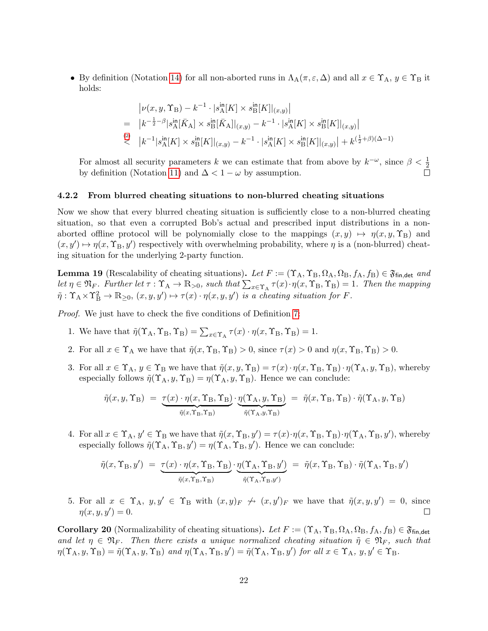• By definition (Notation [14\)](#page-18-4) for all non-aborted runs in  $\Lambda_A(\pi, \varepsilon, \Delta)$  and all  $x \in \Upsilon_A$ ,  $y \in \Upsilon_B$  it holds:

$$
\begin{split} & |\nu(x,y,\Upsilon_{\rm B})-k^{-1}\cdot |s^{\rm in}_{\rm A}[K]\times s^{\rm in}_{\rm B}[K]|_{(x,y)}| \\ = & |k^{-\frac{1}{2}-\beta}|s^{\rm in}_{\rm A}[\bar{K}_{\rm A}]\times s^{\rm in}_{\rm B}[\bar{K}_{\rm A}]|_{(x,y)} - k^{-1}\cdot |s^{\rm in}_{\rm A}[K]\times s^{\rm in}_{\rm B}[K]|_{(x,y)}| \\ & \overset{(2)}< \quad \big|k^{-1}|s^{\rm in}_{\rm A}[K]\times s^{\rm in}_{\rm B}[K]|_{(x,y)} - k^{-1}\cdot |s^{\rm in}_{\rm A}[K]\times s^{\rm in}_{\rm B}[K]|_{(x,y)}\big| + k^{(\frac{1}{2}+\beta)(\Delta-1)} \end{split}
$$

For almost all security parameters k we can estimate that from above by  $k^{-\omega}$ , since  $\beta < \frac{1}{2}$ by definition (Notation [11\)](#page-16-4) and  $\Delta < 1 - \omega$  by assumption.

#### <span id="page-23-0"></span>4.2.2 From blurred cheating situations to non-blurred cheating situations

Now we show that every blurred cheating situation is sufficiently close to a non-blurred cheating situation, so that even a corrupted Bob's actual and prescribed input distributions in a nonaborted offline protocol will be polynomially close to the mappings  $(x, y) \mapsto \eta(x, y, \Upsilon_B)$  and  $(x, y') \mapsto \eta(x, \Upsilon_B, y')$  respectively with overwhelming probability, where  $\eta$  is a (non-blurred) cheating situation for the underlying 2-party function.

<span id="page-23-1"></span>**Lemma 19** (Rescalability of cheating situations). Let  $F := (\Upsilon_A, \Upsilon_B, \Omega_A, \Omega_B, f_A, f_B) \in \mathfrak{F}_{fin, det}$  and let  $\eta \in \mathfrak{N}_F$ . Further let  $\tau : \Upsilon_A \to \mathbb{R}_{>0}$ , such that  $\sum_{x \in \Upsilon_A} \tau(x) \cdot \eta(x, \Upsilon_B, \Upsilon_B) = 1$ . Then the mapping  $\tilde{\eta}: \Upsilon_A \times \Upsilon_B^2 \to \mathbb{R}_{\geq 0}, (x, y, y') \mapsto \tau(x) \cdot \eta(x, y, y')$  is a cheating situation for F.

Proof. We just have to check the five conditions of Definition [7:](#page-16-1)

- 1. We have that  $\tilde{\eta}(\Upsilon_A, \Upsilon_B, \Upsilon_B) = \sum_{x \in \Upsilon_A} \tau(x) \cdot \eta(x, \Upsilon_B, \Upsilon_B) = 1.$
- 2. For all  $x \in \Upsilon_A$  we have that  $\tilde{\eta}(x, \Upsilon_B, \Upsilon_B) > 0$ , since  $\tau(x) > 0$  and  $\eta(x, \Upsilon_B, \Upsilon_B) > 0$ .
- 3. For all  $x \in \Upsilon_A$ ,  $y \in \Upsilon_B$  we have that  $\tilde{\eta}(x, y, \Upsilon_B) = \tau(x) \cdot \eta(x, \Upsilon_B, \Upsilon_B) \cdot \eta(\Upsilon_A, y, \Upsilon_B)$ , whereby especially follows  $\tilde{\eta}(\Upsilon_A, y, \Upsilon_B) = \eta(\Upsilon_A, y, \Upsilon_B)$ . Hence we can conclude:

$$
\tilde{\eta}(x, y, \Upsilon_B) = \underbrace{\tau(x) \cdot \eta(x, \Upsilon_B, \Upsilon_B)}_{\tilde{\eta}(x, \Upsilon_B, \Upsilon_B)} \cdot \underbrace{\eta(\Upsilon_A, y, \Upsilon_B)}_{\tilde{\eta}(\Upsilon_A, y, \Upsilon_B)} = \tilde{\eta}(x, \Upsilon_B, \Upsilon_B) \cdot \tilde{\eta}(\Upsilon_A, y, \Upsilon_B)
$$

4. For all  $x \in \Upsilon_A$ ,  $y' \in \Upsilon_B$  we have that  $\tilde{\eta}(x, \Upsilon_B, y') = \tau(x) \cdot \eta(x, \Upsilon_B, \Upsilon_B) \cdot \eta(\Upsilon_A, \Upsilon_B, y')$ , whereby especially follows  $\tilde{\eta}(\Upsilon_A, \Upsilon_B, y') = \eta(\Upsilon_A, \Upsilon_B, y')$ . Hence we can conclude:

$$
\tilde{\eta}(x, \Upsilon_B, y') = \underbrace{\tau(x) \cdot \eta(x, \Upsilon_B, \Upsilon_B)}_{\tilde{\eta}(x, \Upsilon_B, \Upsilon_B)} \cdot \underbrace{\eta(\Upsilon_A, \Upsilon_B, y')}_{\tilde{\eta}(\Upsilon_A, \Upsilon_B, y')} = \tilde{\eta}(x, \Upsilon_B, \Upsilon_B) \cdot \tilde{\eta}(\Upsilon_A, \Upsilon_B, y')
$$

5. For all  $x \in \Upsilon_A$ ,  $y, y' \in \Upsilon_B$  with  $(x, y)_F \nleftrightarrow (x, y')_F$  we have that  $\tilde{\eta}(x, y, y') = 0$ , since  $\eta(x, y, y') = 0.$  $\Box$ 

<span id="page-23-2"></span>**Corollary 20** (Normalizability of cheating situations). Let  $F := (\Upsilon_A, \Upsilon_B, \Omega_A, \Omega_B, f_A, f_B) \in \mathfrak{F}_{fin, det}$ and let  $\eta \in \mathfrak{N}_F$ . Then there exists a unique normalized cheating situation  $\tilde{\eta} \in \mathfrak{N}_F$ , such that  $\eta(\Upsilon_A, y, \Upsilon_B) = \tilde{\eta}(\Upsilon_A, y, \Upsilon_B)$  and  $\eta(\Upsilon_A, \Upsilon_B, y') = \tilde{\eta}(\Upsilon_A, \Upsilon_B, y')$  for all  $x \in \Upsilon_A$ ,  $y, y' \in \Upsilon_B$ .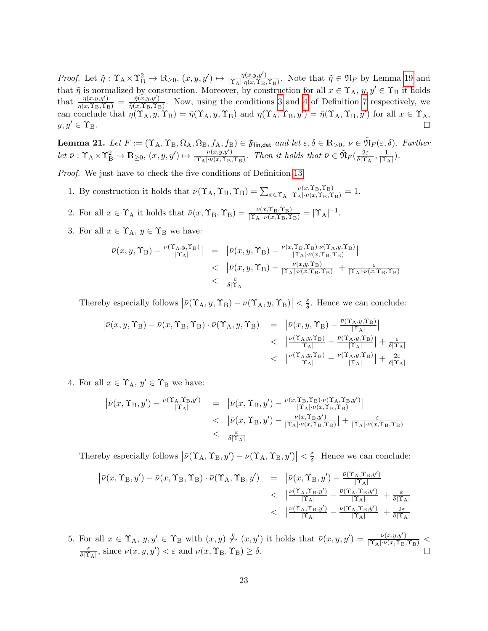Proof. Let  $\tilde{\eta}: \Upsilon_A \times \Upsilon_B^2 \to \mathbb{R}_{\geq 0}, (x, y, y') \mapsto \frac{\eta(x, y, y')}{\|\Upsilon_A\| \cdot \eta(x, \Upsilon_B\|)}$  $\frac{\eta(x,y,y')}{|\Upsilon_A|\cdot \eta(x,\Upsilon_B,\Upsilon_B)}$ . Note that  $\tilde{\eta} \in \mathfrak{N}_F$  by Lemma [19](#page-23-1) and that  $\tilde{\eta}$  is normalized by construction. Moreover, by construction for all  $x \in \Upsilon_A$ ,  $y, y' \in \Upsilon_B$  it holds that  $\frac{\eta(x,y,y')}{\eta(x,\Upsilon_B,\Upsilon_B)} = \frac{\tilde{\eta}(x,y,y')}{\tilde{\eta}(x,\Upsilon_B,\Upsilon_B)}$  $\frac{\eta(x,y,y)}{\tilde{\eta}(x,\Upsilon_B,\Upsilon_B)}$ . Now, using the conditions [3](#page-16-5) and [4](#page-16-6) of Definition [7](#page-16-1) respectively, we can conclude that  $\eta(\Upsilon_{A}, y, \Upsilon_{B}) = \tilde{\eta}(\Upsilon_{A}, y, \Upsilon_{B})$  and  $\eta(\Upsilon_{A}, \Upsilon_{B}, y') = \tilde{\eta}(\Upsilon_{A}, \Upsilon_{B}, y')$  for all  $x \in \Upsilon_{A}$ ,  $y, y' \in \Upsilon_{\text{B}}$ .

<span id="page-24-0"></span>**Lemma 21.** Let  $F := (\Upsilon_A, \Upsilon_B, \Omega_A, \Omega_B, f_A, f_B) \in \mathfrak{F}_{fin, det}$  and let  $\varepsilon, \delta \in \mathbb{R}_{>0}, \nu \in \tilde{\mathfrak{N}}_F(\varepsilon, \delta)$ . Further let  $\bar{\nu}: \Upsilon_A \times \Upsilon_B^2 \to \mathbb{R}_{\geq 0}, (x, y, y') \mapsto \frac{\nu(x, y, y')}{\lvert \Upsilon_A \rvert \cdot \nu(x, \Upsilon_B)}$  $\frac{\nu(x,y,y')}{|\Upsilon_A|\cdot\nu(x,\Upsilon_B,\Upsilon_B)}$ . Then it holds that  $\bar{\nu}\in \tilde{\mathfrak{N}}_F(\frac{2\varepsilon}{\delta|\Upsilon_B)}$  $\frac{2\varepsilon}{\delta|\Upsilon_{\rm A}|}, \frac{1}{|\Upsilon|}$  $\frac{1}{|\Upsilon_{\rm A}|}).$ 

Proof. We just have to check the five conditions of Definition [13:](#page-18-6)

- 1. By construction it holds that  $\bar{\nu}(\Upsilon_A, \Upsilon_B, \Upsilon_B) = \sum_{x \in \Upsilon_A}$  $\frac{\nu(x,\Upsilon_{\text{B}},\Upsilon_{\text{B}})}{|\Upsilon_{\text{A}}|\cdot\nu(x,\Upsilon_{\text{B}},\Upsilon_{\text{B}})}=1.$
- 2. For all  $x \in \Upsilon_A$  it holds that  $\bar{\nu}(x, \Upsilon_B, \Upsilon_B) = \frac{\nu(x, \Upsilon_B, \Upsilon_B)}{|\Upsilon_A| \cdot \nu(x, \Upsilon_B, \Upsilon_B)} = |\Upsilon_A|^{-1}$ .
- 3. For all  $x \in \Upsilon_A$ ,  $y \in \Upsilon_B$  we have:

$$
\begin{array}{rcl}\n\left| \bar{\nu}(x,y,\Upsilon_{\rm B}) - \frac{\nu(\Upsilon_{\rm A},y,\Upsilon_{\rm B})}{|\Upsilon_{\rm A}|} \right| & = & \left| \bar{\nu}(x,y,\Upsilon_{\rm B}) - \frac{\nu(x,\Upsilon_{\rm B},\Upsilon_{\rm B})\cdot\nu(\Upsilon_{\rm A},y,\Upsilon_{\rm B})}{|\Upsilon_{\rm A}|\cdot\nu(x,\Upsilon_{\rm B},\Upsilon_{\rm B})} \right| \\
&< & \left| \bar{\nu}(x,y,\Upsilon_{\rm B}) - \frac{\nu(x,y,\Upsilon_{\rm B})}{|\Upsilon_{\rm A}|\cdot\nu(x,\Upsilon_{\rm B},\Upsilon_{\rm B})} \right| + \frac{\varepsilon}{|\Upsilon_{\rm A}|\cdot\nu(x,\Upsilon_{\rm B},\Upsilon_{\rm B})} \\
&< & \frac{\varepsilon}{\delta |\Upsilon_{\rm A}|}\n\end{array}
$$

Thereby especially follows  $|\bar{\nu}(\Upsilon_{\rm A}, y, \Upsilon_{\rm B}) - \nu(\Upsilon_{\rm A}, y, \Upsilon_{\rm B})| < \frac{\varepsilon}{\delta}$  $\frac{\varepsilon}{\delta}$ . Hence we can conclude:

$$
\begin{array}{rcl} \left| \bar{\nu}(x,y,\Upsilon_{\rm B})-\bar{\nu}(x,\Upsilon_{\rm B},\Upsilon_{\rm B})\cdot\bar{\nu}(\Upsilon_{\rm A},y,\Upsilon_{\rm B}) \right| &=& \left| \bar{\nu}(x,y,\Upsilon_{\rm B})-\frac{\bar{\nu}(\Upsilon_{\rm A},y,\Upsilon_{\rm B})}{|\Upsilon_{\rm A}|} \right| \\ & &<& \left| \frac{\nu(\Upsilon_{\rm A},y,\Upsilon_{\rm B})}{|\Upsilon_{\rm A}|}-\frac{\bar{\nu}(\Upsilon_{\rm A},y,\Upsilon_{\rm B})}{|\Upsilon_{\rm A}|} \right| +\frac{\varepsilon}{\delta |\Upsilon_{\rm A}|} \\ & &<& \left| \frac{\nu(\Upsilon_{\rm A},y,\Upsilon_{\rm B})}{|\Upsilon_{\rm A}|}-\frac{\nu(\Upsilon_{\rm A},y,\Upsilon_{\rm B})}{|\Upsilon_{\rm A}|} \right| +\frac{2\varepsilon}{\delta |\Upsilon_{\rm A}|} \end{array}
$$

4. For all  $x \in \Upsilon_A$ ,  $y' \in \Upsilon_B$  we have:

$$
\begin{array}{rcl}\n\left| \bar{\nu}(x,\Upsilon_{\rm B},y') - \frac{\nu(\Upsilon_{\rm A},\Upsilon_{\rm B},y')}{|\Upsilon_{\rm A}|}\right| & = & \left| \bar{\nu}(x,\Upsilon_{\rm B},y') - \frac{\nu(x,\Upsilon_{\rm B},\Upsilon_{\rm B})\cdot\nu(\Upsilon_{\rm A},\Upsilon_{\rm B},y')}{|\Upsilon_{\rm A}|\cdot\nu(x,\Upsilon_{\rm B},\Upsilon_{\rm B})} \right| \\
&< & \left| \bar{\nu}(x,\Upsilon_{\rm B},y') - \frac{\nu(x,\Upsilon_{\rm B},y')}{|\Upsilon_{\rm A}|\cdot\nu(x,\Upsilon_{\rm B},\Upsilon_{\rm B})} \right| + \frac{\varepsilon}{|\Upsilon_{\rm A}|\cdot\nu(x,\Upsilon_{\rm B},\Upsilon_{\rm B})} \\
&\leq & \frac{\varepsilon}{\delta|\Upsilon_{\rm A}|}\n\end{array}
$$

Thereby especially follows  $|\bar{\nu}(\Upsilon_{A}, \Upsilon_{B}, y') - \nu(\Upsilon_{A}, \Upsilon_{B}, y')| < \frac{\varepsilon}{\delta}$  $\frac{\varepsilon}{\delta}$ . Hence we can conclude:

$$
\begin{array}{rcl} \left| \bar{\nu}(x,\Upsilon_{\mathrm{B}},y') - \bar{\nu}(x,\Upsilon_{\mathrm{B}},\Upsilon_{\mathrm{B}}) \cdot \bar{\nu}(\Upsilon_{\mathrm{A}},\Upsilon_{\mathrm{B}},y') \right| & = & \left| \bar{\nu}(x,\Upsilon_{\mathrm{B}},y') - \frac{\bar{\nu}(\Upsilon_{\mathrm{A}},\Upsilon_{\mathrm{B}},y')}{|\Upsilon_{\mathrm{A}}|} \right| \\ & & < & \left| \frac{\nu(\Upsilon_{\mathrm{A}},\Upsilon_{\mathrm{B}},y')}{|\Upsilon_{\mathrm{A}}|} - \frac{\bar{\nu}(\Upsilon_{\mathrm{A}},\Upsilon_{\mathrm{B}},y')}{|\Upsilon_{\mathrm{A}}|} \right| + \frac{\varepsilon}{\delta |\Upsilon_{\mathrm{A}}|} \\ & & < & \left| \frac{\nu(\Upsilon_{\mathrm{A}},\Upsilon_{\mathrm{B}},y')}{|\Upsilon_{\mathrm{A}}|} - \frac{\nu(\Upsilon_{\mathrm{A}},\Upsilon_{\mathrm{B}},y')}{|\Upsilon_{\mathrm{A}}|} \right| + \frac{2\varepsilon}{\delta |\Upsilon_{\mathrm{A}}|} \end{array}
$$

5. For all  $x \in \Upsilon_A$ ,  $y, y' \in \Upsilon_B$  with  $(x, y) \stackrel{F}{\n\rightarrow} (x, y')$  it holds that  $\bar{\nu}(x, y, y') = \frac{\nu(x, y, y')}{|\Upsilon_A| \cdot \nu(x, \Upsilon_B, \Upsilon_B)}$  $\frac{\varepsilon}{\delta |\Upsilon_{\rm A}|}$ , since  $\nu(x, y, y') < \varepsilon$  and  $\nu(x, \Upsilon_{\rm B}, \Upsilon_{\rm B}) \ge \delta$ .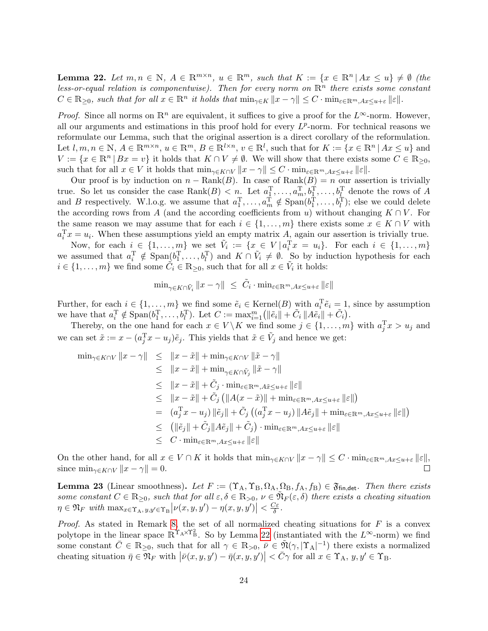<span id="page-25-0"></span>**Lemma 22.** Let  $m, n \in \mathbb{N}$ ,  $A \in \mathbb{R}^{m \times n}$ ,  $u \in \mathbb{R}^m$ , such that  $K := \{x \in \mathbb{R}^n | Ax \le u\} \neq \emptyset$  (the less-or-equal relation is componentwise). Then for every norm on  $\mathbb{R}^n$  there exists some constant  $C \in \mathbb{R}_{\geq 0}$ , such that for all  $x \in \mathbb{R}^n$  it holds that  $\min_{\gamma \in K} ||x - \gamma|| \leq C \cdot \min_{\varepsilon \in \mathbb{R}^m, Ax \leq u + \varepsilon} ||\varepsilon||$ .

*Proof.* Since all norms on  $\mathbb{R}^n$  are equivalent, it suffices to give a proof for the  $L^{\infty}$ -norm. However, all our arguments and estimations in this proof hold for every  $L^p$ -norm. For technical reasons we reformulate our Lemma, such that the original assertion is a direct corollary of the reformulation. Let  $l, m, n \in \mathbb{N}, A \in \mathbb{R}^{m \times n}, u \in \mathbb{R}^m, B \in \mathbb{R}^{l \times n}, v \in \mathbb{R}^l$ , such that for  $K := \{x \in \mathbb{R}^n | Ax \leq u\}$  and  $V := \{x \in \mathbb{R}^n | Bx = v\}$  it holds that  $K \cap V \neq \emptyset$ . We will show that there exists some  $C \in \mathbb{R}_{\geq 0}$ , such that for all  $x \in V$  it holds that  $\min_{\gamma \in K \cap V} ||x - \gamma|| \leq C \cdot \min_{\varepsilon \in \mathbb{R}^m, Ax \leq u + \varepsilon} ||\varepsilon||$ .

Our proof is by induction on  $n - Rank(B)$ . In case of  $Rank(B) = n$  our assertion is trivially true. So let us consider the case  $\text{Rank}(B) < n$ . Let  $a_1^T, \ldots, a_m^T, b_1^T, \ldots, b_k^T$  denote the rows of A and B respectively. W.l.o.g. we assume that  $a_1^T, \ldots, a_m^T \notin \text{Span}(b_1^T, \ldots, b_l^T)$ ; else we could delete the according rows from A (and the according coefficients from u) without changing  $K \cap V$ . For the same reason we may assume that for each  $i \in \{1, \ldots, m\}$  there exists some  $x \in K \cap V$  with  $a_i^{\mathrm{T}} x = u_i$ . When these assumptions yield an empty matrix A, again our assertion is trivially true.

Now, for each  $i \in \{1,\ldots,m\}$  we set  $\tilde{V}_i := \{x \in V \mid a_i^{\mathrm{T}} x = u_i\}$ . For each  $i \in \{1,\ldots,m\}$ we assumed that  $a_i^T \notin \text{Span}(b_1^T, \ldots, b_l^T)$  and  $K \cap V_i \neq \emptyset$ . So by induction hypothesis for each  $i \in \{1, \ldots, m\}$  we find some  $\tilde{C}_i \in \mathbb{R}_{\geq 0}$ , such that for all  $x \in \tilde{V}_i$  it holds:

$$
\min\nolimits_{\gamma \in K \cap \tilde{V}_i} \|x - \gamma\| \leq \tilde{C}_i \cdot \min\nolimits_{\varepsilon \in \mathbb{R}^m, Ax \leq u + \varepsilon} \|\varepsilon\|
$$

Further, for each  $i \in \{1, \ldots, m\}$  we find some  $\tilde{e}_i \in \text{Kernel}(B)$  with  $a_i^T \tilde{e}_i = 1$ , since by assumption we have that  $a_i^{\mathrm{T}} \notin \mathrm{Span}(b_1^{\mathrm{T}}, \ldots, b_l^{\mathrm{T}})$ . Let  $C := \max_{i=1}^m \left( ||\tilde{e}_i|| + \tilde{C}_i ||A \tilde{e}_i|| + \tilde{C}_i \right)$ .

Thereby, on the one hand for each  $x \in V \backslash K$  we find some  $j \in \{1, \ldots, m\}$  with  $a_j^{\mathrm{T}} x > u_j$  and we can set  $\tilde{x} := x - (a_j^{\mathrm{T}} x - u_j)\tilde{e}_j$ . This yields that  $\tilde{x} \in V_j$  and hence we get:

$$
\min_{\gamma \in K \cap V} \|x - \gamma\| \leq \|x - \tilde{x}\| + \min_{\gamma \in K \cap V} \|\tilde{x} - \gamma\|
$$
  
\n
$$
\leq \|x - \tilde{x}\| + \min_{\gamma \in K \cap \tilde{V}_j} \|\tilde{x} - \gamma\|
$$
  
\n
$$
\leq \|x - \tilde{x}\| + \tilde{C}_j \cdot \min_{\varepsilon \in \mathbb{R}^m, A\tilde{x} \leq u + \varepsilon} \|\varepsilon\|
$$
  
\n
$$
\leq \|x - \tilde{x}\| + \tilde{C}_j (\|A(x - \tilde{x})\| + \min_{\varepsilon \in \mathbb{R}^m, Ax \leq u + \varepsilon} \|\varepsilon\|)
$$
  
\n
$$
= (a_j^T x - u_j) \|\tilde{e}_j\| + \tilde{C}_j ((a_j^T x - u_j) \|A\tilde{e}_j\| + \min_{\varepsilon \in \mathbb{R}^m, Ax \leq u + \varepsilon} \|\varepsilon\|)
$$
  
\n
$$
\leq ( \|\tilde{e}_j\| + \tilde{C}_j \|A\tilde{e}_j\| + \tilde{C}_j) \cdot \min_{\varepsilon \in \mathbb{R}^m, Ax \leq u + \varepsilon} \|\varepsilon\|
$$
  
\n
$$
\leq C \cdot \min_{\varepsilon \in \mathbb{R}^m, Ax \leq u + \varepsilon} \|\varepsilon\|
$$

On the other hand, for all  $x \in V \cap K$  it holds that  $\min_{\gamma \in K \cap V} ||x - \gamma|| \leq C \cdot \min_{\varepsilon \in \mathbb{R}^m, Ax \leq u+\varepsilon} ||\varepsilon||$ , since  $\min_{\gamma \in K \cap V} ||x - \gamma|| = 0.$  $\Box$ 

<span id="page-25-1"></span>**Lemma 23** (Linear smoothness). Let  $F := (\Upsilon_A, \Upsilon_B, \Omega_A, \Omega_B, f_A, f_B) \in \mathfrak{F}_{fin, det}$ . Then there exists some constant  $C \in \mathbb{R}_{\geq 0}$ , such that for all  $\varepsilon, \delta \in \mathbb{R}_{> 0}$ ,  $\nu \in \mathfrak{N}_F(\varepsilon, \delta)$  there exists a cheating situation  $\eta \in \mathfrak{N}_F$  with  $\max_{x \in \Upsilon_{\mathbf{A}}, y, y' \in \Upsilon_{\mathbf{B}}}\big|\nu(x, y, y') - \eta(x, y, y')\big| < \frac{C\varepsilon}{\delta}$  $\frac{d}{d\delta}$  .

*Proof.* As stated in Remark [8,](#page-16-2) the set of all normalized cheating situations for  $F$  is a convex polytope in the linear space  $\mathbb{R}^{\Upsilon_A \times \Upsilon_B^2}$ . So by Lemma [22](#page-25-0) (instantiated with the  $L^{\infty}$ -norm) we find some constant  $\overline{C} \in \mathbb{R}_{\geq 0}$ , such that for all  $\gamma \in \mathbb{R}_{> 0}$ ,  $\overline{\nu} \in \widetilde{\mathfrak{N}}(\gamma, |\Upsilon_A|^{-1})$  there exists a normalized cheating situation  $\bar{\eta} \in \overline{\mathfrak{N}}_F$  with  $|\bar{\nu}(x, y, y') - \bar{\eta}(x, y, y')| < \bar{C}\gamma$  for all  $x \in \Upsilon_A$ ,  $y, y' \in \Upsilon_B$ .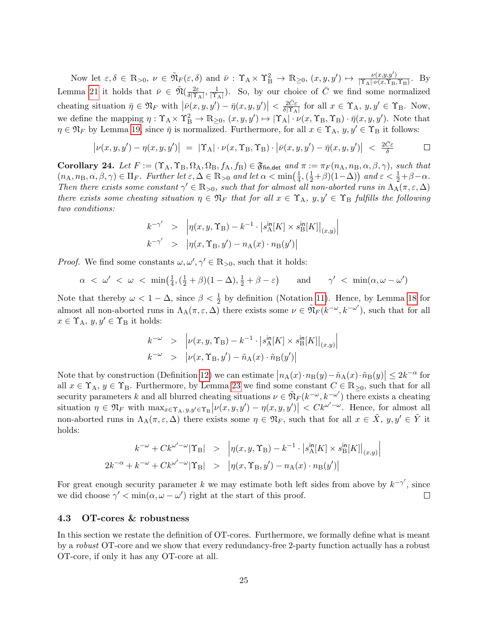Now let  $\varepsilon, \delta \in \mathbb{R}_{>0}, \nu \in \tilde{\mathfrak{N}}_F(\varepsilon, \delta)$  and  $\bar{\nu}: \Upsilon_A \times \Upsilon_B^2 \to \mathbb{R}_{\geq 0}, (x, y, y') \mapsto \frac{\nu(x, y, y')}{|\Upsilon_A| \cdot \nu(x, \Upsilon_B)|}$  $\frac{\nu(x,y,y)}{|\Upsilon_{\rm A}| \cdot \nu(x,\Upsilon_{\rm B},\Upsilon_{\rm B})}$ . By Lemma [21](#page-24-0) it holds that  $\bar{\nu} \in \tilde{\mathfrak{N}}(\frac{2\varepsilon}{\delta N})$  $\frac{2\varepsilon}{\delta|\Upsilon_{\rm A}|}, \frac{1}{|\Upsilon_{\rm A}|}$  $\frac{1}{|{\Upsilon}_{A}|}$ ). So, by our choice of  $\overline{C}$  we find some normalized cheating situation  $\bar{\eta} \in \mathfrak{N}_F$  with  $|\bar{\nu}(x, y, y') - \bar{\eta}(x, y, y')| < \frac{2\bar{C}\varepsilon}{\delta |\Upsilon_A|}$  $\frac{2C\varepsilon}{\delta |\Upsilon_{\rm A}|}$  for all  $x \in \Upsilon_{\rm A}$ ,  $y, y' \in \Upsilon_{\rm B}$ . Now, we define the mapping  $\eta: \Upsilon_A \times \Upsilon_B^2 \to \mathbb{R}_{\geq 0}$ ,  $(x, y, y') \mapsto |\Upsilon_A| \cdot \nu(x, \Upsilon_B, \Upsilon_B) \cdot \overline{\eta}(x, y, y')$ . Note that  $\eta \in \mathfrak{N}_F$  by Lemma [19,](#page-23-1) since  $\bar{\eta}$  is normalized. Furthermore, for all  $x \in \Upsilon_A$ ,  $y, y' \in \Upsilon_B$  it follows:

$$
\left|\nu(x,y,y')-\eta(x,y,y')\right| = \left|\Upsilon_A\right|\cdot\nu(x,\Upsilon_B,\Upsilon_B)\cdot\left|\bar{\nu}(x,y,y')-\bar{\eta}(x,y,y')\right| < \frac{2\bar{C}\varepsilon}{\delta}
$$

<span id="page-26-1"></span>**Corollary 24.** Let  $F := (\Upsilon_A, \Upsilon_B, \Omega_A, \Omega_B, f_A, f_B) \in \mathfrak{F}_{fin, det}$  and  $\pi := \pi_F(n_A, n_B, \alpha, \beta, \gamma)$ , such that  $(n_A, n_B, \alpha, \beta, \gamma) \in \Pi_F$ . Further let  $\varepsilon, \Delta \in \mathbb{R}_{>0}$  and let  $\alpha < \min(\frac{1}{4})$  $\frac{1}{4}$ ,  $(\frac{1}{2}+\beta)(1-\Delta)$  and  $\varepsilon < \frac{1}{2}+\beta-\alpha$ . Then there exists some constant  $\gamma' \in \mathbb{R}_{>0}$ , such that for almost all non-aborted runs in  $\Lambda_A(\pi,\varepsilon,\Delta)$ there exists some cheating situation  $\eta \in \mathfrak{N}_F$  that for all  $x \in \Upsilon_A$ ,  $y, y' \in \Upsilon_B$  fulfills the following two conditions:

$$
k^{-\gamma'} > |\eta(x, y, \Upsilon_B) - k^{-1} \cdot |s_A^{\text{in}}[K] \times s_B^{\text{in}}[K]|_{(x,y)}|
$$
  

$$
k^{-\gamma'} > |\eta(x, \Upsilon_B, y') - n_A(x) \cdot n_B(y')|
$$

*Proof.* We find some constants  $\omega, \omega', \gamma' \in \mathbb{R}_{>0}$ , such that it holds:

$$
\alpha < \omega' < \omega < \min\left(\frac{1}{4}, \left(\frac{1}{2} + \beta\right)(1 - \Delta), \frac{1}{2} + \beta - \varepsilon\right) \quad \text{and} \quad \gamma' < \min(\alpha, \omega - \omega')
$$

Note that thereby  $\omega < 1 - \Delta$ , since  $\beta < \frac{1}{2}$  by definition (Notation [11\)](#page-16-4). Hence, by Lemma [18](#page-21-0) for almost all non-aborted runs in  $\Lambda_A(\pi,\varepsilon,\Delta)$  there exists some  $\nu \in \tilde{\mathfrak{N}}_F(k^{-\omega},k^{-\omega'})$ , such that for all  $x \in \Upsilon_A$ ,  $y, y' \in \Upsilon_B$  it holds:

$$
k^{-\omega} > |\nu(x, y, \Upsilon_B) - k^{-1} \cdot |s_A^{\text{in}}[K] \times s_B^{\text{in}}[K]|_{(x,y)}|
$$
  

$$
k^{-\omega} > |\nu(x, \Upsilon_B, y') - \tilde{n}_A(x) \cdot \tilde{n}_B(y')|
$$

Note that by construction (Definition [12\)](#page-17-0) we can estimate  $|n_A(x) \cdot n_B(y) - \tilde{n}_A(x) \cdot \tilde{n}_B(y)| \leq 2k^{-\alpha}$  for all  $x \in \Upsilon_A$ ,  $y \in \Upsilon_B$ . Furthermore, by Lemma [23](#page-25-1) we find some constant  $C \in \mathbb{R}_{\geq 0}$ , such that for all security parameters k and all blurred cheating situations  $\nu \in \tilde{\mathfrak{N}}_F(k^{-\omega}, k^{-\omega'})$  there exists a cheating situation  $\eta \in \mathfrak{N}_F$  with  $\max_{x \in \Upsilon_A, y, y' \in \Upsilon_B} |\nu(x, y, y') - \eta(x, y, y')| < C k^{\omega' - \omega}$ . Hence, for almost all non-aborted runs in  $\Lambda_A(\pi,\varepsilon,\Delta)$  there exists some  $\eta \in \mathfrak{N}_F$ , such that for all  $x \in \tilde{X}$ ,  $y, y' \in \tilde{Y}$  it holds:

$$
k^{-\omega} + C k^{\omega' - \omega} |\Upsilon_{\text{B}}| > \left| \eta(x, y, \Upsilon_{\text{B}}) - k^{-1} \cdot |s_{\text{A}}^{\text{in}}[K] \times s_{\text{B}}^{\text{in}}[K] \right|_{(x, y)} \right|
$$
  

$$
2k^{-\alpha} + k^{-\omega} + C k^{\omega' - \omega} |\Upsilon_{\text{B}}| > \left| \eta(x, \Upsilon_{\text{B}}, y') - n_{\text{A}}(x) \cdot n_{\text{B}}(y') \right|
$$

For great enough security parameter k we may estimate both left sides from above by  $k^{-\gamma'}$ , since we did choose  $\gamma' < \min(\alpha, \omega - \omega')$  right at the start of this proof.  $\Box$ 

#### <span id="page-26-0"></span>4.3 OT-cores & robustness

In this section we restate the definition of OT-cores. Furthermore, we formally define what is meant by a robust OT-core and we show that every redundancy-free 2-party function actually has a robust OT-core, if only it has any OT-core at all.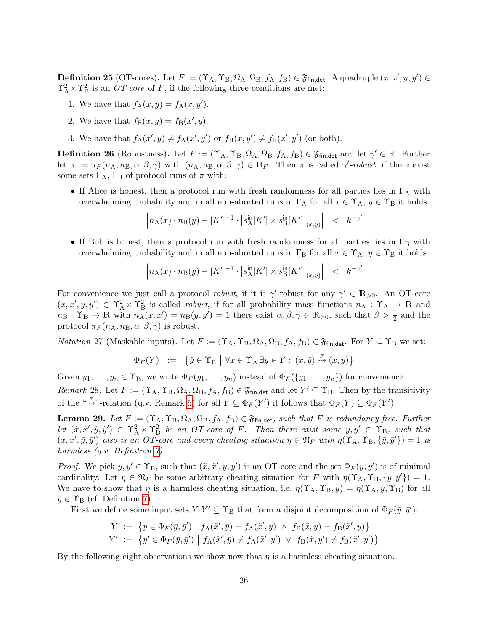<span id="page-27-0"></span>**Definition 25** (OT-cores). Let  $F := (\Upsilon_A, \Upsilon_B, \Omega_A, \Omega_B, f_A, f_B) \in \mathfrak{F}_{fin, det}$ . A quadruple  $(x, x', y, y') \in$  $\Upsilon_A^2 \times \Upsilon_B^2$  is an *OT-core* of *F*, if the following three conditions are met:

- <span id="page-27-2"></span>1. We have that  $f_A(x,y) = f_A(x,y')$ .
- 2. We have that  $f_B(x, y) = f_B(x', y)$ .
- 3. We have that  $f_A(x', y) \neq f_A(x', y')$  or  $f_B(x, y') \neq f_B(x', y')$  (or both).

<span id="page-27-5"></span>**Definition 26** (Robustness). Let  $F := (\Upsilon_A, \Upsilon_B, \Omega_A, \Omega_B, f_A, f_B) \in \mathfrak{F}_{fin, det}$  and let  $\gamma' \in \mathbb{R}$ . Further let  $\pi := \pi_F(n_A, n_B, \alpha, \beta, \gamma)$  with  $(n_A, n_B, \alpha, \beta, \gamma) \in \Pi_F$ . Then  $\pi$  is called  $\gamma'$ -robust, if there exist some sets  $\Gamma_A$ ,  $\Gamma_B$  of protocol runs of  $\pi$  with:

• If Alice is honest, then a protocol run with fresh randomness for all parties lies in  $\Gamma_A$  with overwhelming probability and in all non-aborted runs in  $\Gamma_A$  for all  $x \in \Upsilon_A$ ,  $y \in \Upsilon_B$  it holds:

$$
\left| n_{A}(x) \cdot n_{B}(y) - |K'|^{-1} \cdot |s_{A}^{\text{in}}[K'] \times s_{B}^{\text{in}}[K'] \right|_{(x,y)} \right| \quad < \quad k^{-\gamma'}
$$

• If Bob is honest, then a protocol run with fresh randomness for all parties lies in  $\Gamma_{\rm B}$  with overwhelming probability and in all non-aborted runs in  $\Gamma_B$  for all  $x \in \Upsilon_A$ ,  $y \in \Upsilon_B$  it holds:

$$
\left| n_{A}(x) \cdot n_{B}(y) - |K'|^{-1} \cdot \left| s_{A}^{\text{in}}[K'] \times s_{B}^{\text{in}}[K'] \right|_{(x,y)} \right| \leq k^{-\gamma'}
$$

For convenience we just call a protocol *robust*, if it is  $\gamma'$ -robust for any  $\gamma' \in \mathbb{R}_{>0}$ . An OT-core  $(x, x', y, y') \in \Upsilon^2_A \times \Upsilon^2_B$  is called *robust*, if for all probability mass functions  $n_A : \Upsilon_A \to \mathbb{R}$  and  $n_{\rm B}: \Upsilon_{\rm B} \to \mathbb{R}$  with  $n_{\rm A}(x, x') = n_{\rm B}(y, y') = 1$  there exist  $\alpha, \beta, \gamma \in \mathbb{R}_{>0}$ , such that  $\beta > \frac{1}{2}$  and the protocol  $\pi_F(n_A, n_B, \alpha, \beta, \gamma)$  is robust.

<span id="page-27-3"></span>*Notation* 27 (Maskable inputs). Let  $F := (\Upsilon_A, \Upsilon_B, \Omega_A, \Omega_B, f_A, f_B) \in \mathfrak{F}_{fin, det}$ . For  $Y \subseteq \Upsilon_B$  we set:

$$
\Phi_F(Y) := \{ \hat{y} \in \Upsilon_B \mid \forall x \in \Upsilon_A \exists y \in Y : (x, \hat{y}) \stackrel{F}{\leadsto} (x, y) \}
$$

Given  $y_1, \ldots, y_n \in \Upsilon_B$ , we write  $\Phi_F(y_1, \ldots, y_n)$  instead of  $\Phi_F(\{y_1, \ldots, y_n\})$  for convenience.

<span id="page-27-4"></span>Remark 28. Let  $F := (\Upsilon_A, \Upsilon_B, \Omega_A, \Omega_B, f_A, f_B) \in \mathfrak{F}_{fin, det}$  and let  $Y' \subseteq \Upsilon_B$ . Then by the transitivity of the " $\stackrel{\kappa}{\leadsto}$ "-relation (q.v. Remark [5\)](#page-16-7) for all  $Y \subseteq \Phi_F(Y')$  it follows that  $\Phi_F(Y) \subseteq \Phi_F(Y')$ .

<span id="page-27-1"></span>**Lemma 29.** Let  $F := (\Upsilon_A, \Upsilon_B, \Omega_A, \Omega_B, f_A, f_B) \in \mathfrak{F}_{fin, det}$ , such that F is redundancy-free. Further Let  $(\tilde{x}, \tilde{x}', \tilde{y}, \tilde{y}') \in \Upsilon_A^2 \times \Upsilon_B^2$  be an OT-core of F. Then there exist some  $\bar{y}, \bar{y}' \in \Upsilon_B$ , such that  $(\tilde{x}, \tilde{x}', \bar{y}, \bar{y}')$  also is an OT-core and every cheating situation  $\eta \in \mathfrak{N}_F$  with  $\eta(\Upsilon_A, \Upsilon_B, \{\bar{y}, \bar{y}'\}) = 1$  is harmless (q.v. Definition [7\)](#page-16-1).

*Proof.* We pick  $\bar{y}, \bar{y}' \in \Upsilon_B$ , such that  $(\tilde{x}, \tilde{x}', \bar{y}, \bar{y}')$  is an OT-core and the set  $\Phi_F(\bar{y}, \bar{y}')$  is of minimal cardinality. Let  $\eta \in \mathfrak{N}_F$  be some arbitrary cheating situation for F with  $\eta(\Upsilon_A, \Upsilon_B, \{\overline{y}, \overline{y}'\}) = 1$ . We have to show that  $\eta$  is a harmless cheating situation, i.e.  $\eta(\Upsilon_A, \Upsilon_B, y) = \eta(\Upsilon_A, y, \Upsilon_B)$  for all  $y \in \Upsilon_{\text{B}}$  (cf. Definition [7\)](#page-16-1).

First we define some input sets  $Y, Y' \subseteq \Upsilon_B$  that form a disjoint decomposition of  $\Phi_F(\bar{y}, \bar{y}')$ :

$$
Y := \{ y \in \Phi_F(\bar{y}, \bar{y}') \mid f_A(\tilde{x}', \bar{y}) = f_A(\tilde{x}', y) \land f_B(\tilde{x}, y) = f_B(\tilde{x}', y) \}
$$
  

$$
Y' := \{ y' \in \Phi_F(\bar{y}, \bar{y}') \mid f_A(\tilde{x}', \bar{y}) \neq f_A(\tilde{x}', y') \lor f_B(\tilde{x}, y') \neq f_B(\tilde{x}', y') \}
$$

By the following eight observations we show now that  $\eta$  is a harmless cheating situation.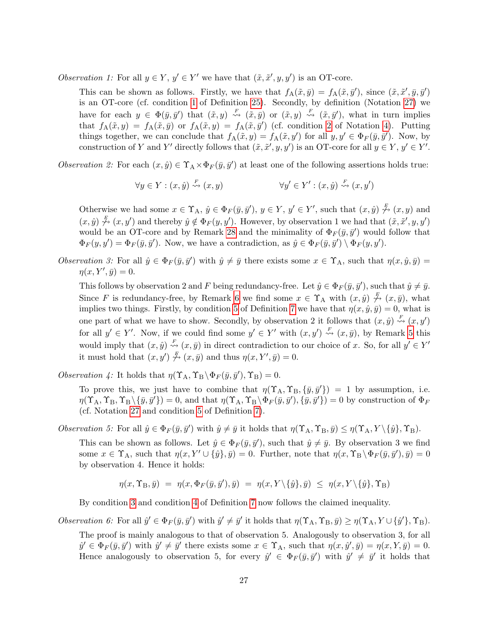Observation 1: For all  $y \in Y$ ,  $y' \in Y'$  we have that  $(\tilde{x}, \tilde{x}', y, y')$  is an OT-core.

This can be shown as follows. Firstly, we have that  $f_A(\tilde{x}, \bar{y}) = f_A(\tilde{x}, \bar{y}')$ , since  $(\tilde{x}, \tilde{x}', \bar{y}, \bar{y}')$ is an OT-core (cf. condition [1](#page-27-2) of Definition [25\)](#page-27-0). Secondly, by definition (Notation [27\)](#page-27-3) we have for each  $y \in \Phi(\bar{y}, \bar{y}')$  that  $(\tilde{x}, y) \stackrel{F}{\rightsquigarrow} (\tilde{x}, \bar{y})$  or  $(\tilde{x}, y) \stackrel{F}{\rightsquigarrow} (\tilde{x}, \bar{y}')$ , what in turn implies that  $f_A(\tilde{x}, y) = f_A(\tilde{x}, \bar{y})$  or  $f_A(\tilde{x}, y) = f_A(\tilde{x}, \bar{y}')$  (cf. condition [2](#page-16-8) of Notation [4\)](#page-15-6). Putting things together, we can conclude that  $f_A(\tilde{x}, y) = f_A(\tilde{x}, y')$  for all  $y, y' \in \Phi_F(\bar{y}, \bar{y}')$ . Now, by construction of Y and Y' directly follows that  $(\tilde{x}, \tilde{x}', y, y')$  is an OT-core for all  $y \in Y$ ,  $y' \in Y'$ .

Observation 2: For each  $(x, \hat{y}) \in \Upsilon_A \times \Phi_F(\bar{y}, \bar{y}')$  at least one of the following assertions holds true:

$$
\forall y \in Y : (x, \hat{y}) \stackrel{F}{\rightsquigarrow} (x, y) \qquad \forall y' \in Y' : (x, \hat{y}) \stackrel{F}{\rightsquigarrow} (x, y')
$$

Otherwise we had some  $x \in \Upsilon_A$ ,  $\hat{y} \in \Phi_F(\bar{y}, \bar{y}')$ ,  $y \in Y$ ,  $y' \in Y'$ , such that  $(x, \hat{y}) \not\stackrel{F}{\sim} (x, y)$  and  $(x, \hat{y}) \stackrel{F}{\n\rightarrow} (x, y')$  and thereby  $\hat{y} \notin \Phi_F(y, y')$ . However, by observation 1 we had that  $(\tilde{x}, \tilde{x}', y, y')$ would be an OT-core and by Remark [28](#page-27-4) and the minimality of  $\Phi_F(\bar{y}, \bar{y}')$  would follow that  $\Phi_F(y, y') = \Phi_F(\bar{y}, \bar{y}')$ . Now, we have a contradiction, as  $\hat{y} \in \Phi_F(\bar{y}, \bar{y}') \setminus \Phi_F(y, y')$ .

Observation 3: For all  $\hat{y} \in \Phi_F(\bar{y}, \bar{y}')$  with  $\hat{y} \neq \bar{y}$  there exists some  $x \in \Upsilon_A$ , such that  $\eta(x, \hat{y}, \bar{y}) =$  $\eta(x, Y', \bar{y}) = 0.$ 

This follows by observation 2 and F being redundancy-free. Let  $\hat{y} \in \Phi_F(\bar{y}, \bar{y}')$ , such that  $\hat{y} \neq \bar{y}$ . Since F is redundancy-free, by Remark [6](#page-16-9) we find some  $x \in \Upsilon_A$  with  $(x, \hat{y}) \not\stackrel{F}{\sim} (x, \bar{y})$ , what implies two things. Firstly, by condition [5](#page-16-10) of Definition [7](#page-16-1) we have that  $\eta(x, \hat{y}, \bar{y}) = 0$ , what is one part of what we have to show. Secondly, by observation 2 it follows that  $(x, \hat{y}) \stackrel{F}{\rightsquigarrow} (x, y')$ for all  $y' \in Y'$ . Now, if we could find some  $y' \in Y'$  with  $(x, y') \stackrel{F}{\rightsquigarrow} (x, \bar{y})$ , by Remark [5](#page-16-7) this would imply that  $(x, \hat{y}) \stackrel{F}{\rightsquigarrow} (x, \bar{y})$  in direct contradiction to our choice of x. So, for all  $y' \in Y'$ it must hold that  $(x, y') \overset{F}{\n\rightarrow} (x, \bar{y})$  and thus  $\eta(x, Y', \bar{y}) = 0$ .

Observation 4: It holds that  $\eta(\Upsilon_A, \Upsilon_B \setminus \Phi_F (\bar{y}, \bar{y}'), \Upsilon_B) = 0.$ 

To prove this, we just have to combine that  $\eta(\Upsilon_A, \Upsilon_B, \{\bar{y}, \bar{y}'\}) = 1$  by assumption, i.e.  $\eta(\Upsilon_A, \Upsilon_B, \Upsilon_B \setminus {\{\bar{y}, \bar{y}'\}}) = 0$ , and that  $\eta(\Upsilon_A, \Upsilon_B \setminus {\Phi}_F(\bar{y}, \bar{y}'), {\{\bar{y}, \bar{y}'\}}) = 0$  by construction of  $\Phi_F$ (cf. Notation [27](#page-27-3) and condition [5](#page-16-10) of Definition [7\)](#page-16-1).

Observation 5: For all  $\hat{y} \in \Phi_F(\bar{y}, \bar{y}')$  with  $\hat{y} \neq \bar{y}$  it holds that  $\eta(\Upsilon_A, \Upsilon_B, \bar{y}) \leq \eta(\Upsilon_A, Y \setminus {\hat{y}}, \Upsilon_B)$ .

This can be shown as follows. Let  $\hat{y} \in \Phi_F(\bar{y}, \bar{y}')$ , such that  $\hat{y} \neq \bar{y}$ . By observation 3 we find some  $x \in \Upsilon_A$ , such that  $\eta(x, Y' \cup {\hat{y}}, \bar{y}) = 0$ . Further, note that  $\eta(x, \Upsilon_B \setminus \Phi_F(\bar{y}, \bar{y}'), \bar{y}) = 0$ by observation 4. Hence it holds:

$$
\eta(x,\Upsilon_\text{B},\bar{y}) = \eta(x,\Phi_F(\bar{y},\bar{y}'),\bar{y}) = \eta(x,Y\setminus{\{\hat{y}\},\bar{y}}) \leq \eta(x,Y\setminus{\{\hat{y}\}},\Upsilon_\text{B})
$$

By condition [3](#page-16-5) and condition [4](#page-16-6) of Definition [7](#page-16-1) now follows the claimed inequality.

Observation 6: For all  $\hat{y}' \in \Phi_F(\bar{y}, \bar{y}')$  with  $\hat{y}' \neq \bar{y}'$  it holds that  $\eta(\Upsilon_A, \Upsilon_B, \bar{y}) \geq \eta(\Upsilon_A, Y \cup {\hat{y}'}, \Upsilon_B)$ .

The proof is mainly analogous to that of observation 5. Analogously to observation 3, for all  $\hat{y}' \in \Phi_F(\bar{y}, \bar{y}')$  with  $\hat{y}' \neq \bar{y}'$  there exists some  $x \in \Upsilon_A$ , such that  $\eta(x, \hat{y}', \bar{y}) = \eta(x, Y, \bar{y}) = 0$ . Hence analogously to observation 5, for every  $\hat{y}' \in \Phi_F(\bar{y}, \bar{y}')$  with  $\hat{y}' \neq \bar{y}'$  it holds that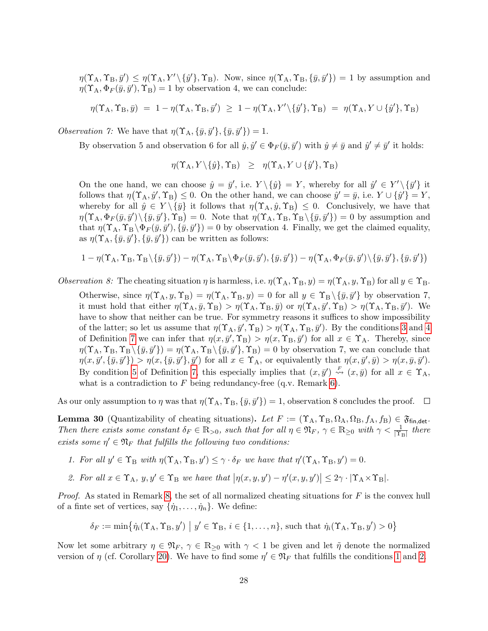$\eta(\Upsilon_A, \Upsilon_B, \bar{y}') \leq \eta(\Upsilon_A, Y' \setminus {\{\hat{y}'\}}, \Upsilon_B)$ . Now, since  $\eta(\Upsilon_A, \Upsilon_B, {\{\bar{y}, \bar{y}'\}}) = 1$  by assumption and  $\eta(\Upsilon_A, \Phi_F(\bar{y}, \bar{y}'), \Upsilon_B) = 1$  by observation 4, we can conclude:

$$
\eta(\Upsilon_A, \Upsilon_B, \bar{y}) = 1 - \eta(\Upsilon_A, \Upsilon_B, \bar{y}') \ge 1 - \eta(\Upsilon_A, Y' \setminus {\{\hat{y}'\}}, \Upsilon_B) = \eta(\Upsilon_A, Y \cup {\{\hat{y}'\}}, \Upsilon_B)
$$

Observation 7: We have that  $\eta(\Upsilon_{A}, {\bar{y}, \bar{y}'}, {\bar{y}, \bar{y}'}) = 1.$ 

By observation 5 and observation 6 for all  $\hat{y}, \hat{y}' \in \Phi_F(\bar{y}, \bar{y}')$  with  $\hat{y} \neq \bar{y}$  and  $\hat{y}' \neq \bar{y}'$  it holds:

$$
\eta(\Upsilon_A, Y \setminus \{\hat{y}\}, \Upsilon_B) \geq \eta(\Upsilon_A, Y \cup \{\hat{y}'\}, \Upsilon_B)
$$

On the one hand, we can choose  $\hat{y} = \bar{y}'$ , i.e.  $Y \setminus {\hat{y}} = Y$ , whereby for all  $\hat{y}' \in Y' \setminus {\{\bar{y}'\}}$  it follows that  $\eta(\Upsilon_A, \hat{y}', \Upsilon_B) \leq 0$ . On the other hand, we can choose  $\hat{y}' = \bar{y}$ , i.e.  $Y \cup {\hat{y}'} = Y$ , whereby for all  $\hat{y} \in Y \setminus {\{\overline{y}\}}$  it follows that  $\eta(\Upsilon_A, \hat{y}, \Upsilon_B) \leq 0$ . Conclusively, we have that  $\eta(\Upsilon_A, \Phi_F(\bar{y}, \bar{y}')\setminus{\bar{y}, \bar{y}'}, \Upsilon_B) = 0.$  Note that  $\eta(\Upsilon_A, \Upsilon_B, \Upsilon_B\setminus{\bar{y}, \bar{y}'}) = 0$  by assumption and that  $\eta(\Upsilon_A, \Upsilon_B \setminus \Phi_F(\bar{y}, \bar{y}'), {\bar{y}, \bar{y}'}\}=0$  by observation 4. Finally, we get the claimed equality, as  $\eta(\Upsilon_A, {\{\overline{y}, \overline{y}'\}}, {\{\overline{y}, \overline{y}'\}})$  can be written as follows:

$$
1-\eta(\Upsilon_A,\Upsilon_B,\Upsilon_B\backslash\{\bar y,\bar y'\})-\eta(\Upsilon_A,\Upsilon_B\backslash\Phi_F(\bar y,\bar y'),\{\bar y,\bar y'\})-\eta\big(\Upsilon_A,\Phi_F(\bar y,\bar y')\backslash\{\bar y,\bar y'\},\{\bar y,\bar y'\}\big)
$$

Observation 8: The cheating situation  $\eta$  is harmless, i.e.  $\eta(\Upsilon_A, \Upsilon_B, y) = \eta(\Upsilon_A, y, \Upsilon_B)$  for all  $y \in \Upsilon_B$ .

Otherwise, since  $\eta(\Upsilon_A, y, \Upsilon_B) = \eta(\Upsilon_A, \Upsilon_B, y) = 0$  for all  $y \in \Upsilon_B \setminus {\bar{y}, \bar{y'}}$  by observation 7, it must hold that either  $\eta(\Upsilon_A, \bar{y}, \Upsilon_B) > \eta(\Upsilon_A, \Upsilon_B, \bar{y})$  or  $\eta(\Upsilon_A, \bar{y}', \Upsilon_B) > \eta(\Upsilon_A, \Upsilon_B, \bar{y}')$ . We have to show that neither can be true. For symmetry reasons it suffices to show impossibility of the latter; so let us assume that  $\eta(\Upsilon_A, \bar{y}', \Upsilon_B) > \eta(\Upsilon_A, \Upsilon_B, \bar{y}')$ . By the conditions [3](#page-16-5) and [4](#page-16-6) of Definition [7](#page-16-1) we can infer that  $\eta(x, \bar{y}', \Upsilon_B) > \eta(x, \Upsilon_B, \bar{y}')$  for all  $x \in \Upsilon_A$ . Thereby, since  $\eta(\Upsilon_A, \Upsilon_B, \Upsilon_B \setminus {\{\bar{y}, \bar{y}'\}}) = \eta(\Upsilon_A, \Upsilon_B \setminus {\{\bar{y}, \bar{y}'\}}, \Upsilon_B) = 0$  by observation 7, we can conclude that  $\eta(x, \bar{y}', \{\bar{y}, \bar{y}'\}) > \eta(x, \{\bar{y}, \bar{y}'\}, \bar{y}')$  for all  $x \in \Upsilon_A$ , or equivalently that  $\eta(x, \bar{y}', \bar{y}) > \eta(x, \bar{y}, \bar{y}')$ . By condition [5](#page-16-10) of Definition [7,](#page-16-1) this especially implies that  $(x, \bar{y}') \stackrel{F}{\rightsquigarrow} (x, \bar{y})$  for all  $x \in \Upsilon_A$ , what is a contradiction to  $F$  being redundancy-free (q.v. Remark [6\)](#page-16-9).

As our only assumption to  $\eta$  was that  $\eta(\Upsilon_A, \Upsilon_B, \{\bar{y}, \bar{y}'\}) = 1$ , observation 8 concludes the proof.

<span id="page-29-2"></span>**Lemma 30** (Quantizability of cheating situations). Let  $F := (\Upsilon_A, \Upsilon_B, \Omega_A, \Omega_B, f_A, f_B) \in \mathfrak{F}_{fin, det}$ . Then there exists some constant  $\delta_F \in \mathbb{R}_{>0}$ , such that for all  $\eta \in \mathfrak{N}_F$ ,  $\gamma \in \mathbb{R}_{\geq 0}$  with  $\gamma < \frac{1}{|\Upsilon_B|}$  there exists some  $\eta' \in \mathfrak{N}_F$  that fulfills the following two conditions:

- <span id="page-29-0"></span>1. For all  $y' \in \Upsilon_B$  with  $\eta(\Upsilon_A, \Upsilon_B, y') \leq \gamma \cdot \delta_F$  we have that  $\eta'(\Upsilon_A, \Upsilon_B, y') = 0$ .
- <span id="page-29-1"></span>2. For all  $x \in \Upsilon_A$ ,  $y, y' \in \Upsilon_B$  we have that  $|\eta(x, y, y') - \eta'(x, y, y')| \leq 2\gamma \cdot |\Upsilon_A \times \Upsilon_B|$ .

*Proof.* As stated in Remark [8,](#page-16-2) the set of all normalized cheating situations for  $F$  is the convex hull of a finte set of vertices, say  $\{\dot{\eta}_1, \dots, \dot{\eta}_n\}$ . We define:

$$
\delta_F := \min \{ \dot{\eta}_i(\Upsilon_A, \Upsilon_B, y') \mid y' \in \Upsilon_B, i \in \{1, \dots, n\}, \text{ such that } \dot{\eta}_i(\Upsilon_A, \Upsilon_B, y') > 0 \}
$$

Now let some arbitrary  $\eta \in \mathfrak{N}_F$ ,  $\gamma \in \mathbb{R}_{\geq 0}$  with  $\gamma < 1$  be given and let  $\tilde{\eta}$  denote the normalized version of  $\eta$  (cf. Corollary [20\)](#page-23-2). We have to find some  $\eta' \in \mathfrak{N}_F$  that fulfills the conditions [1](#page-29-0) and [2.](#page-29-1)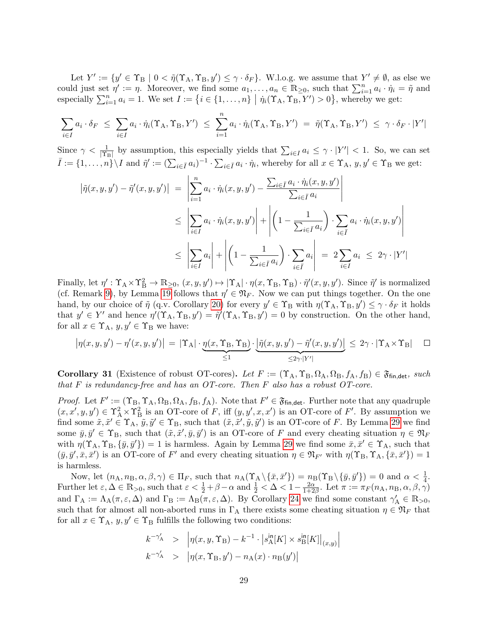Let  $Y' := \{y' \in \Upsilon_B \mid 0 < \tilde{\eta}(\Upsilon_A, \Upsilon_B, y') \leq \gamma \cdot \delta_F\}$ . W.l.o.g. we assume that  $Y' \neq \emptyset$ , as else we could just set  $\eta' := \eta$ . Moreover, we find some  $a_1, \ldots, a_n \in \mathbb{R}_{\geq 0}$ , such that  $\sum_{i=1}^n a_i \cdot \dot{\eta}_i = \tilde{\eta}$  and especially  $\sum_{i=1}^{n} a_i = 1$ . We set  $I := \{i \in \{1, ..., n\} \mid \dot{\eta}_i(\Upsilon_A, \Upsilon_B, Y') > 0\}$ , whereby we get:

$$
\sum_{i\in I} a_i \cdot \delta_F \leq \sum_{i\in I} a_i \cdot \dot{\eta}_i(\Upsilon_A, \Upsilon_B, Y') \leq \sum_{i=1}^n a_i \cdot \dot{\eta}_i(\Upsilon_A, \Upsilon_B, Y') = \tilde{\eta}(\Upsilon_A, \Upsilon_B, Y') \leq \gamma \cdot \delta_F \cdot |Y'|
$$

Since  $\gamma < \frac{1}{|\Upsilon_B|}$  by assumption, this especially yields that  $\sum_{i \in I} a_i \leq \gamma \cdot |Y'| < 1$ . So, we can set  $\overline{I} := \{1, \ldots, n\} \setminus I$  and  $\tilde{\eta}' := (\sum_{i \in \overline{I}} a_i)^{-1} \cdot \sum_{i \in \overline{I}} a_i \cdot \dot{\eta}_i$ , whereby for all  $x \in \Upsilon_A$ ,  $y, y' \in \Upsilon_B$  we get:

$$
\begin{aligned}\n\left|\tilde{\eta}(x,y,y')-\tilde{\eta}'(x,y,y')\right| &= \left|\sum_{i=1}^{n} a_i \cdot \dot{\eta}_i(x,y,y')-\frac{\sum_{i \in \bar{I}} a_i \cdot \dot{\eta}_i(x,y,y')}{\sum_{i \in \bar{I}} a_i}\right| \\
&\leq \left|\sum_{i \in I} a_i \cdot \dot{\eta}_i(x,y,y')\right| + \left|\left(1-\frac{1}{\sum_{i \in \bar{I}} a_i}\right) \cdot \sum_{i \in \bar{I}} a_i \cdot \dot{\eta}_i(x,y,y')\right| \\
&\leq \left|\sum_{i \in I} a_i\right| + \left|\left(1-\frac{1}{\sum_{i \in \bar{I}} a_i}\right) \cdot \sum_{i \in \bar{I}} a_i\right| = 2 \sum_{i \in I} a_i \leq 2\gamma \cdot |Y'|\n\end{aligned}
$$

Finally, let  $\eta' : \Upsilon_A \times \Upsilon_B^2 \to \mathbb{R}_{\geq 0}$ ,  $(x, y, y') \mapsto |\Upsilon_A| \cdot \eta(x, \Upsilon_B, \Upsilon_B) \cdot \tilde{\eta}'(x, y, y')$ . Since  $\tilde{\eta}'$  is normalized (cf. Remark [9\)](#page-16-3), by Lemma [19](#page-23-1) follows that  $\eta' \in \mathfrak{N}_F$ . Now we can put things together. On the one hand, by our choice of  $\tilde{\eta}$  (q.v. Corollary [20\)](#page-23-2) for every  $y' \in \Upsilon_B$  with  $\eta(\Upsilon_A, \Upsilon_B, y') \leq \gamma \cdot \delta_F$  it holds that  $y' \in Y'$  and hence  $\eta'(\Upsilon_A, \Upsilon_B, y') = \tilde{\eta}'(\Upsilon_A, \Upsilon_B, y') = 0$  by construction. On the other hand, for all  $x \in \Upsilon_A$ ,  $y, y' \in \Upsilon_B$  we have:

$$
\left|\eta(x,y,y')-\eta'(x,y,y')\right| = \left|\Upsilon_A\right|\cdot\underbrace{\eta(x,\Upsilon_B,\Upsilon_B)}_{\leq 1}\cdot\underbrace{\left|\tilde{\eta}(x,y,y')-\tilde{\eta}'(x,y,y')\right|}_{\leq 2\gamma\cdot|\Upsilon'|} \leq 2\gamma\cdot\left|\Upsilon_A\times\Upsilon_B\right| \quad \Box
$$

<span id="page-30-0"></span>**Corollary 31** (Existence of robust OT-cores). Let  $F := (\Upsilon_A, \Upsilon_B, \Omega_A, \Omega_B, f_A, f_B) \in \mathfrak{F}_{\text{fin},\text{det}}$ , such that  $F$  is redundancy-free and has an OT-core. Then  $F$  also has a robust OT-core.

Proof. Let  $F' := (\Upsilon_B, \Upsilon_A, \Omega_B, \Omega_A, f_B, f_A)$ . Note that  $F' \in \mathfrak{F}_{fin, det}$ . Further note that any quadruple  $(x, x', y, y') \in \Upsilon^2_A \times \Upsilon^2_B$  is an OT-core of F, iff  $(y, y', x, x')$  is an OT-core of F'. By assumption we find some  $\tilde{x}, \tilde{x}' \in \Upsilon_A$ ,  $\tilde{y}, \tilde{y}' \in \Upsilon_B$ , such that  $(\tilde{x}, \tilde{x}', \tilde{y}, \tilde{y}')$  is an OT-core of F. By Lemma [29](#page-27-1) we find some  $\bar{y}, \bar{y}' \in \Upsilon_B$ , such that  $(\tilde{x}, \tilde{x}', \bar{y}, \bar{y}')$  is an OT-core of F and every cheating situation  $\eta \in \mathfrak{N}_F$ with  $\eta(\Upsilon_A, \Upsilon_B, \{\bar{y}, \bar{y}'\}) = 1$  is harmless. Again by Lemma [29](#page-27-1) we find some  $\bar{x}, \bar{x}' \in \Upsilon_A$ , such that  $(\bar{y}, \bar{y}', \bar{x}, \bar{x}')$  is an OT-core of F' and every cheating situation  $\eta \in \mathfrak{N}_{F'}$  with  $\eta(\Upsilon_B, \Upsilon_A, {\bar{x}}, \bar{x}') = 1$ is harmless.

Now, let  $(n_A, n_B, \alpha, \beta, \gamma) \in \Pi_F$ , such that  $n_A(\Upsilon_A \setminus {\{\bar{x}, \bar{x}'\}}) = n_B(\Upsilon_B \setminus {\{\bar{y}, \bar{y}'\}}) = 0$  and  $\alpha < \frac{1}{4}$ . Further let  $\varepsilon, \Delta \in \mathbb{R}_{>0}$ , such that  $\varepsilon < \frac{1}{2} + \beta - \alpha$  and  $\frac{1}{2} < \Delta < 1 - \frac{2\alpha}{1+2}$  $\frac{2\alpha}{1+2\beta}$ . Let  $\pi := \pi_F(n_A, n_B, \alpha, \beta, \gamma)$ and  $\Gamma_A := \Lambda_A(\pi, \varepsilon, \Delta)$  and  $\Gamma_B := \Lambda_B(\pi, \varepsilon, \Delta)$ . By Corollary [24](#page-26-1) we find some constant  $\gamma'_A \in \mathbb{R}_{>0}$ , such that for almost all non-aborted runs in  $\Gamma_A$  there exists some cheating situation  $\eta \in \mathfrak{N}_F$  that for all  $x \in \Upsilon_A$ ,  $y, y' \in \Upsilon_B$  fulfills the following two conditions:

$$
k^{-\gamma'_\mathcal{A}} > \left| \eta(x, y, \Upsilon_{\mathcal{B}}) - k^{-1} \cdot \left| s_{\mathcal{A}}^{\text{in}}[K] \times s_{\mathcal{B}}^{\text{in}}[K] \right|_{(x, y)} \right|
$$
  

$$
k^{-\gamma'_\mathcal{A}} > \left| \eta(x, \Upsilon_{\mathcal{B}}, y') - n_{\mathcal{A}}(x) \cdot n_{\mathcal{B}}(y') \right|
$$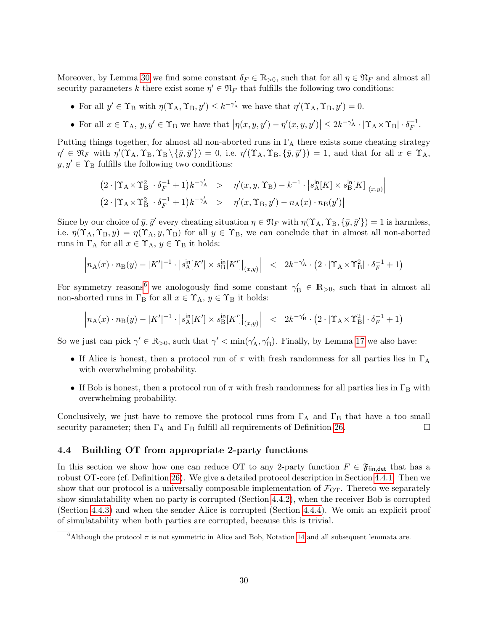Moreover, by Lemma [30](#page-29-2) we find some constant  $\delta_F \in \mathbb{R}_{>0}$ , such that for all  $\eta \in \mathfrak{N}_F$  and almost all security parameters k there exist some  $\eta' \in \mathfrak{N}_F$  that fulfills the following two conditions:

- For all  $y' \in \Upsilon_B$  with  $\eta(\Upsilon_A, \Upsilon_B, y') \leq k^{-\gamma'_A}$  we have that  $\eta'(\Upsilon_A, \Upsilon_B, y') = 0$ .
- For all  $x \in \Upsilon_A$ ,  $y, y' \in \Upsilon_B$  we have that  $|\eta(x, y, y') \eta'(x, y, y')| \leq 2k^{-\gamma'_A} \cdot |\Upsilon_A \times \Upsilon_B| \cdot \delta_F^{-1}$  $\frac{-1}{F}$ .

Putting things together, for almost all non-aborted runs in  $\Gamma_A$  there exists some cheating strategy  $\eta' \in \mathfrak{N}_F$  with  $\eta'(\Upsilon_A, \Upsilon_B, \Upsilon_B \setminus {\{\overline{y}, \overline{y}'\}}) = 0$ , i.e.  $\eta'(\Upsilon_A, \Upsilon_B, {\{\overline{y}, \overline{y}'\}}) = 1$ , and that for all  $x \in \Upsilon_A$ ,  $y, y' \in \Upsilon_B$  fulfills the following two conditions:

$$
(2 \cdot |\Upsilon_A \times \Upsilon_B^2| \cdot \delta_F^{-1} + 1)k^{-\gamma'_A} > |\eta'(x, y, \Upsilon_B) - k^{-1} \cdot |s_A^{\text{in}}[K] \times s_B^{\text{in}}[K]|_{(x,y)}|
$$
  

$$
(2 \cdot |\Upsilon_A \times \Upsilon_B^2| \cdot \delta_F^{-1} + 1)k^{-\gamma'_A} > |\eta'(x, \Upsilon_B, y') - n_A(x) \cdot n_B(y')|
$$

Since by our choice of  $\bar{y}, \bar{y}'$  every cheating situation  $\eta \in \mathfrak{N}_F$  with  $\eta(\Upsilon_A, \Upsilon_B, \{\bar{y}, \bar{y}'\}) = 1$  is harmless, i.e.  $\eta(\Upsilon_A, \Upsilon_B, y) = \eta(\Upsilon_A, y, \Upsilon_B)$  for all  $y \in \Upsilon_B$ , we can conclude that in almost all non-aborted runs in  $\Gamma_A$  for all  $x \in \Upsilon_A$ ,  $y \in \Upsilon_B$  it holds:

$$
\left| n_{\mathcal{A}}(x) \cdot n_{\mathcal{B}}(y) - |K'|^{-1} \cdot \left| s_{\mathcal{A}}^{\mathsf{in}}[K'] \times s_{\mathcal{B}}^{\mathsf{in}}[K'] \right|_{(x,y)} \right| \quad < \quad 2k^{-\gamma_{\mathcal{A}}'} \cdot \left( 2 \cdot |\Upsilon_{\mathcal{A}} \times \Upsilon_{\mathcal{B}}^2| \cdot \delta_{F}^{-1} + 1 \right)
$$

For symmetry reasons<sup>[6](#page-31-1)</sup> we anologously find some constant  $\gamma'_B \in \mathbb{R}_{>0}$ , such that in almost all non-aborted runs in  $\Gamma_B$  for all  $x \in \Upsilon_A$ ,  $y \in \Upsilon_B$  it holds:

$$
\left| n_{A}(x) \cdot n_{B}(y) - |K'|^{-1} \cdot \left| s_{A}^{\text{in}}[K'] \times s_{B}^{\text{in}}[K'] \right|_{(x,y)} \right| \quad < \quad 2k^{-\gamma_{B}'} \cdot \left( 2 \cdot |\Upsilon_{A} \times \Upsilon_{B}^{2}| \cdot \delta_{F}^{-1} + 1 \right)
$$

So we just can pick  $\gamma' \in \mathbb{R}_{>0}$ , such that  $\gamma' < \min(\gamma'_A, \gamma'_B)$ . Finally, by Lemma [17](#page-20-0) we also have:

- If Alice is honest, then a protocol run of  $\pi$  with fresh randomness for all parties lies in  $\Gamma_A$ with overwhelming probability.
- If Bob is honest, then a protocol run of  $\pi$  with fresh randomness for all parties lies in  $\Gamma_B$  with overwhelming probability.

Conclusively, we just have to remove the protocol runs from  $\Gamma_A$  and  $\Gamma_B$  that have a too small security parameter; then  $\Gamma_A$  and  $\Gamma_B$  fulfill all requirements of Definition [26.](#page-27-5)  $\Box$ 

#### <span id="page-31-0"></span>4.4 Building OT from appropriate 2-party functions

In this section we show how one can reduce OT to any 2-party function  $F \in \mathfrak{F}_{fin, det}$  that has a robust OT-core (cf. Definition [26\)](#page-27-5). We give a detailed protocol description in Section [4.4.1.](#page-32-0) Then we show that our protocol is a universally composable implementation of  $\mathcal{F}_{OT}$ . Thereto we separately show simulatability when no party is corrupted (Section [4.4.2\)](#page-34-0), when the receiver Bob is corrupted (Section [4.4.3\)](#page-34-1) and when the sender Alice is corrupted (Section [4.4.4\)](#page-35-0). We omit an explicit proof of simulatability when both parties are corrupted, because this is trivial.

<span id="page-31-1"></span> $^6$ Although the protocol  $\pi$  is not symmetric in Alice and Bob, Notation [14](#page-18-4) and all subsequent lemmata are.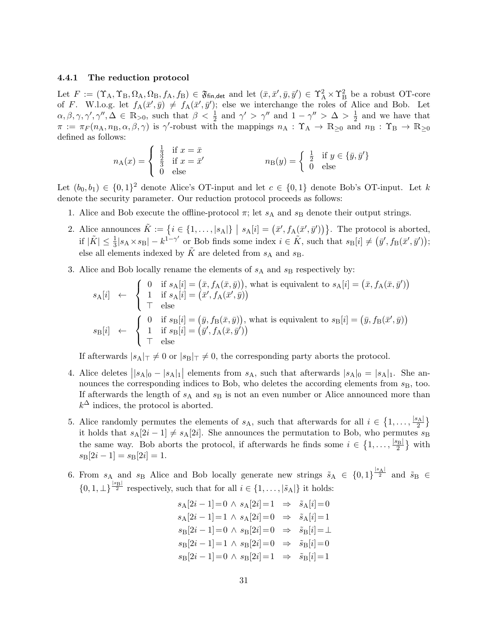#### <span id="page-32-0"></span>4.4.1 The reduction protocol

Let  $F := (\Upsilon_A, \Upsilon_B, \Omega_A, \Omega_B, f_A, f_B) \in \mathfrak{F}_{fin, det}$  and let  $(\bar{x}, \bar{x}', \bar{y}, \bar{y}') \in \Upsilon_A^2 \times \Upsilon_B^2$  be a robust OT-core of F. W.l.o.g. let  $f_A(\bar{x}', \bar{y}) \neq f_A(\bar{x}', \bar{y}')$ ; else we interchange the roles of Alice and Bob. Let  $\alpha, \beta, \gamma, \gamma', \gamma'', \Delta \in \mathbb{R}_{>0}$ , such that  $\beta < \frac{1}{2}$  and  $\gamma' > \gamma''$  and  $1 - \gamma'' > \Delta > \frac{1}{2}$  $\frac{1}{2}$  and we have that  $\pi := \pi_F(n_A, n_B, \alpha, \beta, \gamma)$  is  $\gamma'$ -robust with the mappings  $n_A : \Upsilon_A \to \mathbb{R}_{\geq 0}$  and  $n_B : \Upsilon_B \to \mathbb{R}_{\geq 0}$ defined as follows:

$$
n_{\mathcal{A}}(x) = \begin{cases} \frac{1}{3} & \text{if } x = \bar{x} \\ \frac{2}{3} & \text{if } x = \bar{x}' \\ 0 & \text{else} \end{cases} \qquad n_{\mathcal{B}}(y) = \begin{cases} \frac{1}{2} & \text{if } y \in \{\bar{y}, \bar{y}'\} \\ 0 & \text{else} \end{cases}
$$

Let  $(b_0, b_1) \in \{0, 1\}^2$  denote Alice's OT-input and let  $c \in \{0, 1\}$  denote Bob's OT-input. Let k denote the security parameter. Our reduction protocol proceeds as follows:

- <span id="page-32-1"></span>1. Alice and Bob execute the offline-protocol  $\pi$ ; let  $s_A$  and  $s_B$  denote their output strings.
- <span id="page-32-3"></span>2. Alice announces  $\tilde{K} := \{i \in \{1, \ldots, |s_A|\} \mid s_A[i] = (\bar{x}', f_A(\bar{x}', \bar{y}'))\}$ . The protocol is aborted, if  $|\tilde{K}| \leq \frac{1}{3}|s_A \times s_B| - k^{1-\gamma'}$  or Bob finds some index  $i \in \tilde{K}$ , such that  $s_B[i] \neq (\bar{y}', f_B(\bar{x}', \bar{y}'))$ ; else all elements indexed by  $\overline{K}$  are deleted from  $s_A$  and  $s_B$ .
- 3. Alice and Bob locally rename the elements of  $s_A$  and  $s_B$  respectively by:

$$
s_{\mathcal{A}}[i] \leftarrow \begin{cases} 0 & \text{if } s_{\mathcal{A}}[i] = (\bar{x}, f_{\mathcal{A}}(\bar{x}, \bar{y})), \text{ what is equivalent to } s_{\mathcal{A}}[i] = (\bar{x}, f_{\mathcal{A}}(\bar{x}, \bar{y}')) \\ 1 & \text{if } s_{\mathcal{A}}[i] = (\bar{x}', f_{\mathcal{A}}(\bar{x}', \bar{y})) \\ \vdots & \text{else} \end{cases}
$$

$$
s_{\mathcal{B}}[i] \leftarrow \begin{cases} 0 & \text{if } s_{\mathcal{B}}[i] = (\bar{y}, f_{\mathcal{B}}(\bar{x}, \bar{y})), \text{ what is equivalent to } s_{\mathcal{B}}[i] = (\bar{y}, f_{\mathcal{B}}(\bar{x}', \bar{y})) \\ 1 & \text{if } s_{\mathcal{B}}[i] = (\bar{y}', f_{\mathcal{A}}(\bar{x}, \bar{y}')) \\ \vdots & \text{else} \end{cases}
$$

If afterwards  $|s_A|_{\top} \neq 0$  or  $|s_B|_{\top} \neq 0$ , the corresponding party aborts the protocol.

- <span id="page-32-4"></span>4. Alice deletes  $||s_A|_0 - |s_A|_1$  elements from  $s_A$ , such that afterwards  $|s_A|_0 = |s_A|_1$ . She announces the corresponding indices to Bob, who deletes the according elements from  $s_B$ , too. If afterwards the length of  $s_A$  and  $s_B$  is not an even number or Alice announced more than  $k^{\Delta}$  indices, the protocol is aborted.
- <span id="page-32-2"></span>5. Alice randomly permutes the elements of  $s_A$ , such that afterwards for all  $i \in \{1, \ldots, \frac{|s_A|}{2}$  $\frac{3A}{2}$ } it holds that  $s_A[2i-1] \neq s_A[2i]$ . She announces the permutation to Bob, who permutes  $s_B$ the same way. Bob aborts the protocol, if afterwards he finds some  $i \in \{1, \ldots, \frac{|s_{\text{B}}|}{2}$  $\frac{1}{2}$  with  $s_{\text{B}}[2i - 1] = s_{\text{B}}[2i] = 1.$
- 6. From  $s_A$  and  $s_B$  Alice and Bob locally generate new strings  $\tilde{s}_A \in \{0,1\}^{\frac{|s_A|}{2}}$  and  $\tilde{s}_B \in$  $\{0, 1, \perp\}^{\frac{|s_{\mathbf{B}}|}{2}}$  respectively, such that for all  $i \in \{1, \ldots, |\tilde{s}_{\mathbf{A}}|\}$  it holds:

$$
s_A[2i - 1] = 0 \land s_A[2i] = 1 \Rightarrow \tilde{s}_A[i] = 0
$$
  
\n
$$
s_A[2i - 1] = 1 \land s_A[2i] = 0 \Rightarrow \tilde{s}_A[i] = 1
$$
  
\n
$$
s_B[2i - 1] = 0 \land s_B[2i] = 0 \Rightarrow \tilde{s}_B[i] = \perp
$$
  
\n
$$
s_B[2i - 1] = 1 \land s_B[2i] = 0 \Rightarrow \tilde{s}_B[i] = 0
$$
  
\n
$$
s_B[2i - 1] = 0 \land s_B[2i] = 1 \Rightarrow \tilde{s}_B[i] = 1
$$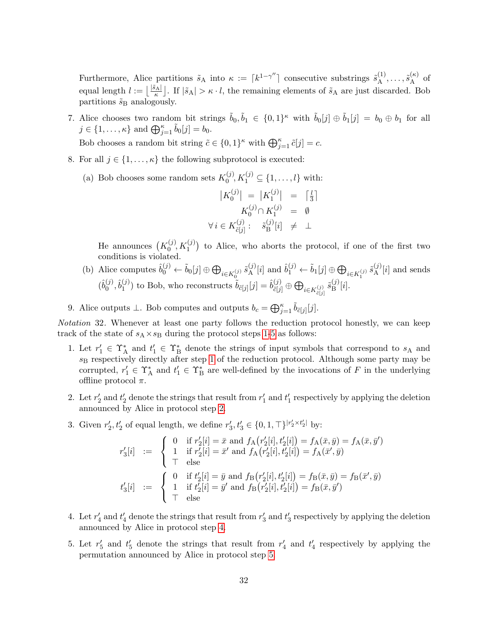Furthermore, Alice partitions  $\tilde{s}_A$  into  $\kappa := [k^{1-\gamma''}]$  consecutive substrings  $\tilde{s}_A^{(1)}$  $\tilde{s}_{\rm A}^{(\kappa)},\ldots,\tilde{s}_{\rm A}^{(\kappa)}$  $A^{(\kappa)}$  of equal length  $l := \left\lfloor \frac{|\tilde{s}_A|}{\kappa} \right\rfloor$ . If  $|\tilde{s}_A| > \kappa \cdot l$ , the remaining elements of  $\tilde{s}_A$  are just discarded. Bob partitions  $\tilde{s}_B$  analogously.

- 7. Alice chooses two random bit strings  $\tilde{b}_0, \tilde{b}_1 \in \{0,1\}^\kappa$  with  $\tilde{b}_0[j] \oplus \tilde{b}_1[j] = b_0 \oplus b_1$  for all  $j \in \{1, \ldots, \kappa\}$  and  $\bigoplus_{j=1}^{\kappa} \tilde{b}_0[j] = b_0.$ Bob chooses a random bit string  $\tilde{c} \in \{0,1\}^{\kappa}$  with  $\bigoplus_{j=1}^{\kappa} \tilde{c}[j] = c$ .
- 8. For all  $j \in \{1, \ldots, \kappa\}$  the following subprotocol is executed:
	- (a) Bob chooses some random sets  $K_0^{(j)}$  $S_0^{(j)}, K_1^{(j)} \subseteq \{1, \ldots, l\}$  with:

$$
|K_0^{(j)}| = |K_1^{(j)}| = \begin{bmatrix} \frac{l}{3} \end{bmatrix}
$$

$$
K_0^{(j)} \cap K_1^{(j)} = \emptyset
$$

$$
\forall i \in K_{\tilde{c}[j]}^{(j)}: \tilde{s}_{\text{B}}^{(j)}[i] \neq \perp
$$

He announces  $(K_0^{(j)})$  $\binom{(j)}{0}$ ,  $K_1^{(j)}$ ) to Alice, who aborts the protocol, if one of the first two conditions is violated.

<span id="page-33-0"></span>(b) Alice computes  $\hat{b}_0^{(j)} \leftarrow \tilde{b}_0[j] \oplus \bigoplus_{i \in K_0^{(j)}} \tilde{s}_{\mathbf{A}}^{(j)}$  $\mathfrak{h}_{\mathrm{A}}^{(j)}[i]$  and  $\hat{b}_1^{(j)} \leftarrow \tilde{b}_1[j] \oplus \bigoplus_{i \in K_1^{(j)}} \tilde{s}_{\mathrm{A}}^{(j)}$  $A^{(j)}[i]$  and sends  $(\hat{b}_0^{(j)})$  $\hat{b}_1^{(j)}, \hat{b}_1^{(j)}$  $\hat{b}_{\tilde{c}[j]}^{(j)}$  to Bob, who reconstructs  $\tilde{b}_{\tilde{c}[j]}[j] = \hat{b}_{\tilde{c}[j]}^{(j)} \oplus \bigoplus_{i \in K_{\tilde{c}[j]}^{(j)}} \tilde{s}_{\text{B}}^{(j)}$  $\mathbb{B}^{\{j\}}[i].$ 

9. Alice outputs  $\perp$ . Bob computes and outputs  $b_c = \bigoplus_{j=1}^{\kappa} \tilde{b}_{\tilde{c}[j]}[j].$ 

<span id="page-33-1"></span>Notation 32. Whenever at least one party follows the reduction protocol honestly, we can keep track of the state of  $s_A \times s_B$  during the protocol steps [1-](#page-32-1)[5](#page-32-2) as follows:

- 1. Let  $r'_1 \in \Upsilon_A^*$  and  $t'_1 \in \Upsilon_B^*$  denote the strings of input symbols that correspond to  $s_A$  and  $s_B$  respectively directly after step [1](#page-32-1) of the reduction protocol. Although some party may be corrupted,  $r'_1 \in \Upsilon_A^*$  and  $t'_1 \in \Upsilon_B^*$  are well-defined by the invocations of F in the underlying offline protocol  $\pi$ .
- 2. Let  $r'_2$  and  $t'_2$  denote the strings that result from  $r'_1$  and  $t'_1$  respectively by applying the deletion announced by Alice in protocol step [2.](#page-32-3)
- 3. Given  $r'_2, t'_2$  of equal length, we define  $r'_3, t'_3 \in \{0, 1, \top\}^{|r'_2 \times t'_2|}$  by:

$$
\begin{array}{rcl} r'_3[i] & := & \left\{ \begin{array}{ll} 0 & \text{if } r'_2[i] = \bar{x} \text{ and } f_{\text{A}}(r'_2[i], t'_2[i]) = f_{\text{A}}(\bar{x}, \bar{y}) = f_{\text{A}}(\bar{x}, \bar{y}') \\ 1 & \text{if } r'_2[i] = \bar{x}' \text{ and } f_{\text{A}}(r'_2[i], t'_2[i]) = f_{\text{A}}(\bar{x}', \bar{y}) \\ \top & \text{else} \end{array} \right. \\ t'_3[i] & := & \left\{ \begin{array}{ll} 0 & \text{if } t'_2[i] = \bar{y} \text{ and } f_{\text{B}}(r'_2[i], t'_2[i]) = f_{\text{B}}(\bar{x}, \bar{y}) = f_{\text{B}}(\bar{x}', \bar{y}) \\ 1 & \text{if } t'_2[i] = \bar{y}' \text{ and } f_{\text{B}}(r'_2[i], t'_2[i]) = f_{\text{B}}(\bar{x}, \bar{y}') \end{array} \right. \\ \end{array}
$$

- 4. Let  $r'_4$  and  $t'_4$  denote the strings that result from  $r'_3$  and  $t'_3$  respectively by applying the deletion announced by Alice in protocol step [4.](#page-32-4)
- 5. Let  $r'_5$  and  $t'_5$  denote the strings that result from  $r'_4$  and  $t'_4$  respectively by applying the permutation announced by Alice in protocol step [5.](#page-32-2)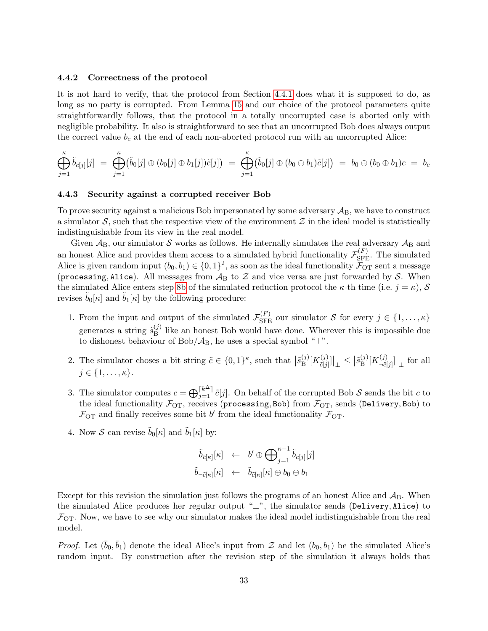#### <span id="page-34-0"></span>4.4.2 Correctness of the protocol

It is not hard to verify, that the protocol from Section [4.4.1](#page-32-0) does what it is supposed to do, as long as no party is corrupted. From Lemma [15](#page-19-0) and our choice of the protocol parameters quite straightforwardly follows, that the protocol in a totally uncorrupted case is aborted only with negligible probability. It also is straightforward to see that an uncorrupted Bob does always output the correct value  $b_c$  at the end of each non-aborted protocol run with an uncorrupted Alice:

$$
\bigoplus_{j=1}^{\kappa} \tilde{b}_{\tilde{c}[j]}[j] \; = \; \bigoplus_{j=1}^{\kappa} \bigl( \tilde{b}_0[j] \oplus (b_0[j] \oplus b_1[j]) \tilde{c}[j] \bigr) \; = \; \bigoplus_{j=1}^{\kappa} \bigl( \tilde{b}_0[j] \oplus (b_0 \oplus b_1) \tilde{c}[j] \bigr) \; = \; b_0 \oplus (b_0 \oplus b_1) c \; = \; b_c
$$

#### <span id="page-34-1"></span>4.4.3 Security against a corrupted receiver Bob

To prove security against a malicious Bob impersonated by some adversary  $A_B$ , we have to construct a simulator  $S$ , such that the respective view of the environment  $\mathcal Z$  in the ideal model is statistically indistinguishable from its view in the real model.

Given  $A_B$ , our simulator S works as follows. He internally simulates the real adversary  $A_B$  and an honest Alice and provides them access to a simulated hybrid functionality  $\mathcal{F}_{\rm SFE}^{(F)}$ . The simulated Alice is given random input  $(b_0, b_1) \in \{0, 1\}^2$ , as soon as the ideal functionality  $\widetilde{\mathcal{F}}_{\text{OT}}$  sent a message (processing, Alice). All messages from  $A_B$  to  $Z$  and vice versa are just forwarded by S. When the simulated Alice enters step [8b](#page-33-0) of the simulated reduction protocol the  $\kappa$ -th time (i.e.  $j = \kappa$ ), S revises  $b_0[\kappa]$  and  $b_1[\kappa]$  by the following procedure:

- 1. From the input and output of the simulated  $\mathcal{F}_{\text{SFE}}^{(F)}$  our simulator S for every  $j \in \{1, \ldots, \kappa\}$ generates a string  $\tilde{s}_{\rm B}^{(j)}$  $B<sub>B</sub>$  like an honest Bob would have done. Wherever this is impossible due to dishonest behaviour of Bob/ $\mathcal{A}_{B}$ , he uses a special symbol " $\top$ ".
- 2. The simulator choses a bit string  $\tilde{c} \in \{0,1\}^{\kappa}$ , such that  $\left|\tilde{s}_{B}^{(j)}\right|$  $\mathop{\mathrm{B}}\nolimits^{(j)}[K_{\tilde{c}[j]}^{(j)}]$  $\left.\left.\begin{matrix} \tilde{c}(j) \\ \tilde{c}[j]\end{matrix}\right]\right|_{\perp} \leq \left|\tilde{s}_{\mathrm{B}}^{(j)}\right|$  $\mathop{\mathrm{B}}\nolimits^{(j)}[K_{\neg \tilde{c}]}^{(j)}$  $\left. \frac{(\jmath)}{\lceil \tilde{c}[\jmath] \rceil} \right|_{\perp}$  for all  $j \in \{1, \ldots, \kappa\}.$
- 3. The simulator computes  $c = \bigoplus_{j=1}^{\lceil k^{\Delta} \rceil} \tilde{c}[j]$ . On behalf of the corrupted Bob S sends the bit c to the ideal functionality  $\mathcal{F}_{OT}$ , receives (processing, Bob) from  $\mathcal{F}_{OT}$ , sends (Delivery, Bob) to  $\mathcal{F}_{\text{OT}}$  and finally receives some bit b' from the ideal functionality  $\mathcal{F}_{\text{OT}}$ .
- 4. Now S can revise  $\tilde{b}_0[\kappa]$  and  $\tilde{b}_1[\kappa]$  by:

$$
\begin{array}{lcl} \tilde{b}_{\tilde{c}[\kappa]}[\kappa] &\leftarrow & b' \oplus \bigoplus_{j=1}^{\kappa-1} \tilde{b}_{\tilde{c}[j]}[j] \\ \tilde{b}_{\neg \tilde{c}[\kappa]}[\kappa] &\leftarrow & \tilde{b}_{\tilde{c}[\kappa]}[\kappa] \oplus b_0 \oplus b_1 \end{array}
$$

Except for this revision the simulation just follows the programs of an honest Alice and  $A_B$ . When the simulated Alice produces her regular output "⊥", the simulator sends (Delivery, Alice) to  $\mathcal{F}_{\text{OT}}$ . Now, we have to see why our simulator makes the ideal model indistinguishable from the real model.

*Proof.* Let  $(\bar{b}_0, \bar{b}_1)$  denote the ideal Alice's input from  $\mathcal Z$  and let  $(b_0, b_1)$  be the simulated Alice's random input. By construction after the revision step of the simulation it always holds that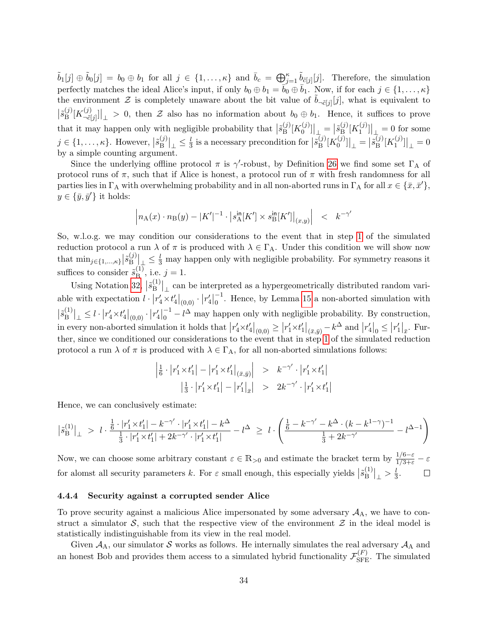$\tilde{b}_1[j] \oplus \tilde{b}_0[j] = b_0 \oplus b_1$  for all  $j \in \{1, \ldots, \kappa\}$  and  $\bar{b}_c = \bigoplus_{j=1}^{\kappa} \tilde{b}_{\tilde{c}[j]}[j]$ . Therefore, the simulation perfectly matches the ideal Alice's input, if only  $b_0 \oplus b_1 = \overline{b}_0 \oplus \overline{b}_1$ . Now, if for each  $j \in \{1, \ldots, \kappa\}$ the environment Z is completely unaware about the bit value of  $\tilde{b}_{\neg \tilde{c}[j]}[j]$ , what is equivalent to  $\left|\tilde{s}_{\mathrm{B}}^{(j)}\right|$  $\mathop{\mathrm{B}}\nolimits^{(j)}[K_{\neg \tilde{c}]}^{(j)}$  $\left.\frac{f(t)}{f(t)}\right|_{\perp} > 0$ , then Z also has no information about  $b_0 \oplus b_1$ . Hence, it suffices to prove that it may happen only with negligible probability that  $\left|\tilde{s}_{\text{B}}^{(j)}\right|$  $\mathcal{B}^{(j)}[K_0^{(j)}]$  $\begin{bmatrix} 0^{(j)} \\ 0 \end{bmatrix} \Big|_+ = \Big| \tilde{s}_{\mathrm{B}}^{(j)}$  $\mathop{{}^{\stackrel{(j)}{\mathrm{B}}}}\nolimits[K_1^{(j)}$  $\begin{bmatrix} 1 \\ 1 \end{bmatrix}$  = 0 for some  $j \in \{1, \ldots, \kappa\}$ . However,  $\left|\tilde{s}_{\text{B}}^{(j)}\right|$  $\left.\frac{(j)}{\rm B}\right|_{\perp}\leq\frac{l}{3}$  $\frac{l}{3}$  is a necessary precondition for  $\left|\tilde{s}_{\text{B}}^{(j)}\right|$  $\mathcal{B}^{(j)}[K_0^{(j)}]$  $\binom{(j)}{0}$ ] $\Big|_{\perp} = \Big| \tilde{s}_{\text{B}}^{(j)}$  $\mathop{{\rm B}}\limits^{\left(j\right)}[K_1^{(j)}$  $\left.\frac{1}{1}(0,0)\right|_{0} = 0$ by a simple counting argument.

Since the underlying offline protocol  $\pi$  is  $\gamma'$ -robust, by Definition [26](#page-27-5) we find some set  $\Gamma_A$  of protocol runs of  $\pi$ , such that if Alice is honest, a protocol run of  $\pi$  with fresh randomness for all parties lies in  $\Gamma_A$  with overwhelming probability and in all non-aborted runs in  $\Gamma_A$  for all  $x \in \{\bar{x}, \bar{x}'\},$  $y \in {\bar{y}, \bar{y}'}$  it holds:

$$
\left| n_{A}(x) \cdot n_{B}(y) - |K'|^{-1} \cdot \left| s_{A}^{\text{in}}[K'] \times s_{B}^{\text{in}}[K'] \right|_{(x,y)} \right| \leq k^{-\gamma'}
$$

So, w.l.o.g. we may condition our considerations to the event that in step [1](#page-32-1) of the simulated reduction protocol a run  $\lambda$  of  $\pi$  is produced with  $\lambda \in \Gamma_A$ . Under this condition we will show now that  $\min_{j \in \{1,\ldots,\kappa\}} \left| \tilde{s}_{\text{B}}^{(j)} \right|$  $\mathbb{E}[\mathbb{B}^{(j)}]$   $\leq \frac{l}{3}$  may happen only with negligible probability. For symmetry reasons it suffices to consider  $\tilde{s}_{\rm B}^{(1)}$  $j^{(1)}$ , i.e.  $j = 1$ .

Using Notation [32,](#page-33-1)  $|\tilde{s}_{\text{B}}^{(1)}|$  $\mathbb{E}_{\text{B}}^{(1)}|_{\perp}$  can be interpreted as a hypergeometrically distributed random variable with expectation  $l \cdot |r'_4 \times t'_4|_{(0,0)} \cdot |r'_4|$ −1  $\frac{1}{0}$ . Hence, by Lemma [15](#page-19-0) a non-aborted simulation with  $|\tilde{s}_{\rm B}^{(1)}|$  $\left. \frac{d^{(1)}}{B} \right|_{\perp} \leq l \cdot \left| r_4' \times t_4' \right|_{(0,0)} \cdot \left| r_4' \right|$ −1  $\frac{1}{0} - l^{\Delta}$  may happen only with negligible probability. By construction, in every non-aborted simulation it holds that  $|r'_4 \times t'_4|_{(0,0)} \ge |r'_1 \times t'_1|_{(\bar{x},\bar{y})} - k^{\Delta}$  and  $|r'_4|_{0} \le |r'_1|_{\bar{x}}$ . Further, since we conditioned our considerations to the event that in step [1](#page-32-1) of the simulated reduction protocol a run  $\lambda$  of  $\pi$  is produced with  $\lambda \in \Gamma_A$ , for all non-aborted simulations follows:

$$
\begin{array}{rcl} \left| \frac{1}{6} \cdot \left| r_1' \times t_1' \right| - \left| r_1' \times t_1' \right|_{\left(\bar{x},\bar{y}\right)} \right| > & k^{-\gamma'} \cdot \left| r_1' \times t_1' \right| \\ & \left| \frac{1}{3} \cdot \left| r_1' \times t_1' \right| - \left| r_1' \right|_{\bar{x}} \right| > & 2k^{-\gamma'} \cdot \left| r_1' \times t_1' \right| \end{array}
$$

Hence, we can conclusively estimate:

$$
\big|\tilde{s}_{\rm B}^{(1)}\big|_{\perp} \;\,>\,\, l\cdot \frac{\frac{1}{6}\cdot |r_1' \times t_1'| - k^{-\gamma'} \cdot |r_1' \times t_1'| - k^\Delta}{\frac{1}{3}\cdot |r_1' \times t_1'| + 2k^{-\gamma'} \cdot |r_1' \times t_1'|} - l^\Delta \;\geq\; l\cdot \left(\frac{\frac{1}{6} - k^{-\gamma'} - k^\Delta \cdot (k-k^{1-\gamma})^{-1}}{\frac{1}{3} + 2k^{-\gamma'}} - l^{\Delta-1}\right)
$$

Now, we can choose some arbitrary constant  $\varepsilon \in \mathbb{R}_{>0}$  and estimate the bracket term by  $\frac{1/6-\varepsilon}{1/3+\varepsilon}-\varepsilon$ for alomst all security parameters k. For  $\varepsilon$  small enough, this especially yields  $\left|\tilde{s}_{B}^{(1)}\right|$  $\binom{1}{B}$   $\Big|_{\perp} > \frac{l}{3}$  $rac{l}{3}$ .  $\Box$ 

#### <span id="page-35-0"></span>4.4.4 Security against a corrupted sender Alice

To prove security against a malicious Alice impersonated by some adversary  $A_A$ , we have to construct a simulator  $S$ , such that the respective view of the environment  $\mathcal Z$  in the ideal model is statistically indistinguishable from its view in the real model.

Given  $A_A$ , our simulator S works as follows. He internally simulates the real adversary  $A_A$  and an honest Bob and provides them access to a simulated hybrid functionality  $\mathcal{F}_{\rm SFE}^{(F)}$ . The simulated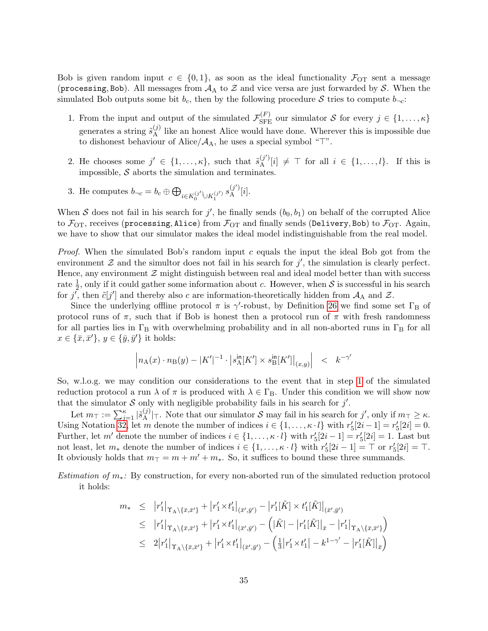Bob is given random input  $c \in \{0,1\}$ , as soon as the ideal functionality  $\mathcal{F}_{\text{OT}}$  sent a message (processing, Bob). All messages from  $A_A$  to  $Z$  and vice versa are just forwarded by S. When the simulated Bob outputs some bit  $b_c$ , then by the following procedure S tries to compute  $b_{\neg c}$ :

- 1. From the input and output of the simulated  $\mathcal{F}_{\text{SFE}}^{(F)}$  our simulator S for every  $j \in \{1, \ldots, \kappa\}$ generates a string  $\tilde{s}_{A}^{(j)}$  $_A^{(j)}$  like an honest Alice would have done. Wherever this is impossible due to dishonest behaviour of Alice/ $\mathcal{A}_A$ , he uses a special symbol " $\top$ ".
- 2. He chooses some  $j' \in \{1,\ldots,\kappa\}$ , such that  $\tilde{s}_{\rm A}^{(j')}$  $\mathcal{A}^{(j)}[i] \neq \top$  for all  $i \in \{1, \ldots, l\}$ . If this is impossible,  $S$  aborts the simulation and terminates.
- 3. He computes  $b_{\neg c} = b_c \oplus \bigoplus_{i \in K_0^{(j')} \cup K_1^{(j')} } s_A^{(j')}$  $\mathcal{A}^{\prime\prime}[i].$

When S does not fail in his search for j', he finally sends  $(b_0, b_1)$  on behalf of the corrupted Alice to  $\mathcal{F}_{\text{OT}}$ , receives (processing, Alice) from  $\mathcal{F}_{\text{OT}}$  and finally sends (Delivery, Bob) to  $\mathcal{F}_{\text{OT}}$ . Again, we have to show that our simulator makes the ideal model indistinguishable from the real model.

*Proof.* When the simulated Bob's random input  $c$  equals the input the ideal Bob got from the environment  $\mathcal Z$  and the simultor does not fail in his search for  $j'$ , the simulation is clearly perfect. Hence, any environment  $\mathcal Z$  might distinguish between real and ideal model better than with success rate  $\frac{1}{2}$ , only if it could gather some information about c. However, when S is successful in his search for j', then  $\tilde{c}[j']$  and thereby also c are information-theoretically hidden from  $A_A$  and  $Z$ .

Since the underlying offline protocol  $\pi$  is  $\gamma'$ -robust, by Definition [26](#page-27-5) we find some set  $\Gamma_B$  of protocol runs of  $\pi$ , such that if Bob is honest then a protocol run of  $\pi$  with fresh randomness for all parties lies in  $\Gamma_B$  with overwhelming probability and in all non-aborted runs in  $\Gamma_B$  for all  $x \in {\bar{x}, \bar{x}'}, y \in {\bar{y}, \bar{y}'}$  it holds:

$$
\left| n_{\rm A}(x) \cdot n_{\rm B}(y) - |K'|^{-1} \cdot \left| s_{\rm A}^{\rm in}[K'] \times s_{\rm B}^{\rm in}[K'] \right|_{(x,y)} \right| \quad < \quad k^{-\gamma'}
$$

So, w.l.o.g. we may condition our considerations to the event that in step [1](#page-32-1) of the simulated reduction protocol a run  $\lambda$  of  $\pi$  is produced with  $\lambda \in \Gamma_B$ . Under this condition we will show now that the simulator  $S$  only with negligible probability fails in his search for  $j'$ .

Let  $m_{\top} := \sum_{j=1}^{\kappa} |\tilde{s}_{\mathrm{A}}^{(j)}|$  $\mathcal{A}^{(j)}$ <sub>1</sub>. Note that our simulator S may fail in his search for j', only if  $m_{\perp} \geq \kappa$ . Using Notation [32,](#page-33-1) let m denote the number of indices  $i \in \{1, \ldots, \kappa \cdot l\}$  with  $r'_5[2i-1] = r'_5[2i] = 0$ . Further, let m' denote the number of indices  $i \in \{1, \ldots, \kappa \cdot l\}$  with  $r'_5[2i-1] = r'_5[2i] = 1$ . Last but not least, let  $m_*$  denote the number of indices  $i \in \{1, \ldots, \kappa \cdot l\}$  with  $r'_5[2i-1] = \top$  or  $r'_5[2i] = \top$ . It obviously holds that  $m_{\perp} = m + m' + m_*$ . So, it suffices to bound these three summands.

Estimation of  $m_*$ : By construction, for every non-aborted run of the simulated reduction protocol it holds:

$$
m_{*} \leq |r'_{1}|_{\Upsilon_{A} \setminus \{\bar{x}, \bar{x}'\}} + |r'_{1} \times t'_{1}|_{(\bar{x}', \bar{y}')} - |r'_{1}[\tilde{K}] \times t'_{1}[\tilde{K}]|_{(\bar{x}', \bar{y}')}
$$
  
\n
$$
\leq |r'_{1}|_{\Upsilon_{A} \setminus \{\bar{x}, \bar{x}'\}} + |r'_{1} \times t'_{1}|_{(\bar{x}', \bar{y}')} - (|\tilde{K}| - |r'_{1}[\tilde{K}]|_{\bar{x}} - |r'_{1}|_{\Upsilon_{A} \setminus \{\bar{x}, \bar{x}'\}})
$$
  
\n
$$
\leq 2|r'_{1}|_{\Upsilon_{A} \setminus \{\bar{x}, \bar{x}'\}} + |r'_{1} \times t'_{1}|_{(\bar{x}', \bar{y}')} - (\frac{1}{3}|r'_{1} \times t'_{1}| - k^{1-\gamma'} - |r'_{1}[\tilde{K}]|_{\bar{x}})
$$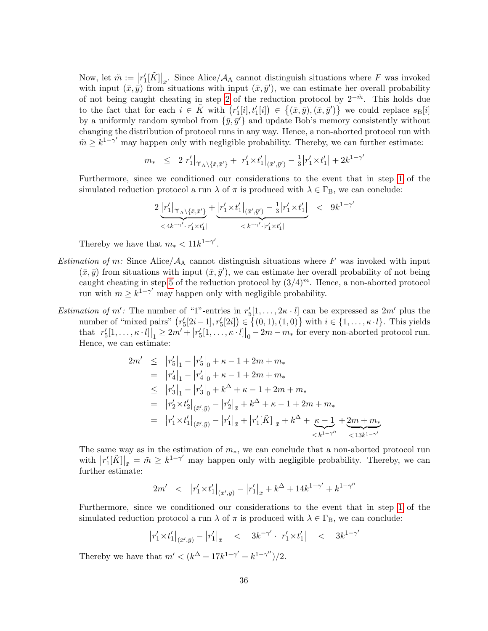Now, let  $\tilde{m} := \left[ r'_1[\tilde{K}] \right]_{\bar{x}}$ . Since Alice/ $\mathcal{A}_A$  cannot distinguish situations where F was invoked with input  $(\bar{x}, \bar{y})$  from situations with input  $(\bar{x}, \bar{y}')$ , we can estimate her overall probability of not being caught cheating in step [2](#page-32-3) of the reduction protocol by  $2^{-m}$ . This holds due to the fact that for each  $i \in \tilde{K}$  with  $(r'_1[i], t'_1[i]) \in \{(\bar{x}, \bar{y}), (\bar{x}, \bar{y}')\}$  we could replace  $s_{\text{B}}[i]$ by a uniformly random symbol from  $\{\bar{y}, \bar{y}'\}$  and update Bob's memory consistently without changing the distribution of protocol runs in any way. Hence, a non-aborted protocol run with  $\tilde{m} \geq k^{1-\gamma'}$  may happen only with negligible probability. Thereby, we can further estimate:

$$
m_{*} \leq 2|r'_{1}|_{\Upsilon_{\mathcal{A}}\setminus\{\bar{x},\bar{x}'\}} + |r'_{1} \times t'_{1}|_{(\bar{x}',\bar{y}')} - \frac{1}{3}|r'_{1} \times t'_{1}| + 2k^{1-\gamma}
$$

 $\overline{a}$ 

 $\prime$ 

Furthermore, since we conditioned our considerations to the event that in step [1](#page-32-1) of the simulated reduction protocol a run  $\lambda$  of  $\pi$  is produced with  $\lambda \in \Gamma_B$ , we can conclude:

$$
\underbrace{2\left|r_1'\right|_{\Upsilon_{\mathbf{A}}\backslash\{\bar{x},\bar{x}'\}}}_{<4k^{-\gamma'}\cdot |r_1'\times t_1'|}\underbrace{+ \left|r_1'\times t_1'\right|_{(\bar{x}',\bar{y}')}-\frac{1}{3}\middle|r_1'\times t_1'}_{
$$

Thereby we have that  $m_* < 11k^{1-\gamma'}$ .

- *Estimation of m:* Since Alice/ $A_A$  cannot distinguish situations where F was invoked with input  $(\bar{x}, \bar{y})$  from situations with input  $(\bar{x}, \bar{y}')$ , we can estimate her overall probability of not being caught cheating in step [5](#page-32-2) of the reduction protocol by  $(3/4)^m$ . Hence, a non-aborted protocol run with  $m \geq k^{1-\gamma'}$  may happen only with negligible probability.
- Estimation of m': The number of "1"-entries in  $r'_5[1,\ldots,2\kappa\cdot l]$  can be expressed as  $2m'$  plus the number of "mixed pairs"  $(r'_5[2i-1], r'_5[2i]) \in \{(0,1), (1,0)\}$  with  $i \in \{1, \ldots, \kappa \cdot l\}$ . This yields that  $|r_5'[1,\ldots,\kappa \cdot l]|_1 \geq 2m' + |r_5'[1,\ldots,\kappa \cdot l]|_0 - 2m - m_*$  for every non-aborted protocol run. Hence, we can estimate:

$$
2m' \leq |r'_5|_1 - |r'_5|_0 + \kappa - 1 + 2m + m_*
$$
  
\n
$$
= |r'_4|_1 - |r'_4|_0 + \kappa - 1 + 2m + m_*
$$
  
\n
$$
\leq |r'_3|_1 - |r'_3|_0 + k^{\Delta} + \kappa - 1 + 2m + m_*
$$
  
\n
$$
= |r'_2 \times t'_2|_{(\bar{x}',\bar{y})} - |r'_2|_{\bar{x}} + k^{\Delta} + \kappa - 1 + 2m + m_*
$$
  
\n
$$
= |r'_1 \times t'_1|_{(\bar{x}',\bar{y})} - |r'_1|_{\bar{x}} + |r'_1[\tilde{K}]|_{\bar{x}} + k^{\Delta} + \underbrace{\kappa - 1}_{\langle k^{1-\gamma''}\rangle} + \underbrace{2m + m_*}_{\langle 13k^{1-\gamma''}\rangle}
$$

The same way as in the estimation of  $m<sub>*</sub>$ , we can conclude that a non-aborted protocol run with  $|r'_1[\tilde{K}]|_{\bar{x}} = \tilde{m} \geq k^{1-\gamma'}$  may happen only with negligible probability. Thereby, we can further estimate:

$$
2m' \ < \ |r'_1 \times t'_1|_{(\bar{x}', \bar{y})} - |r'_1|_{\bar{x}} + k^{\Delta} + 14k^{1-\gamma'} + k^{1-\gamma''}
$$

Furthermore, since we conditioned our considerations to the event that in step [1](#page-32-1) of the simulated reduction protocol a run  $\lambda$  of  $\pi$  is produced with  $\lambda \in \Gamma_B$ , we can conclude:

$$
|r'_1 \times t'_1|_{(\bar{x}', \bar{y})} - |r'_1|_{\bar{x}} \quad < \quad 3k^{-\gamma'} \cdot |r'_1 \times t'_1| \quad < \quad 3k^{1-\gamma'}
$$

Thereby we have that  $m' < (k^{\Delta} + 17k^{1-\gamma'} + k^{1-\gamma''})/2$ .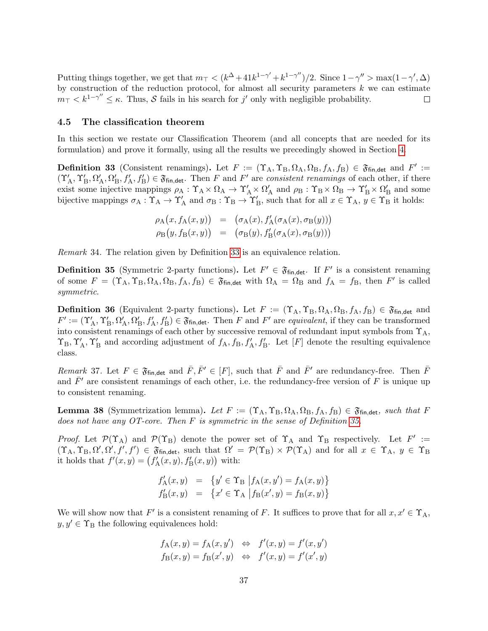Putting things together, we get that  $m_{\perp} < (k^{\Delta} + 41k^{1-\gamma'} + k^{1-\gamma''})/2$ . Since  $1 - \gamma'' > \max(1 - \gamma', \Delta)$ by construction of the reduction protocol, for almost all security parameters  $k$  we can estimate  $m_{\perp} < k^{1-\gamma''} \leq \kappa$ . Thus, S fails in his search for j' only with negligible probability.  $\Box$ 

## <span id="page-38-0"></span>4.5 The classification theorem

In this section we restate our Classification Theorem (and all concepts that are needed for its formulation) and prove it formally, using all the results we precedingly showed in Section [4.](#page-15-0)

<span id="page-38-1"></span>**Definition 33** (Consistent renamings). Let  $F := (\Upsilon_A, \Upsilon_B, \Omega_A, \Omega_B, f_A, f_B) \in \mathfrak{F}_{fin, det}$  and  $F' :=$  $(\Upsilon_A', \Upsilon_B', \Omega_A', \Omega_B', f_A', f_B') \in \mathfrak{F}_{fin, det}$ . Then F and F' are consistent renamings of each other, if there exist some injective mappings  $\rho_A : \Upsilon_A \times \Omega_A \to \Upsilon'_A \times \Omega'_A$  and  $\rho_B : \Upsilon_B \times \Omega_B \to \Upsilon'_B \times \Omega'_B$  and some bijective mappings  $\sigma_A : \Upsilon_A \to \Upsilon'_A$  and  $\sigma_B : \Upsilon_B \to \Upsilon'_B$ , such that for all  $x \in \Upsilon_A$ ,  $y \in \Upsilon_B$  it holds:

$$
\rho_{A}(x, f_{A}(x, y)) = (\sigma_{A}(x), f'_{A}(\sigma_{A}(x), \sigma_{B}(y)))
$$
  
\n
$$
\rho_{B}(y, f_{B}(x, y)) = (\sigma_{B}(y), f'_{B}(\sigma_{A}(x), \sigma_{B}(y)))
$$

Remark 34. The relation given by Definition [33](#page-38-1) is an equivalence relation.

<span id="page-38-3"></span>**Definition 35** (Symmetric 2-party functions). Let  $F' \in \mathfrak{F}_{fin, det}$ . If  $F'$  is a consistent renaming of some  $F = (\Upsilon_A, \Upsilon_B, \Omega_A, \Omega_B, f_A, f_B) \in \mathfrak{F}_{fin, det}$  with  $\Omega_A = \Omega_B$  and  $f_A = f_B$ , then F' is called symmetric.

<span id="page-38-2"></span>**Definition 36** (Equivalent 2-party functions). Let  $F := (\Upsilon_A, \Upsilon_B, \Omega_A, \Omega_B, f_A, f_B) \in \mathfrak{F}_{fin, det}$  and  $F' := (\Upsilon_A', \Upsilon_B', \Omega_A', \Omega_B', f_A', f_B') \in \mathfrak{F}_{fin, det}$ . Then F and F' are equivalent, if they can be transformed into consistent renamings of each other by successive removal of redundant input symbols from  $\Upsilon_A$ ,  $\Upsilon_B, \Upsilon_A', \Upsilon_B'$  and according adjustment of  $f_A, f_B, f_A', f_B'$ . Let  $[F]$  denote the resulting equivalence class.

Remark 37. Let  $F \in \mathfrak{F}_{fin, det}$  and  $\overline{F}, \overline{F}' \in [F]$ , such that  $\overline{F}$  and  $\overline{F}'$  are redundancy-free. Then  $\overline{F}$ and  $\bar{F}$ <sup>'</sup> are consistent renamings of each other, i.e. the redundancy-free version of F is unique up to consistent renaming.

<span id="page-38-4"></span>**Lemma 38** (Symmetrization lemma). Let  $F := (\Upsilon_A, \Upsilon_B, \Omega_A, \Omega_B, f_A, f_B) \in \mathfrak{F}_{fin, det}$ , such that F does not have any OT-core. Then  $F$  is symmetric in the sense of Definition [35.](#page-38-3)

Proof. Let  $\mathcal{P}(\Upsilon_A)$  and  $\mathcal{P}(\Upsilon_B)$  denote the power set of  $\Upsilon_A$  and  $\Upsilon_B$  respectively. Let  $F' :=$  $(\Upsilon_A, \Upsilon_B, \Omega', \Omega', f', f') \in \mathfrak{F}_{fin, det}$ , such that  $\Omega' = \mathcal{P}(\Upsilon_B) \times \mathcal{P}(\Upsilon_A)$  and for all  $x \in \Upsilon_A$ ,  $y \in \Upsilon_B$ it holds that  $f'(x, y) = (f'_{A}(x, y), f'_{B}(x, y))$  with:

$$
f'_{A}(x, y) = \{y' \in \Upsilon_{B} | f_{A}(x, y') = f_{A}(x, y) \}
$$
  

$$
f'_{B}(x, y) = \{x' \in \Upsilon_{A} | f_{B}(x', y) = f_{B}(x, y) \}
$$

We will show now that F' is a consistent renaming of F. It suffices to prove that for all  $x, x' \in \Upsilon_A$ ,  $y, y' \in \Upsilon_B$  the following equivalences hold:

$$
f_{A}(x, y) = f_{A}(x, y') \iff f'(x, y) = f'(x, y')
$$
  

$$
f_{B}(x, y) = f_{B}(x', y) \iff f'(x, y) = f'(x', y)
$$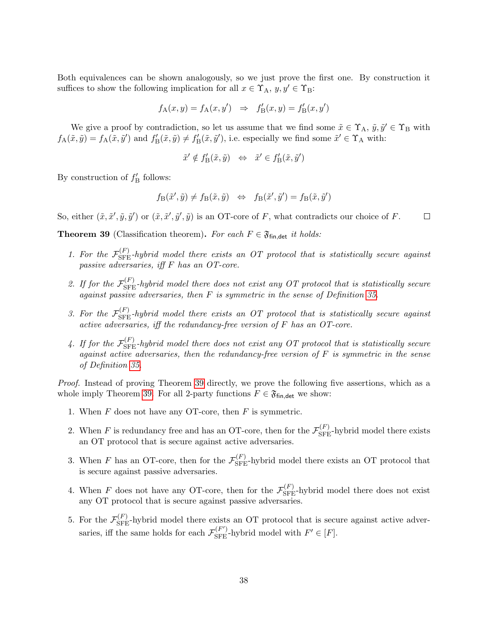Both equivalences can be shown analogously, so we just prove the first one. By construction it suffices to show the following implication for all  $x \in \Upsilon_A$ ,  $y, y' \in \Upsilon_B$ :

$$
f_{\mathcal{A}}(x, y) = f_{\mathcal{A}}(x, y') \Rightarrow f'_{\mathcal{B}}(x, y) = f'_{\mathcal{B}}(x, y')
$$

We give a proof by contradiction, so let us assume that we find some  $\tilde{x} \in \Upsilon_A$ ,  $\tilde{y}, \tilde{y}' \in \Upsilon_B$  with  $f_{\mathcal{A}}(\tilde{x}, \tilde{y}) = f_{\mathcal{A}}(\tilde{x}, \tilde{y}')$  and  $f'_{\mathcal{B}}(\tilde{x}, \tilde{y}) \neq f'_{\mathcal{B}}(\tilde{x}, \tilde{y}')$ , i.e. especially we find some  $\tilde{x}' \in \Upsilon_{\mathcal{A}}$  with:

$$
\tilde{x}' \notin f'_{\mathcal{B}}(\tilde{x}, \tilde{y}) \quad \Leftrightarrow \quad \tilde{x}' \in f'_{\mathcal{B}}(\tilde{x}, \tilde{y}')
$$

By construction of  $f'_{\text{B}}$  follows:

$$
f_{\mathcal{B}}(\tilde{x}', \tilde{y}) \neq f_{\mathcal{B}}(\tilde{x}, \tilde{y}) \quad \Leftrightarrow \quad f_{\mathcal{B}}(\tilde{x}', \tilde{y}') = f_{\mathcal{B}}(\tilde{x}, \tilde{y}')
$$

So, either  $(\tilde{x}, \tilde{x}', \tilde{y}, \tilde{y}')$  or  $(\tilde{x}, \tilde{x}', \tilde{y}', \tilde{y})$  is an OT-core of F, what contradicts our choice of F.  $\Box$ 

<span id="page-39-0"></span>**Theorem 39** (Classification theorem). For each  $F \in \mathfrak{F}_{\text{fin},\text{det}}$  it holds:

- 1. For the  $\mathcal{F}_{\rm SFE}^{(F)}$ -hybrid model there exists an OT protocol that is statistically secure against passive adversaries, iff F has an OT-core.
- 2. If for the  $\mathcal{F}_{\rm SFE}^{(F)}$ -hybrid model there does not exist any OT protocol that is statistically secure against passive adversaries, then F is symmetric in the sense of Definition [35.](#page-38-3)
- 3. For the  $\mathcal{F}_{\rm SFE}^{(F)}$ -hybrid model there exists an OT protocol that is statistically secure against active adversaries, iff the redundancy-free version of F has an OT-core.
- 4. If for the  $\mathcal{F}_{\rm SFE}^{(F)}$ -hybrid model there does not exist any OT protocol that is statistically secure against active adversaries, then the redundancy-free version of  $F$  is symmetric in the sense of Definition [35.](#page-38-3)

Proof. Instead of proving Theorem [39](#page-39-0) directly, we prove the following five assertions, which as a whole imply Theorem [39.](#page-39-0) For all 2-party functions  $F \in \mathfrak{F}_{fin, det}$  we show:

- <span id="page-39-1"></span>1. When  $F$  does not have any OT-core, then  $F$  is symmetric.
- <span id="page-39-2"></span>2. When F is redundancy free and has an OT-core, then for the  $\mathcal{F}_{\rm SFE}^{(F)}$ -hybrid model there exists an OT protocol that is secure against active adversaries.
- <span id="page-39-3"></span>3. When F has an OT-core, then for the  $\mathcal{F}_{\rm SFE}^{(F)}$ -hybrid model there exists an OT protocol that is secure against passive adversaries.
- <span id="page-39-4"></span>4. When F does not have any OT-core, then for the  $\mathcal{F}_{\rm SFE}^{(F)}$ -hybrid model there does not exist any OT protocol that is secure against passive adversaries.
- <span id="page-39-5"></span>5. For the  $\mathcal{F}_{\text{SFE}}^{(F)}$ -hybrid model there exists an OT protocol that is secure against active adversaries, if the same holds for each  $\mathcal{F}_{\text{SFE}}^{(F')}$ -hybrid model with  $F' \in [F]$ .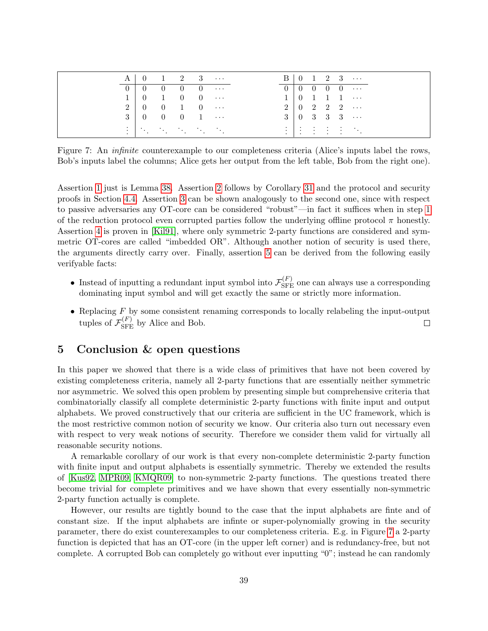<span id="page-40-1"></span>

| A <sub>1</sub> | $\begin{array}{ c c c c c c } \hline 0 & 1 & 2 & 3 & \cdots \ \hline \end{array}$ |  |                                                  |  |  |  | $B   0 1 2 3 \cdots$                                                                              |
|----------------|-----------------------------------------------------------------------------------|--|--------------------------------------------------|--|--|--|---------------------------------------------------------------------------------------------------|
|                |                                                                                   |  | $0 \quad 0 \quad 0 \quad 0 \quad 0 \quad \cdots$ |  |  |  | $0 \mid 0 \mid 0 \mid 0 \mid 0 \ldots$                                                            |
|                | $1 \quad 0 \quad 1 \quad 0 \quad 0 \quad \cdots$                                  |  |                                                  |  |  |  | $1 \ 0 \ 1 \ 1 \ 1 \ \cdots$                                                                      |
|                | $2 \mid 0 \quad 0 \quad 1 \quad 0 \quad \cdots$                                   |  |                                                  |  |  |  | $2 \begin{pmatrix} 0 & 2 & 2 & 2 & \cdots \end{pmatrix}$                                          |
|                | $3 \begin{array}{ccccccccc} 3 & 0 & 0 & 0 & 1 & \cdots \end{array}$               |  |                                                  |  |  |  | $3 \mid 0 \quad 3 \quad 3 \quad 3 \quad \cdots$                                                   |
|                | ing a shekarar ta 1990.<br>Manazarta                                              |  |                                                  |  |  |  | $\frac{1}{2}$ $\frac{1}{2}$ $\frac{1}{2}$ $\frac{1}{2}$ $\frac{1}{2}$ $\frac{1}{2}$ $\frac{1}{2}$ |

Figure 7: An *infinite* counterexample to our completeness criteria (Alice's inputs label the rows, Bob's inputs label the columns; Alice gets her output from the left table, Bob from the right one).

Assertion [1](#page-39-1) just is Lemma [38.](#page-38-4) Assertion [2](#page-39-2) follows by Corollary [31](#page-30-0) and the protocol and security proofs in Section [4.4.](#page-31-0) Assertion [3](#page-39-3) can be shown analogously to the second one, since with respect to passive adversaries any OT-core can be considered "robust"—in fact it suffices when in step [1](#page-32-1) of the reduction protocol even corrupted parties follow the underlying offline protocol  $\pi$  honestly. Assertion [4](#page-39-4) is proven in [\[Kil91\]](#page-42-8), where only symmetric 2-party functions are considered and symmetric OT-cores are called "imbedded OR". Although another notion of security is used there, the arguments directly carry over. Finally, assertion [5](#page-39-5) can be derived from the following easily verifyable facts:

- Instead of inputting a redundant input symbol into  $\mathcal{F}_{\rm SFE}^{(F)}$  one can always use a corresponding dominating input symbol and will get exactly the same or strictly more information.
- Replacing  $F$  by some consistent renaming corresponds to locally relabeling the input-output tuples of  $\mathcal{F}_{\rm SFE}^{(F)}$  by Alice and Bob.  $\Box$

# <span id="page-40-0"></span>5 Conclusion & open questions

In this paper we showed that there is a wide class of primitives that have not been covered by existing completeness criteria, namely all 2-party functions that are essentially neither symmetric nor asymmetric. We solved this open problem by presenting simple but comprehensive criteria that combinatorially classify all complete deterministic 2-party functions with finite input and output alphabets. We proved constructively that our criteria are sufficient in the UC framework, which is the most restrictive common notion of security we know. Our criteria also turn out necessary even with respect to very weak notions of security. Therefore we consider them valid for virtually all reasonable security notions.

A remarkable corollary of our work is that every non-complete deterministic 2-party function with finite input and output alphabets is essentially symmetric. Thereby we extended the results of [\[Kus92,](#page-43-9) [MPR09,](#page-43-8) [KMQR09\]](#page-43-10) to non-symmetric 2-party functions. The questions treated there become trivial for complete primitives and we have shown that every essentially non-symmetric 2-party function actually is complete.

However, our results are tightly bound to the case that the input alphabets are finte and of constant size. If the input alphabets are infinte or super-polynomially growing in the security parameter, there do exist counterexamples to our completeness criteria. E.g. in Figure [7](#page-40-1) a 2-party function is depicted that has an OT-core (in the upper left corner) and is redundancy-free, but not complete. A corrupted Bob can completely go without ever inputting "0"; instead he can randomly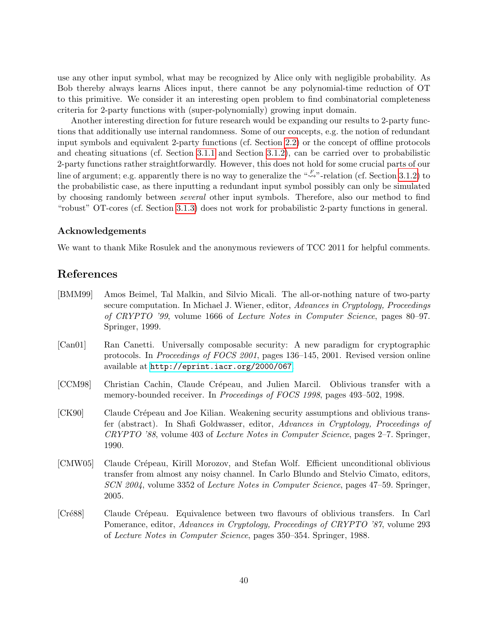use any other input symbol, what may be recognized by Alice only with negligible probability. As Bob thereby always learns Alices input, there cannot be any polynomial-time reduction of OT to this primitive. We consider it an interesting open problem to find combinatorial completeness criteria for 2-party functions with (super-polynomially) growing input domain.

Another interesting direction for future research would be expanding our results to 2-party functions that additionally use internal randomness. Some of our concepts, e.g. the notion of redundant input symbols and equivalent 2-party functions (cf. Section [2.2\)](#page-4-0) or the concept of offline protocols and cheating situations (cf. Section [3.1.1](#page-8-0) and Section [3.1.2\)](#page-9-0), can be carried over to probabilistic 2-party functions rather straightforwardly. However, this does not hold for some crucial parts of our line of argument; e.g. apparently there is no way to generalize the " $\overset{F}{\rightsquigarrow}$ "-relation (cf. Section [3.1.2\)](#page-9-0) to the probabilistic case, as there inputting a redundant input symbol possibly can only be simulated by choosing randomly between several other input symbols. Therefore, also our method to find "robust" OT-cores (cf. Section [3.1.3\)](#page-10-0) does not work for probabilistic 2-party functions in general.

### Acknowledgements

We want to thank Mike Rosulek and the anonymous reviewers of TCC 2011 for helpful comments.

# <span id="page-41-0"></span>References

- <span id="page-41-5"></span>[BMM99] Amos Beimel, Tal Malkin, and Silvio Micali. The all-or-nothing nature of two-party secure computation. In Michael J. Wiener, editor, Advances in Cryptology, Proceedings of CRYPTO '99, volume 1666 of Lecture Notes in Computer Science, pages 80–97. Springer, 1999.
- <span id="page-41-6"></span>[Can01] Ran Canetti. Universally composable security: A new paradigm for cryptographic protocols. In Proceedings of FOCS 2001, pages 136–145, 2001. Revised version online available at <http://eprint.iacr.org/2000/067>.
- <span id="page-41-2"></span>[CCM98] Christian Cachin, Claude Crépeau, and Julien Marcil. Oblivious transfer with a memory-bounded receiver. In *Proceedings of FOCS 1998*, pages 493–502, 1998.
- <span id="page-41-4"></span>[CK90] Claude Crépeau and Joe Kilian. Weakening security assumptions and oblivious transfer (abstract). In Shafi Goldwasser, editor, Advances in Cryptology, Proceedings of CRYPTO '88, volume 403 of Lecture Notes in Computer Science, pages 2–7. Springer, 1990.
- <span id="page-41-3"></span>[CMW05] Claude Crépeau, Kirill Morozov, and Stefan Wolf. Efficient unconditional oblivious transfer from almost any noisy channel. In Carlo Blundo and Stelvio Cimato, editors, SCN 2004, volume 3352 of Lecture Notes in Computer Science, pages 47–59. Springer, 2005.
- <span id="page-41-1"></span>[Cré88] Claude Crépeau. Equivalence between two flavours of oblivious transfers. In Carl Pomerance, editor, Advances in Cryptology, Proceedings of CRYPTO '87, volume 293 of Lecture Notes in Computer Science, pages 350–354. Springer, 1988.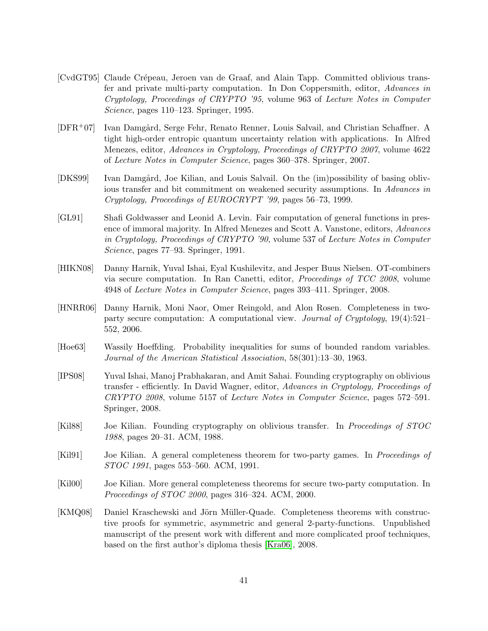- <span id="page-42-2"></span>[CvdGT95] Claude Crépeau, Jeroen van de Graaf, and Alain Tapp. Committed oblivious transfer and private multi-party computation. In Don Coppersmith, editor, Advances in Cryptology, Proceedings of CRYPTO '95, volume 963 of Lecture Notes in Computer Science, pages 110–123. Springer, 1995.
- <span id="page-42-4"></span>[DFR<sup>+</sup>07] Ivan Damgård, Serge Fehr, Renato Renner, Louis Salvail, and Christian Schaffner. A tight high-order entropic quantum uncertainty relation with applications. In Alfred Menezes, editor, Advances in Cryptology, Proceedings of CRYPTO 2007, volume 4622 of Lecture Notes in Computer Science, pages 360–378. Springer, 2007.
- <span id="page-42-5"></span>[DKS99] Ivan Damgård, Joe Kilian, and Louis Salvail. On the (im)possibility of basing oblivious transfer and bit commitment on weakened security assumptions. In Advances in Cryptology, Proceedings of EUROCRYPT '99, pages 56–73, 1999.
- <span id="page-42-1"></span>[GL91] Shafi Goldwasser and Leonid A. Levin. Fair computation of general functions in presence of immoral majority. In Alfred Menezes and Scott A. Vanstone, editors, Advances in Cryptology, Proceedings of CRYPTO '90, volume 537 of Lecture Notes in Computer Science, pages 77–93. Springer, 1991.
- <span id="page-42-6"></span>[HIKN08] Danny Harnik, Yuval Ishai, Eyal Kushilevitz, and Jesper Buus Nielsen. OT-combiners via secure computation. In Ran Canetti, editor, Proceedings of TCC 2008, volume 4948 of Lecture Notes in Computer Science, pages 393–411. Springer, 2008.
- <span id="page-42-7"></span>[HNRR06] Danny Harnik, Moni Naor, Omer Reingold, and Alon Rosen. Completeness in twoparty secure computation: A computational view. Journal of Cryptology, 19(4):521– 552, 2006.
- <span id="page-42-11"></span>[Hoe63] Wassily Hoeffding. Probability inequalities for sums of bounded random variables. Journal of the American Statistical Association, 58(301):13–30, 1963.
- <span id="page-42-3"></span>[IPS08] Yuval Ishai, Manoj Prabhakaran, and Amit Sahai. Founding cryptography on oblivious transfer - efficiently. In David Wagner, editor, Advances in Cryptology, Proceedings of CRYPTO 2008, volume 5157 of Lecture Notes in Computer Science, pages 572–591. Springer, 2008.
- <span id="page-42-0"></span>[Kil88] Joe Kilian. Founding cryptography on oblivious transfer. In Proceedings of STOC 1988, pages 20–31. ACM, 1988.
- <span id="page-42-8"></span>[Kil91] Joe Kilian. A general completeness theorem for two-party games. In Proceedings of STOC 1991, pages 553–560. ACM, 1991.
- <span id="page-42-9"></span>[Kil00] Joe Kilian. More general completeness theorems for secure two-party computation. In Proceedings of STOC 2000, pages 316–324. ACM, 2000.
- <span id="page-42-10"></span>[KMQ08] Daniel Kraschewski and Jörn Müller-Quade. Completeness theorems with constructive proofs for symmetric, asymmetric and general 2-party-functions. Unpublished manuscript of the present work with different and more complicated proof techniques, based on the first author's diploma thesis [\[Kra06\]](#page-43-11), 2008.